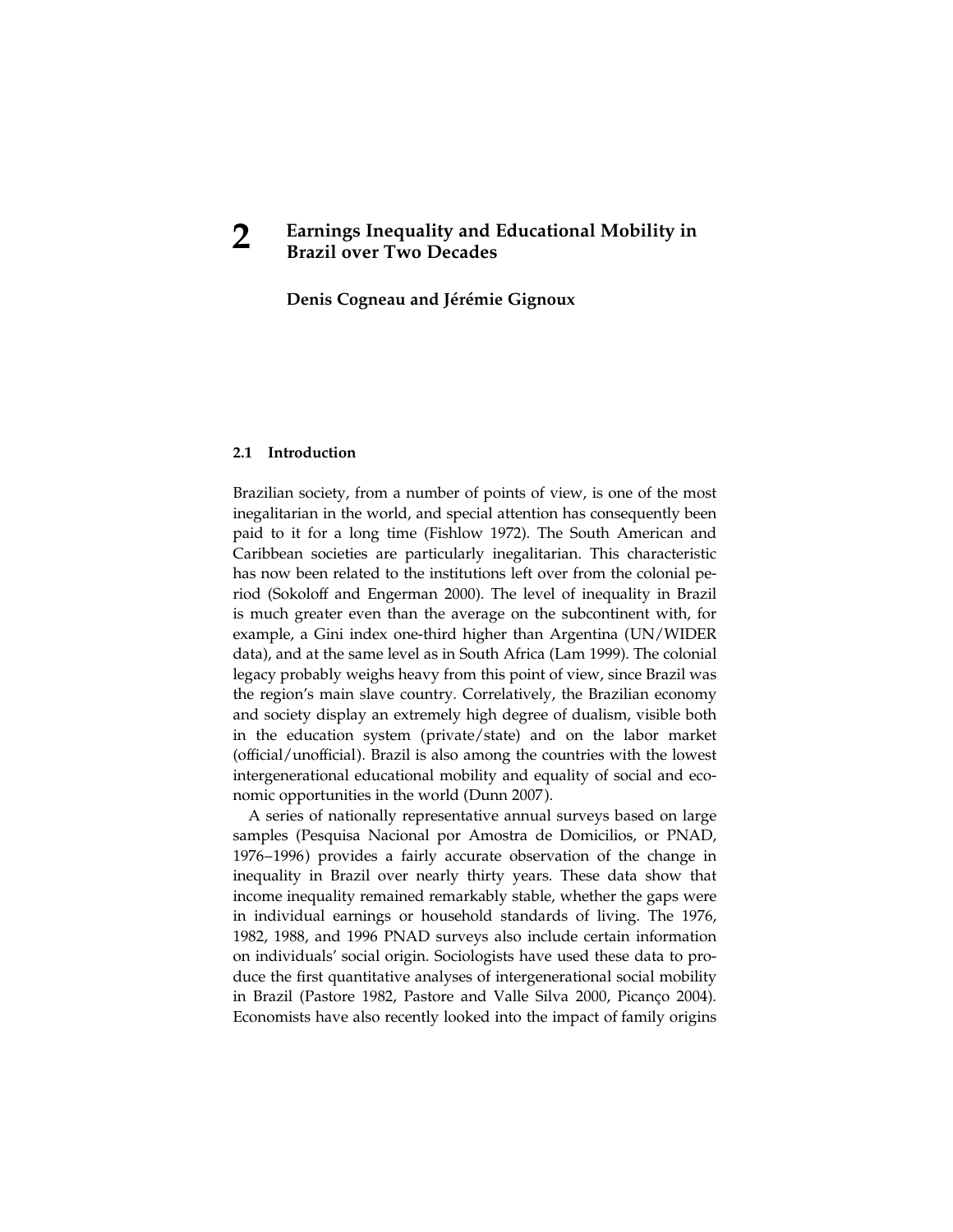Denis Cogneau and Jérémie Gignoux

# 2.1 Introduction

Brazilian society, from a number of points of view, is one of the most inegalitarian in the world, and special attention has consequently been paid to it for a long time (Fishlow 1972). The South American and Caribbean societies are particularly inegalitarian. This characteristic has now been related to the institutions left over from the colonial period (Sokoloff and Engerman 2000). The level of inequality in Brazil is much greater even than the average on the subcontinent with, for example, a Gini index one-third higher than Argentina (UN/WIDER data), and at the same level as in South Africa (Lam 1999). The colonial legacy probably weighs heavy from this point of view, since Brazil was the region's main slave country. Correlatively, the Brazilian economy and society display an extremely high degree of dualism, visible both in the education system (private/state) and on the labor market (official/unofficial). Brazil is also among the countries with the lowest intergenerational educational mobility and equality of social and economic opportunities in the world (Dunn 2007 ).

A series of nationally representative annual surveys based on large samples (Pesquisa Nacional por Amostra de Domicilios, or PNAD, 1976–1996) provides a fairly accurate observation of the change in inequality in Brazil over nearly thirty years. These data show that income inequality remained remarkably stable, whether the gaps were in individual earnings or household standards of living. The 1976, 1982, 1988, and 1996 PNAD surveys also include certain information on individuals' social origin. Sociologists have used these data to produce the first quantitative analyses of intergenerational social mobility in Brazil (Pastore 1982, Pastore and Valle Silva 2000, Picanço 2004). Economists have also recently looked into the impact of family origins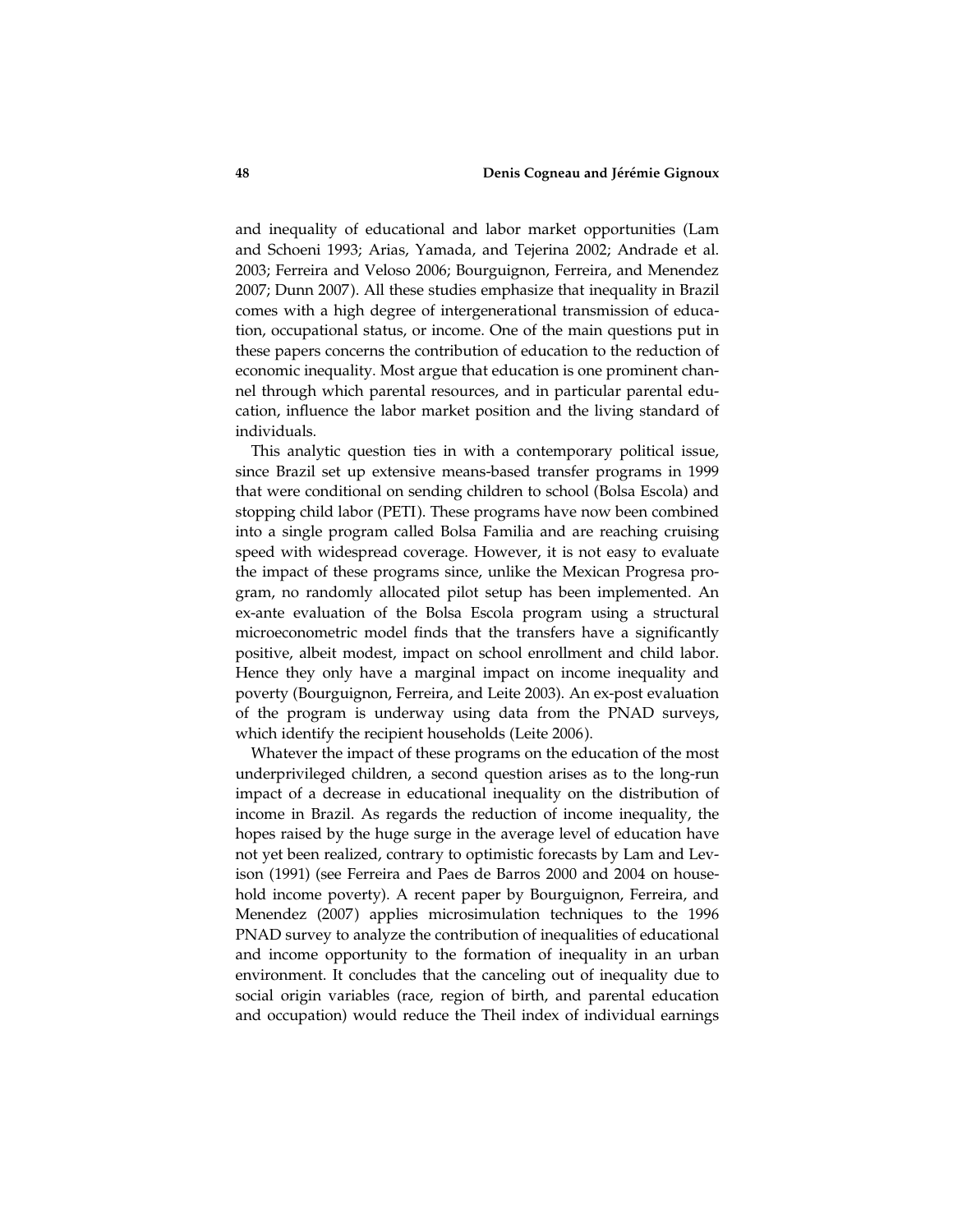and inequality of educational and labor market opportunities (Lam and Schoeni 1993; Arias, Yamada, and Tejerina 2002; Andrade et al. 2003; Ferreira and Veloso 2006; Bourguignon, Ferreira, and Menendez 2007; Dunn 2007 ). All these studies emphasize that inequality in Brazil comes with a high degree of intergenerational transmission of education, occupational status, or income. One of the main questions put in these papers concerns the contribution of education to the reduction of economic inequality. Most argue that education is one prominent channel through which parental resources, and in particular parental education, influence the labor market position and the living standard of individuals.

This analytic question ties in with a contemporary political issue, since Brazil set up extensive means-based transfer programs in 1999 that were conditional on sending children to school (Bolsa Escola) and stopping child labor (PETI ). These programs have now been combined into a single program called Bolsa Familia and are reaching cruising speed with widespread coverage. However, it is not easy to evaluate the impact of these programs since, unlike the Mexican Progresa program, no randomly allocated pilot setup has been implemented. An ex-ante evaluation of the Bolsa Escola program using a structural microeconometric model finds that the transfers have a significantly positive, albeit modest, impact on school enrollment and child labor. Hence they only have a marginal impact on income inequality and poverty (Bourguignon, Ferreira, and Leite 2003). An ex-post evaluation of the program is underway using data from the PNAD surveys, which identify the recipient households (Leite 2006).

Whatever the impact of these programs on the education of the most underprivileged children, a second question arises as to the long-run impact of a decrease in educational inequality on the distribution of income in Brazil. As regards the reduction of income inequality, the hopes raised by the huge surge in the average level of education have not yet been realized, contrary to optimistic forecasts by Lam and Levison (1991) (see Ferreira and Paes de Barros 2000 and 2004 on household income poverty). A recent paper by Bourguignon, Ferreira, and Menendez (2007) applies microsimulation techniques to the 1996 PNAD survey to analyze the contribution of inequalities of educational and income opportunity to the formation of inequality in an urban environment. It concludes that the canceling out of inequality due to social origin variables (race, region of birth, and parental education and occupation) would reduce the Theil index of individual earnings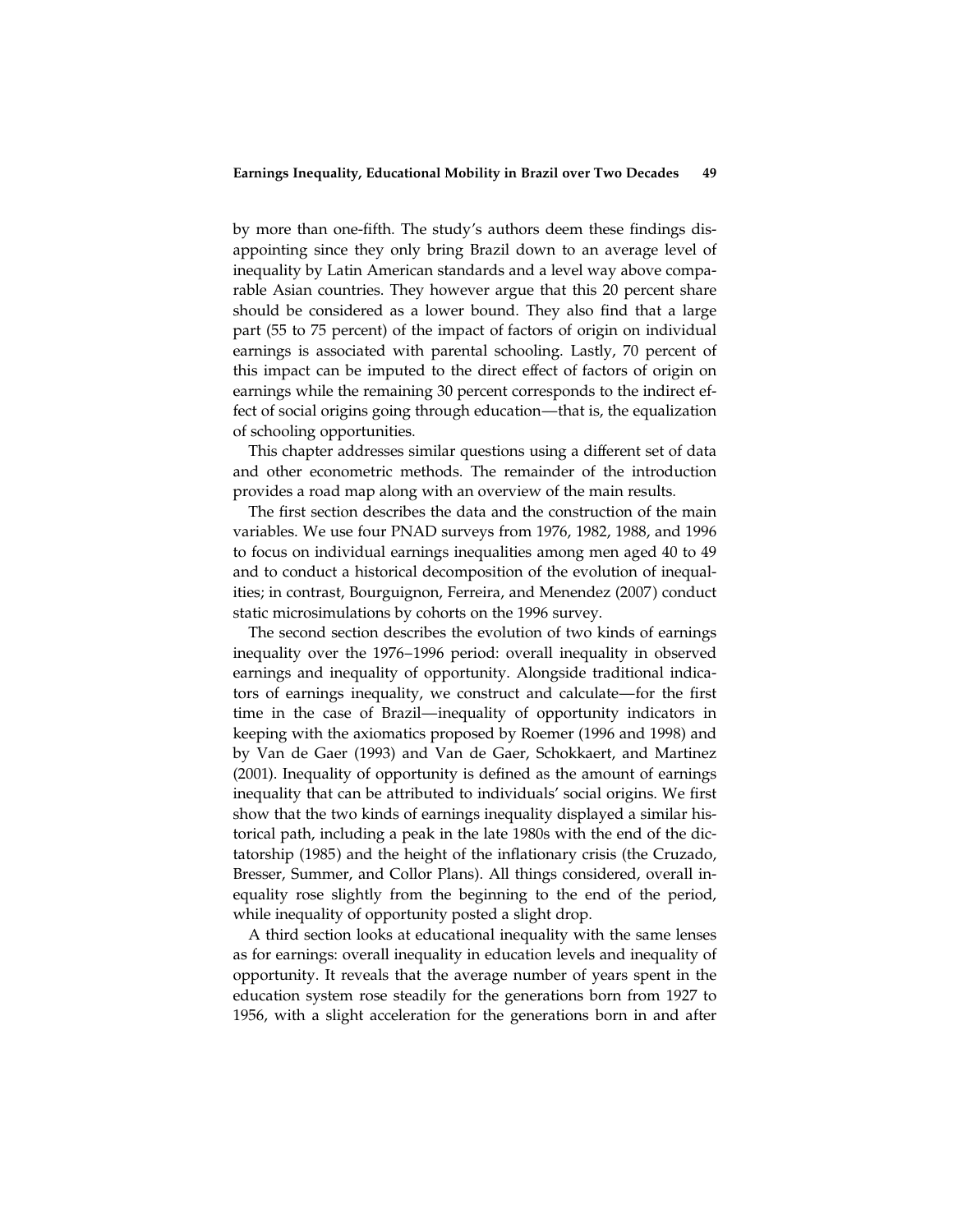by more than one-fifth. The study's authors deem these findings disappointing since they only bring Brazil down to an average level of inequality by Latin American standards and a level way above comparable Asian countries. They however argue that this 20 percent share should be considered as a lower bound. They also find that a large part (55 to 75 percent) of the impact of factors of origin on individual earnings is associated with parental schooling. Lastly, 70 percent of this impact can be imputed to the direct effect of factors of origin on earnings while the remaining 30 percent corresponds to the indirect effect of social origins going through education—that is, the equalization of schooling opportunities.

This chapter addresses similar questions using a different set of data and other econometric methods. The remainder of the introduction provides a road map along with an overview of the main results.

The first section describes the data and the construction of the main variables. We use four PNAD surveys from 1976, 1982, 1988, and 1996 to focus on individual earnings inequalities among men aged 40 to 49 and to conduct a historical decomposition of the evolution of inequalities; in contrast, Bourguignon, Ferreira, and Menendez (2007) conduct static microsimulations by cohorts on the 1996 survey.

The second section describes the evolution of two kinds of earnings inequality over the 1976–1996 period: overall inequality in observed earnings and inequality of opportunity. Alongside traditional indicators of earnings inequality, we construct and calculate—for the first time in the case of Brazil—inequality of opportunity indicators in keeping with the axiomatics proposed by Roemer (1996 and 1998) and by Van de Gaer (1993) and Van de Gaer, Schokkaert, and Martinez (2001). Inequality of opportunity is defined as the amount of earnings inequality that can be attributed to individuals' social origins. We first show that the two kinds of earnings inequality displayed a similar historical path, including a peak in the late 1980s with the end of the dictatorship (1985) and the height of the inflationary crisis (the Cruzado, Bresser, Summer, and Collor Plans). All things considered, overall inequality rose slightly from the beginning to the end of the period, while inequality of opportunity posted a slight drop.

A third section looks at educational inequality with the same lenses as for earnings: overall inequality in education levels and inequality of opportunity. It reveals that the average number of years spent in the education system rose steadily for the generations born from 1927 to 1956, with a slight acceleration for the generations born in and after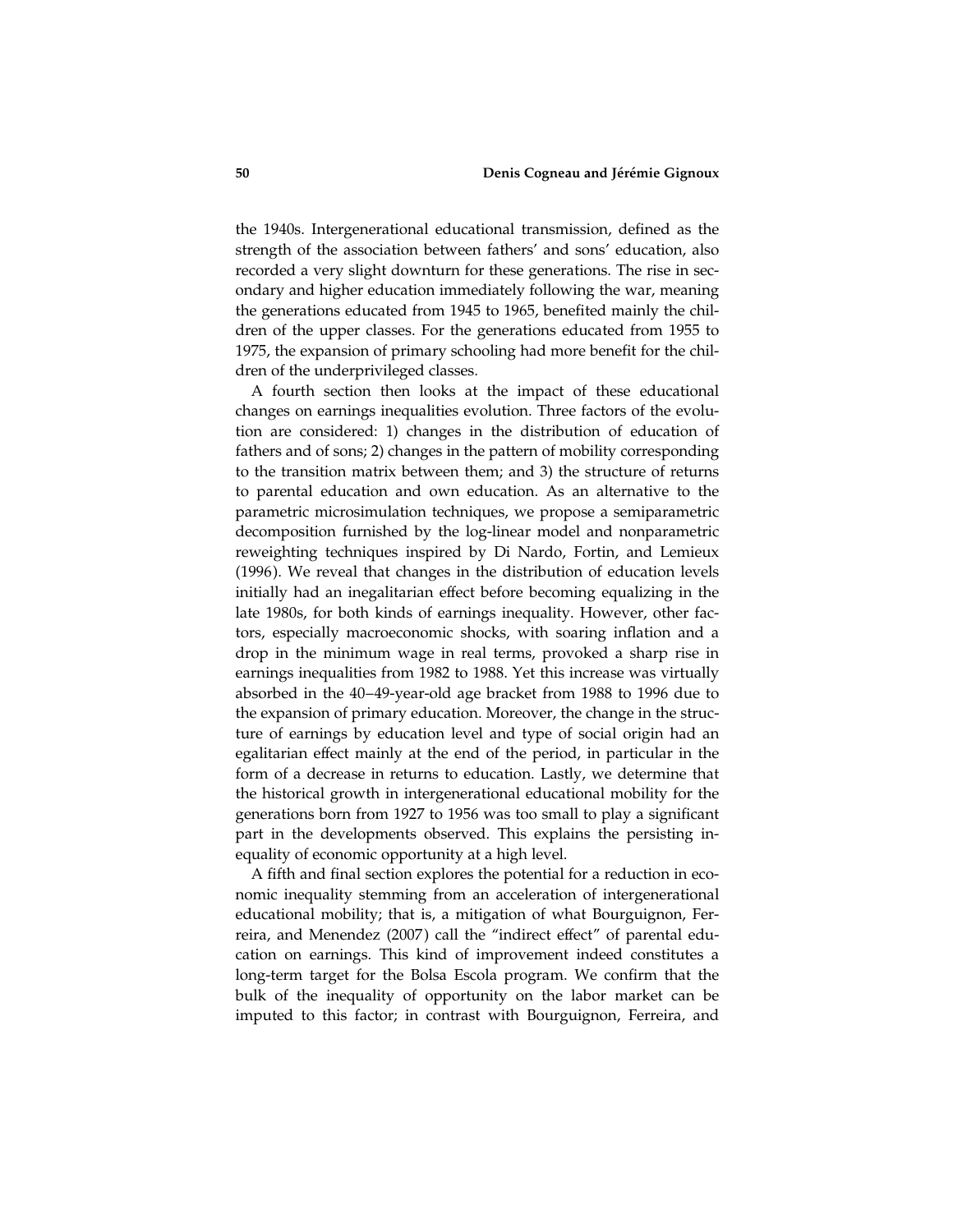the 1940s. Intergenerational educational transmission, defined as the strength of the association between fathers' and sons' education, also recorded a very slight downturn for these generations. The rise in secondary and higher education immediately following the war, meaning the generations educated from 1945 to 1965, benefited mainly the children of the upper classes. For the generations educated from 1955 to 1975, the expansion of primary schooling had more benefit for the children of the underprivileged classes.

A fourth section then looks at the impact of these educational changes on earnings inequalities evolution. Three factors of the evolution are considered: 1) changes in the distribution of education of fathers and of sons; 2) changes in the pattern of mobility corresponding to the transition matrix between them; and 3) the structure of returns to parental education and own education. As an alternative to the parametric microsimulation techniques, we propose a semiparametric decomposition furnished by the log-linear model and nonparametric reweighting techniques inspired by Di Nardo, Fortin, and Lemieux (1996). We reveal that changes in the distribution of education levels initially had an inegalitarian effect before becoming equalizing in the late 1980s, for both kinds of earnings inequality. However, other factors, especially macroeconomic shocks, with soaring inflation and a drop in the minimum wage in real terms, provoked a sharp rise in earnings inequalities from 1982 to 1988. Yet this increase was virtually absorbed in the 40–49-year-old age bracket from 1988 to 1996 due to the expansion of primary education. Moreover, the change in the structure of earnings by education level and type of social origin had an egalitarian effect mainly at the end of the period, in particular in the form of a decrease in returns to education. Lastly, we determine that the historical growth in intergenerational educational mobility for the generations born from 1927 to 1956 was too small to play a significant part in the developments observed. This explains the persisting inequality of economic opportunity at a high level.

A fifth and final section explores the potential for a reduction in economic inequality stemming from an acceleration of intergenerational educational mobility; that is, a mitigation of what Bourguignon, Ferreira, and Menendez (2007) call the "indirect effect" of parental education on earnings. This kind of improvement indeed constitutes a long-term target for the Bolsa Escola program. We confirm that the bulk of the inequality of opportunity on the labor market can be imputed to this factor; in contrast with Bourguignon, Ferreira, and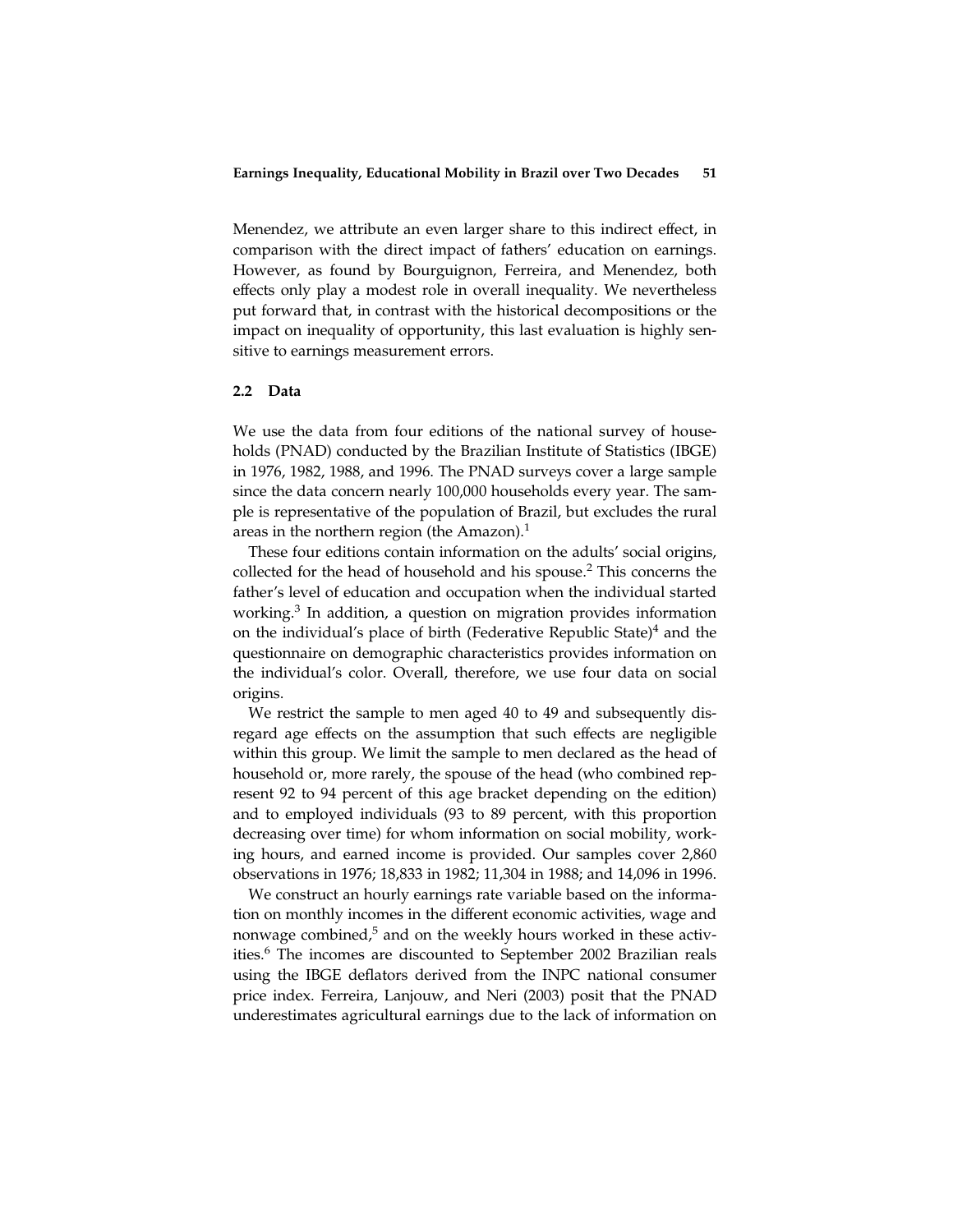Menendez, we attribute an even larger share to this indirect effect, in comparison with the direct impact of fathers' education on earnings. However, as found by Bourguignon, Ferreira, and Menendez, both effects only play a modest role in overall inequality. We nevertheless put forward that, in contrast with the historical decompositions or the impact on inequality of opportunity, this last evaluation is highly sensitive to earnings measurement errors.

### 2.2 Data

We use the data from four editions of the national survey of households (PNAD) conducted by the Brazilian Institute of Statistics (IBGE) in 1976, 1982, 1988, and 1996. The PNAD surveys cover a large sample since the data concern nearly 100,000 households every year. The sample is representative of the population of Brazil, but excludes the rural areas in the northern region (the Amazon).<sup>1</sup>

These four editions contain information on the adults' social origins, collected for the head of household and his spouse.<sup>2</sup> This concerns the father's level of education and occupation when the individual started working.<sup>3</sup> In addition, a question on migration provides information on the individual's place of birth (Federative Republic State) $4$  and the questionnaire on demographic characteristics provides information on the individual's color. Overall, therefore, we use four data on social origins.

We restrict the sample to men aged 40 to 49 and subsequently disregard age effects on the assumption that such effects are negligible within this group. We limit the sample to men declared as the head of household or, more rarely, the spouse of the head (who combined represent 92 to 94 percent of this age bracket depending on the edition) and to employed individuals (93 to 89 percent, with this proportion decreasing over time) for whom information on social mobility, working hours, and earned income is provided. Our samples cover 2,860 observations in 1976; 18,833 in 1982; 11,304 in 1988; and 14,096 in 1996.

We construct an hourly earnings rate variable based on the information on monthly incomes in the different economic activities, wage and nonwage combined, $5$  and on the weekly hours worked in these activities.<sup>6</sup> The incomes are discounted to September 2002 Brazilian reals using the IBGE deflators derived from the INPC national consumer price index. Ferreira, Lanjouw, and Neri (2003) posit that the PNAD underestimates agricultural earnings due to the lack of information on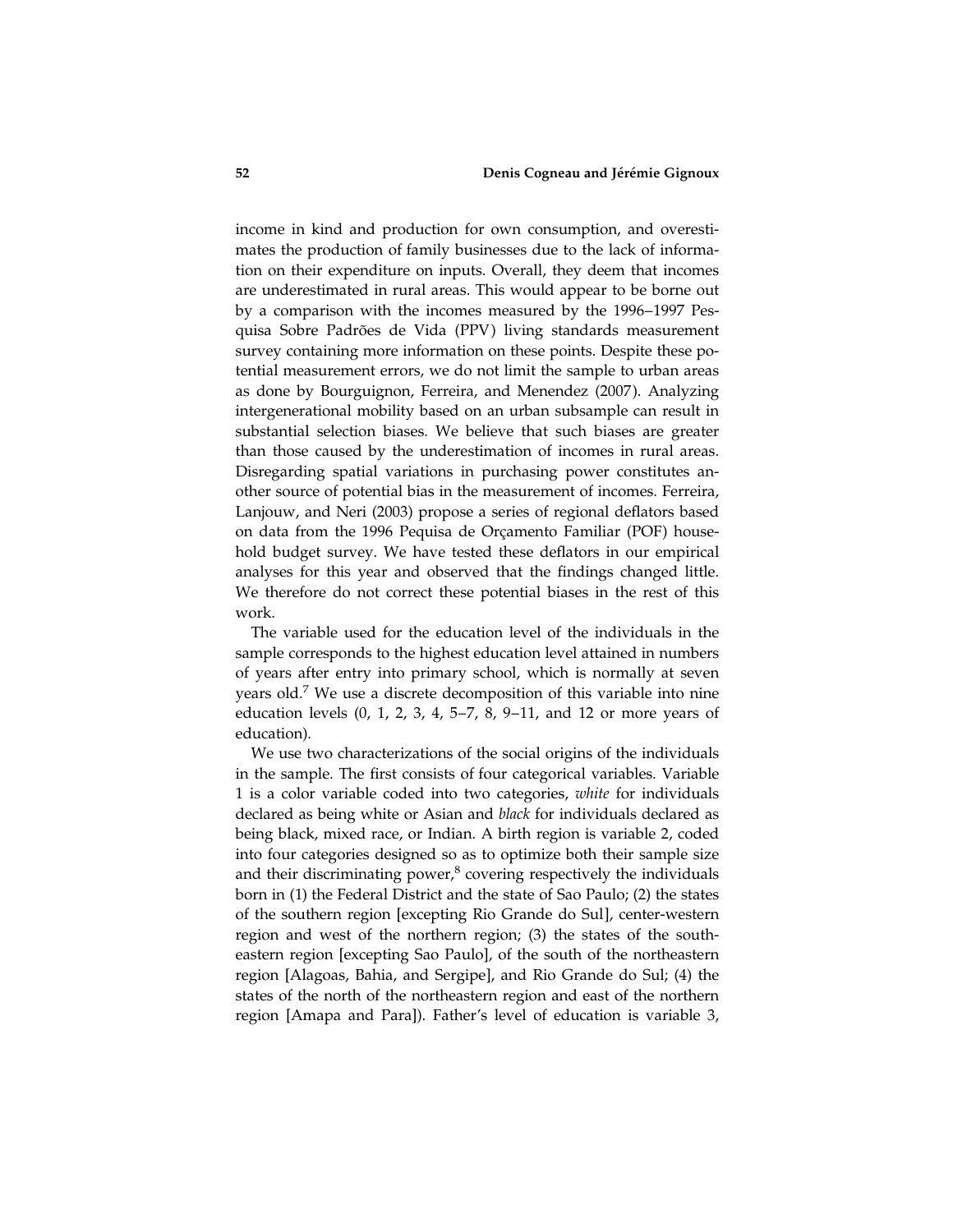income in kind and production for own consumption, and overestimates the production of family businesses due to the lack of information on their expenditure on inputs. Overall, they deem that incomes are underestimated in rural areas. This would appear to be borne out by a comparison with the incomes measured by the 1996–1997 Pesquisa Sobre Padrões de Vida (PPV) living standards measurement survey containing more information on these points. Despite these potential measurement errors, we do not limit the sample to urban areas as done by Bourguignon, Ferreira, and Menendez (2007 ). Analyzing intergenerational mobility based on an urban subsample can result in substantial selection biases. We believe that such biases are greater than those caused by the underestimation of incomes in rural areas. Disregarding spatial variations in purchasing power constitutes another source of potential bias in the measurement of incomes. Ferreira, Lanjouw, and Neri (2003) propose a series of regional deflators based on data from the 1996 Pequisa de Orçamento Familiar (POF) household budget survey. We have tested these deflators in our empirical analyses for this year and observed that the findings changed little. We therefore do not correct these potential biases in the rest of this work.

The variable used for the education level of the individuals in the sample corresponds to the highest education level attained in numbers of years after entry into primary school, which is normally at seven years old.<sup>7</sup> We use a discrete decomposition of this variable into nine education levels (0, 1, 2, 3, 4, 5–7, 8, 9–11, and 12 or more years of education).

We use two characterizations of the social origins of the individuals in the sample. The first consists of four categorical variables. Variable 1 is a color variable coded into two categories, white for individuals declared as being white or Asian and black for individuals declared as being black, mixed race, or Indian. A birth region is variable 2, coded into four categories designed so as to optimize both their sample size and their discriminating power, $<sup>8</sup>$  covering respectively the individuals</sup> born in (1) the Federal District and the state of Sao Paulo; (2) the states of the southern region [excepting Rio Grande do Sul], center-western region and west of the northern region; (3) the states of the southeastern region [excepting Sao Paulo], of the south of the northeastern region [Alagoas, Bahia, and Sergipe], and Rio Grande do Sul; (4) the states of the north of the northeastern region and east of the northern region [Amapa and Para]). Father's level of education is variable 3,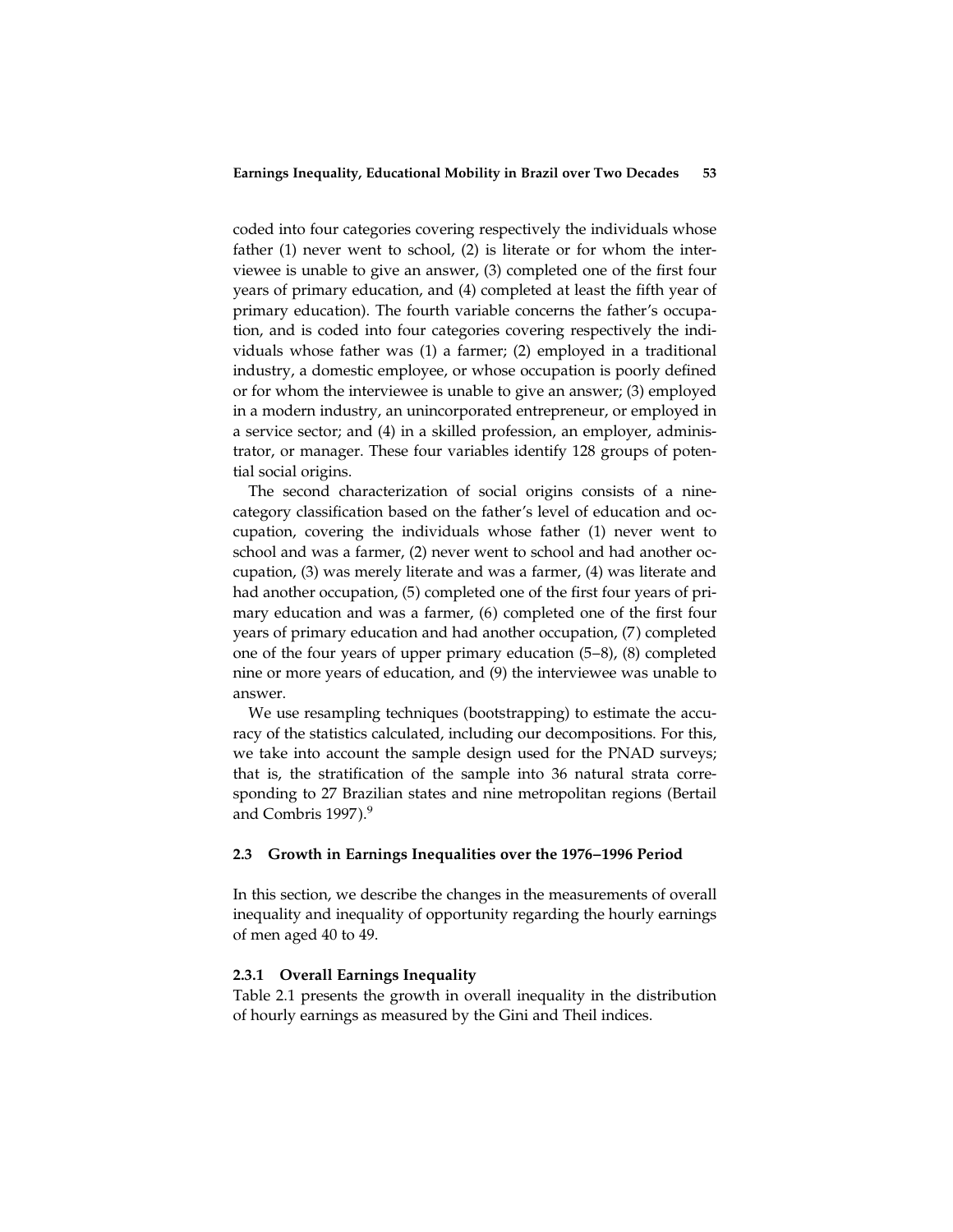coded into four categories covering respectively the individuals whose father (1) never went to school, (2) is literate or for whom the interviewee is unable to give an answer, (3) completed one of the first four years of primary education, and (4) completed at least the fifth year of primary education). The fourth variable concerns the father's occupation, and is coded into four categories covering respectively the individuals whose father was (1) a farmer; (2) employed in a traditional industry, a domestic employee, or whose occupation is poorly defined or for whom the interviewee is unable to give an answer; (3) employed in a modern industry, an unincorporated entrepreneur, or employed in a service sector; and (4) in a skilled profession, an employer, administrator, or manager. These four variables identify 128 groups of potential social origins.

The second characterization of social origins consists of a ninecategory classification based on the father's level of education and occupation, covering the individuals whose father (1) never went to school and was a farmer, (2) never went to school and had another occupation, (3) was merely literate and was a farmer, (4) was literate and had another occupation, (5) completed one of the first four years of primary education and was a farmer, (6) completed one of the first four years of primary education and had another occupation, (7) completed one of the four years of upper primary education (5–8), (8) completed nine or more years of education, and (9) the interviewee was unable to answer.

We use resampling techniques (bootstrapping) to estimate the accuracy of the statistics calculated, including our decompositions. For this, we take into account the sample design used for the PNAD surveys; that is, the stratification of the sample into 36 natural strata corresponding to 27 Brazilian states and nine metropolitan regions (Bertail and Combris 1997).<sup>9</sup>

# 2.3 Growth in Earnings Inequalities over the 1976–1996 Period

In this section, we describe the changes in the measurements of overall inequality and inequality of opportunity regarding the hourly earnings of men aged 40 to 49.

# 2.3.1 Overall Earnings Inequality

Table 2.1 presents the growth in overall inequality in the distribution of hourly earnings as measured by the Gini and Theil indices.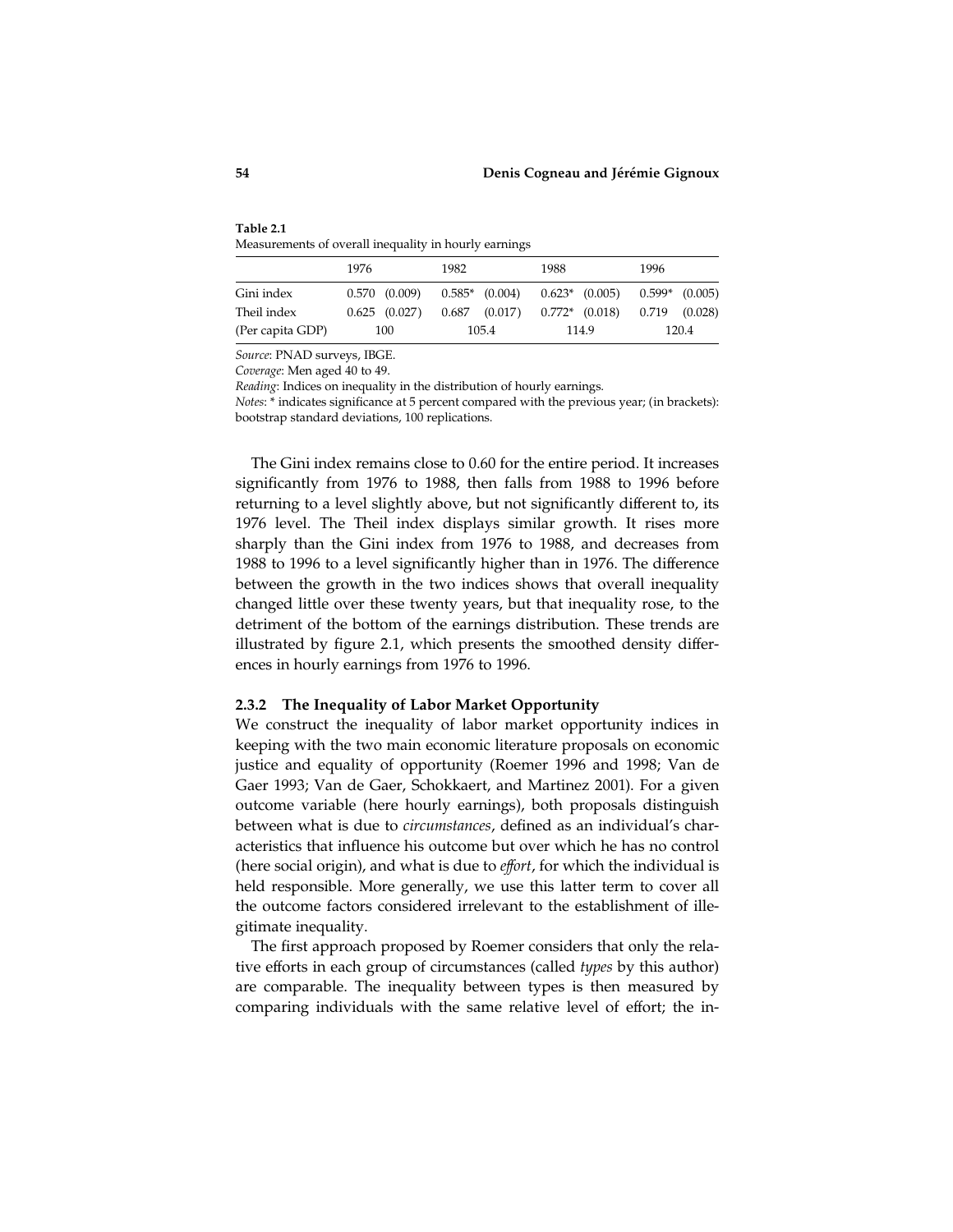| Table 2.1                                             |  |
|-------------------------------------------------------|--|
| Measurements of overall inequality in hourly earnings |  |

|                  | 1976              | 1982               | 1988               | 1996               |
|------------------|-------------------|--------------------|--------------------|--------------------|
| Gini index       | $0.570$ $(0.009)$ | $0.585*$ $(0.004)$ | $0.623*$ $(0.005)$ | $0.599*$ $(0.005)$ |
| Theil index      | $0.625$ $(0.027)$ | $0.687$ $(0.017)$  | $0.772*$ (0.018)   | 0.719<br>(0.028)   |
| (Per capita GDP) | 100               | 105.4              | 114.9              | 120.4              |

Source: PNAD surveys, IBGE.

Coverage: Men aged 40 to 49.

Reading: Indices on inequality in the distribution of hourly earnings.

Notes: \* indicates significance at 5 percent compared with the previous year; (in brackets): bootstrap standard deviations, 100 replications.

The Gini index remains close to 0.60 for the entire period. It increases significantly from 1976 to 1988, then falls from 1988 to 1996 before returning to a level slightly above, but not significantly different to, its 1976 level. The Theil index displays similar growth. It rises more sharply than the Gini index from 1976 to 1988, and decreases from 1988 to 1996 to a level significantly higher than in 1976. The difference between the growth in the two indices shows that overall inequality changed little over these twenty years, but that inequality rose, to the detriment of the bottom of the earnings distribution. These trends are illustrated by figure 2.1, which presents the smoothed density differences in hourly earnings from 1976 to 1996.

### 2.3.2 The Inequality of Labor Market Opportunity

We construct the inequality of labor market opportunity indices in keeping with the two main economic literature proposals on economic justice and equality of opportunity (Roemer 1996 and 1998; Van de Gaer 1993; Van de Gaer, Schokkaert, and Martinez 2001). For a given outcome variable (here hourly earnings), both proposals distinguish between what is due to circumstances, defined as an individual's characteristics that influence his outcome but over which he has no control (here social origin), and what is due to effort, for which the individual is held responsible. More generally, we use this latter term to cover all the outcome factors considered irrelevant to the establishment of illegitimate inequality.

The first approach proposed by Roemer considers that only the relative efforts in each group of circumstances (called types by this author) are comparable. The inequality between types is then measured by comparing individuals with the same relative level of effort; the in-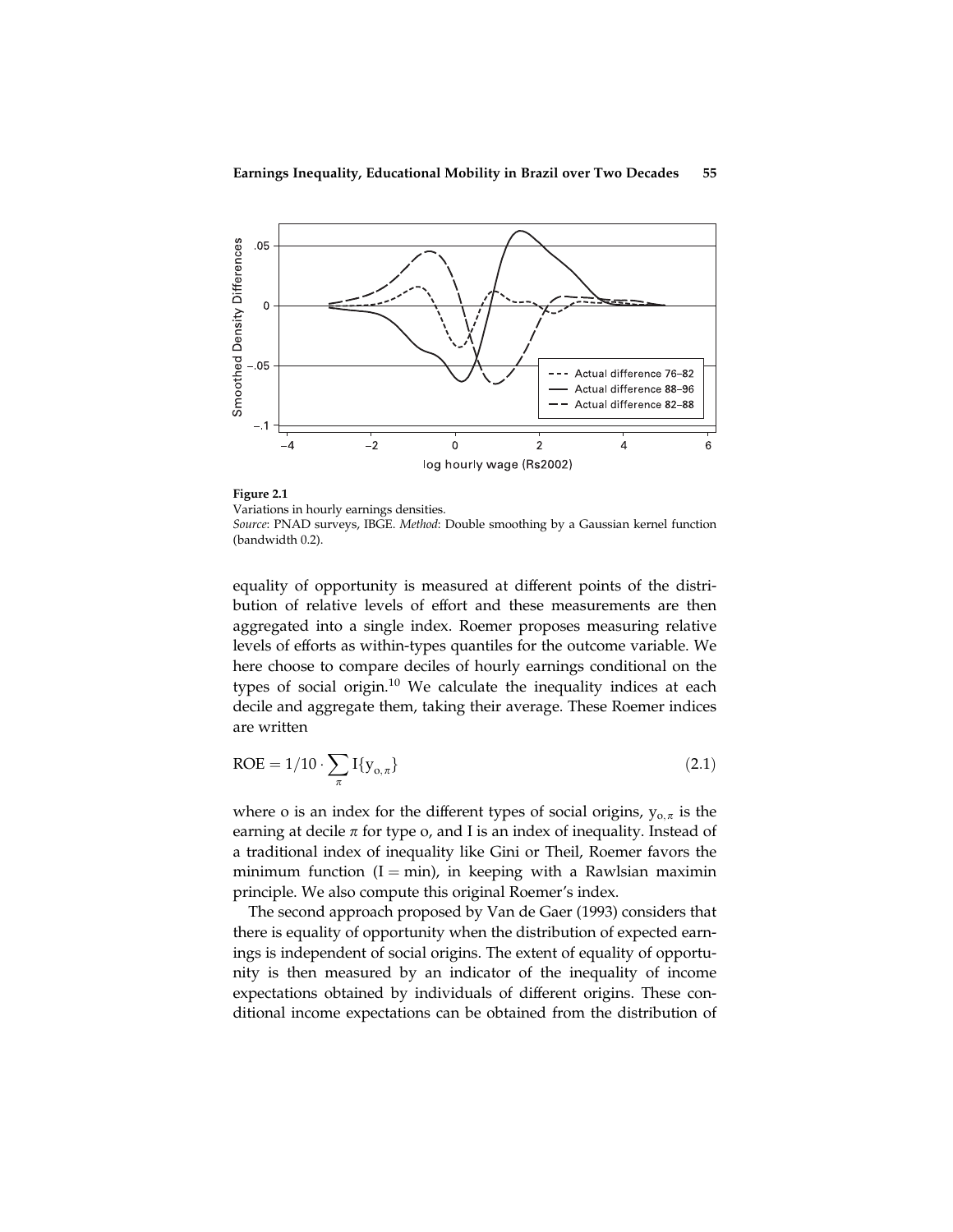

Figure 2.1 Variations in hourly earnings densities. Source: PNAD surveys, IBGE. Method: Double smoothing by a Gaussian kernel function (bandwidth 0.2).

equality of opportunity is measured at different points of the distribution of relative levels of effort and these measurements are then aggregated into a single index. Roemer proposes measuring relative levels of efforts as within-types quantiles for the outcome variable. We here choose to compare deciles of hourly earnings conditional on the types of social origin.<sup>10</sup> We calculate the inequality indices at each decile and aggregate them, taking their average. These Roemer indices are written

$$
ROE = 1/10 \cdot \sum_{\pi} I\{y_{o,\pi}\}\tag{2.1}
$$

where o is an index for the different types of social origins,  $y_{0,\pi}$  is the earning at decile  $\pi$  for type o, and I is an index of inequality. Instead of a traditional index of inequality like Gini or Theil, Roemer favors the minimum function  $(I = min)$ , in keeping with a Rawlsian maximin principle. We also compute this original Roemer's index.

The second approach proposed by Van de Gaer (1993) considers that there is equality of opportunity when the distribution of expected earnings is independent of social origins. The extent of equality of opportunity is then measured by an indicator of the inequality of income expectations obtained by individuals of different origins. These conditional income expectations can be obtained from the distribution of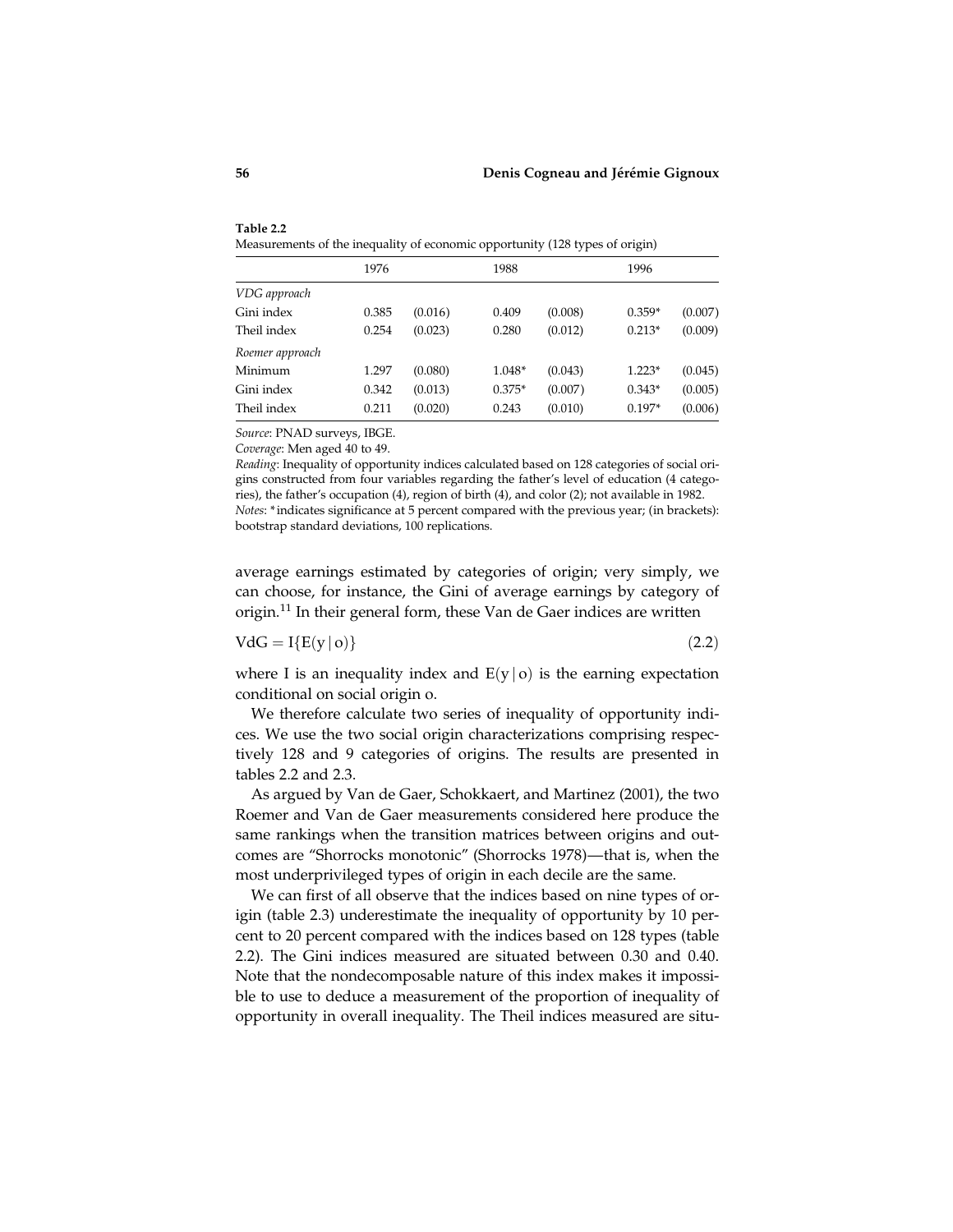| Measurements of the inequality of economic opportunity (128 types of origin) |       |         |          |         |          |         |
|------------------------------------------------------------------------------|-------|---------|----------|---------|----------|---------|
|                                                                              | 1976  |         | 1988     |         | 1996     |         |
| VDG approach                                                                 |       |         |          |         |          |         |
| Gini index                                                                   | 0.385 | (0.016) | 0.409    | (0.008) | $0.359*$ | (0.007) |
| Theil index                                                                  | 0.254 | (0.023) | 0.280    | (0.012) | $0.213*$ | (0.009) |
| Roemer approach                                                              |       |         |          |         |          |         |
| Minimum                                                                      | 1.297 | (0.080) | 1.048*   | (0.043) | $1.223*$ | (0.045) |
| Gini index                                                                   | 0.342 | (0.013) | $0.375*$ | (0.007) | $0.343*$ | (0.005) |
| Theil index                                                                  | 0.211 | (0.020) | 0.243    | (0.010) | $0.197*$ | (0.006) |

Table 2.2 Measurements of the inequality of economic opportunity (128 types of origin)

Source: PNAD surveys, IBGE.

Coverage: Men aged 40 to 49.

Reading: Inequality of opportunity indices calculated based on 128 categories of social origins constructed from four variables regarding the father's level of education (4 categories), the father's occupation (4), region of birth (4), and color (2); not available in 1982. Notes: \*indicates significance at 5 percent compared with the previous year; (in brackets): bootstrap standard deviations, 100 replications.

average earnings estimated by categories of origin; very simply, we can choose, for instance, the Gini of average earnings by category of origin.<sup>11</sup> In their general form, these Van de Gaer indices are written

$$
VdG = I{E(y \mid o)} \tag{2.2}
$$

where I is an inequality index and  $E(y|o)$  is the earning expectation conditional on social origin o.

We therefore calculate two series of inequality of opportunity indices. We use the two social origin characterizations comprising respectively 128 and 9 categories of origins. The results are presented in tables 2.2 and 2.3.

As argued by Van de Gaer, Schokkaert, and Martinez (2001), the two Roemer and Van de Gaer measurements considered here produce the same rankings when the transition matrices between origins and outcomes are ''Shorrocks monotonic'' (Shorrocks 1978)—that is, when the most underprivileged types of origin in each decile are the same.

We can first of all observe that the indices based on nine types of origin (table 2.3) underestimate the inequality of opportunity by 10 percent to 20 percent compared with the indices based on 128 types (table 2.2). The Gini indices measured are situated between 0.30 and 0.40. Note that the nondecomposable nature of this index makes it impossible to use to deduce a measurement of the proportion of inequality of opportunity in overall inequality. The Theil indices measured are situ-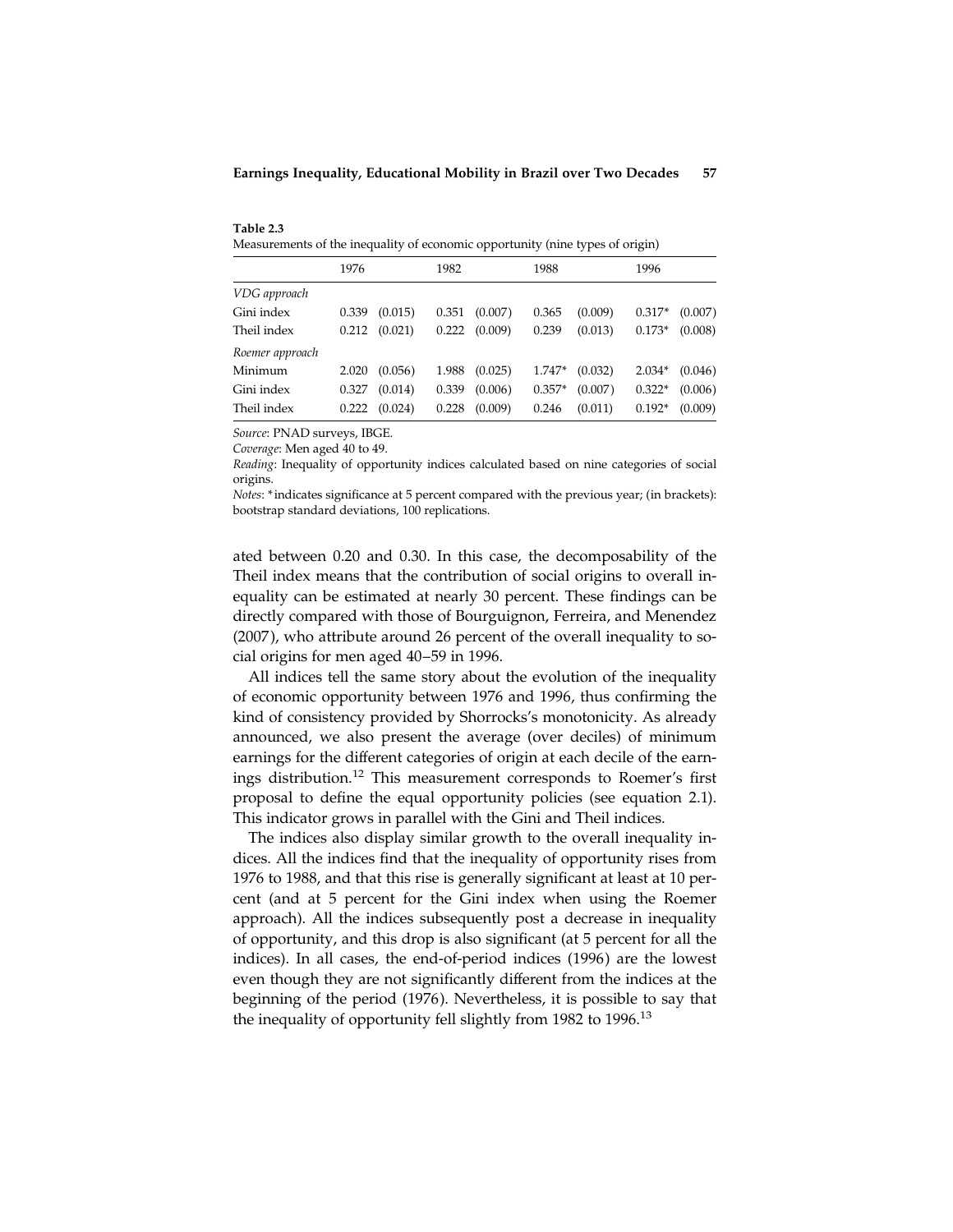| Table 2.3                                                                     |
|-------------------------------------------------------------------------------|
| Measurements of the inequality of economic opportunity (nine types of origin) |

|                 | 1976  |         | 1982  |         | 1988     |         | 1996     |         |
|-----------------|-------|---------|-------|---------|----------|---------|----------|---------|
| VDG approach    |       |         |       |         |          |         |          |         |
| Gini index      | 0.339 | (0.015) | 0.351 | (0.007) | 0.365    | (0.009) | $0.317*$ | (0.007) |
| Theil index     | 0.212 | (0.021) | 0.222 | (0.009) | 0.239    | (0.013) | $0.173*$ | (0.008) |
| Roemer approach |       |         |       |         |          |         |          |         |
| Minimum         | 2.020 | (0.056) | 1.988 | (0.025) | 1.747*   | (0.032) | $2.034*$ | (0.046) |
| Gini index      | 0.327 | (0.014) | 0.339 | (0.006) | $0.357*$ | (0.007) | $0.322*$ | (0.006) |
| Theil index     | 0.222 | (0.024) | 0.228 | (0.009) | 0.246    | (0.011) | $0.192*$ | (0.009) |

Source: PNAD surveys, IBGE.

Coverage: Men aged 40 to 49.

Reading: Inequality of opportunity indices calculated based on nine categories of social origins.

Notes: \*indicates significance at 5 percent compared with the previous year; (in brackets): bootstrap standard deviations, 100 replications.

ated between 0.20 and 0.30. In this case, the decomposability of the Theil index means that the contribution of social origins to overall inequality can be estimated at nearly 30 percent. These findings can be directly compared with those of Bourguignon, Ferreira, and Menendez (2007 ), who attribute around 26 percent of the overall inequality to social origins for men aged 40–59 in 1996.

All indices tell the same story about the evolution of the inequality of economic opportunity between 1976 and 1996, thus confirming the kind of consistency provided by Shorrocks's monotonicity. As already announced, we also present the average (over deciles) of minimum earnings for the different categories of origin at each decile of the earnings distribution.<sup>12</sup> This measurement corresponds to Roemer's first proposal to define the equal opportunity policies (see equation 2.1). This indicator grows in parallel with the Gini and Theil indices.

The indices also display similar growth to the overall inequality indices. All the indices find that the inequality of opportunity rises from 1976 to 1988, and that this rise is generally significant at least at 10 percent (and at 5 percent for the Gini index when using the Roemer approach). All the indices subsequently post a decrease in inequality of opportunity, and this drop is also significant (at 5 percent for all the indices). In all cases, the end-of-period indices (1996) are the lowest even though they are not significantly different from the indices at the beginning of the period (1976). Nevertheless, it is possible to say that the inequality of opportunity fell slightly from 1982 to 1996.<sup>13</sup>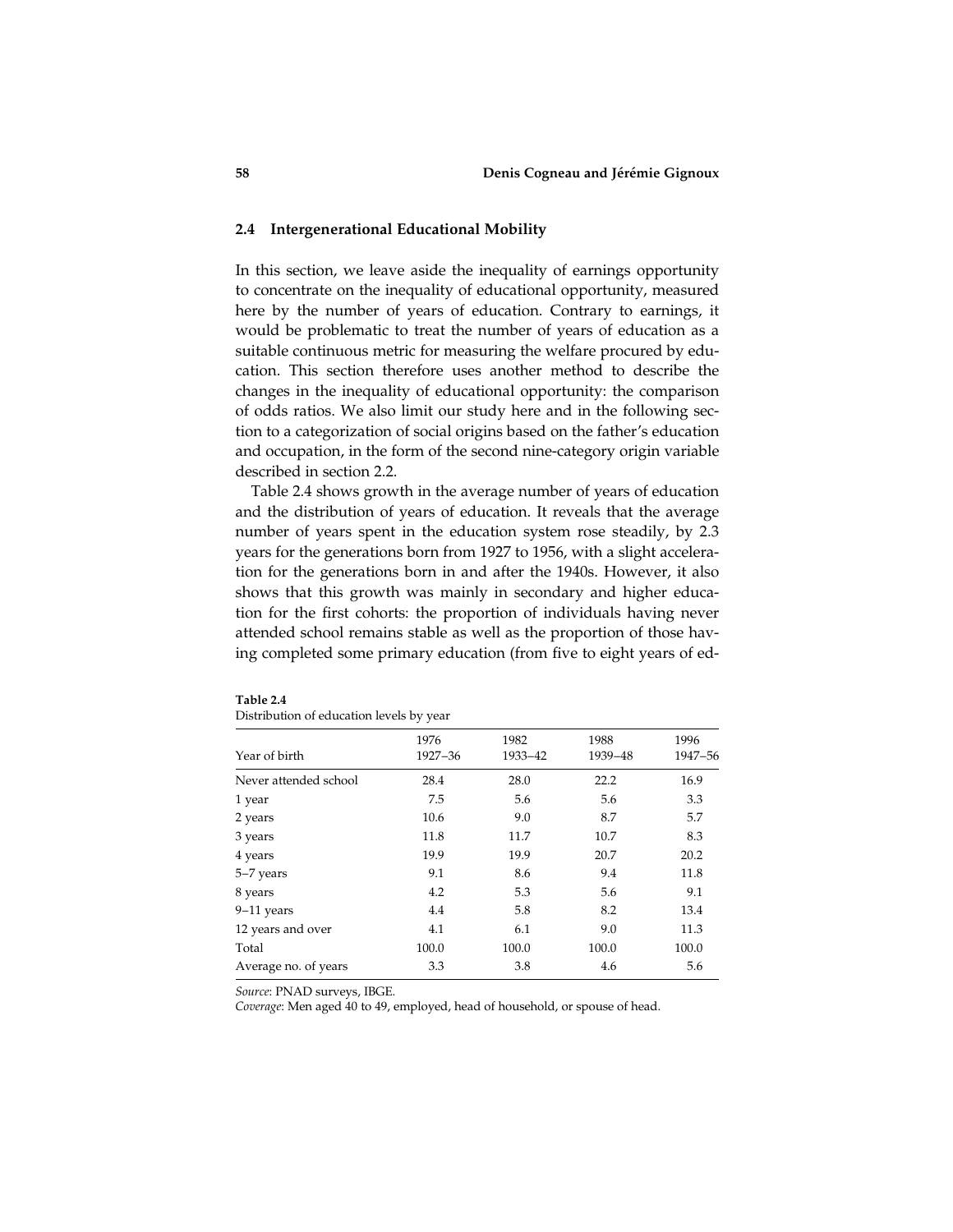# 2.4 Intergenerational Educational Mobility

In this section, we leave aside the inequality of earnings opportunity to concentrate on the inequality of educational opportunity, measured here by the number of years of education. Contrary to earnings, it would be problematic to treat the number of years of education as a suitable continuous metric for measuring the welfare procured by education. This section therefore uses another method to describe the changes in the inequality of educational opportunity: the comparison of odds ratios. We also limit our study here and in the following section to a categorization of social origins based on the father's education and occupation, in the form of the second nine-category origin variable described in section 2.2.

Table 2.4 shows growth in the average number of years of education and the distribution of years of education. It reveals that the average number of years spent in the education system rose steadily, by 2.3 years for the generations born from 1927 to 1956, with a slight acceleration for the generations born in and after the 1940s. However, it also shows that this growth was mainly in secondary and higher education for the first cohorts: the proportion of individuals having never attended school remains stable as well as the proportion of those having completed some primary education (from five to eight years of ed-

| Year of birth         | 1976<br>1927-36 | 1982<br>1933-42 | 1988<br>1939-48 | 1996<br>1947-56 |
|-----------------------|-----------------|-----------------|-----------------|-----------------|
| Never attended school | 28.4            | 28.0            | 22.2            | 16.9            |
| 1 year                | 7.5             | 5.6             | 5.6             | 3.3             |
| 2 years               | 10.6            | 9.0             | 8.7             | 5.7             |
| 3 years               | 11.8            | 11.7            | 10.7            | 8.3             |
| 4 years               | 19.9            | 19.9            | 20.7            | 20.2            |
| 5-7 years             | 9.1             | 8.6             | 9.4             | 11.8            |
| 8 years               | 4.2             | 5.3             | 5.6             | 9.1             |
| $9-11$ years          | 4.4             | 5.8             | 8.2             | 13.4            |
| 12 years and over     | 4.1             | 6.1             | 9.0             | 11.3            |
| Total                 | 100.0           | 100.0           | 100.0           | 100.0           |
| Average no. of years  | 3.3             | 3.8             | 4.6             | 5.6             |

| Table 2.4                                |  |
|------------------------------------------|--|
| Distribution of education levels by year |  |

Source: PNAD surveys, IBGE.

Coverage: Men aged 40 to 49, employed, head of household, or spouse of head.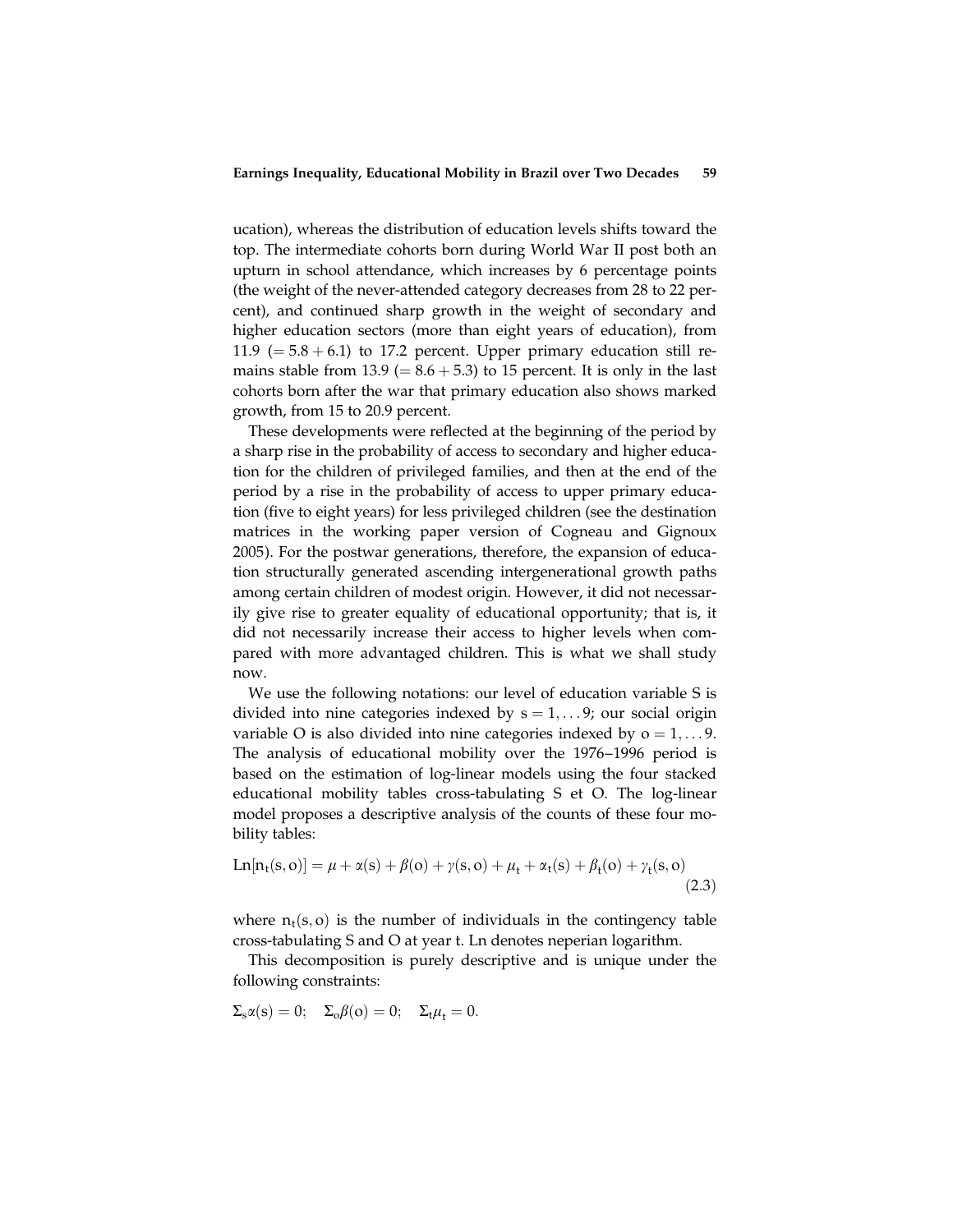ucation), whereas the distribution of education levels shifts toward the top. The intermediate cohorts born during World War II post both an upturn in school attendance, which increases by 6 percentage points (the weight of the never-attended category decreases from 28 to 22 percent), and continued sharp growth in the weight of secondary and higher education sectors (more than eight years of education), from 11.9 ( $= 5.8 + 6.1$ ) to 17.2 percent. Upper primary education still remains stable from 13.9 ( $= 8.6 + 5.3$ ) to 15 percent. It is only in the last cohorts born after the war that primary education also shows marked growth, from 15 to 20.9 percent.

These developments were reflected at the beginning of the period by a sharp rise in the probability of access to secondary and higher education for the children of privileged families, and then at the end of the period by a rise in the probability of access to upper primary education (five to eight years) for less privileged children (see the destination matrices in the working paper version of Cogneau and Gignoux 2005). For the postwar generations, therefore, the expansion of education structurally generated ascending intergenerational growth paths among certain children of modest origin. However, it did not necessarily give rise to greater equality of educational opportunity; that is, it did not necessarily increase their access to higher levels when compared with more advantaged children. This is what we shall study now.

We use the following notations: our level of education variable S is divided into nine categories indexed by  $s = 1, \ldots 9$ ; our social origin variable O is also divided into nine categories indexed by  $o = 1, \ldots 9$ . The analysis of educational mobility over the 1976–1996 period is based on the estimation of log-linear models using the four stacked educational mobility tables cross-tabulating S et O. The log-linear model proposes a descriptive analysis of the counts of these four mobility tables:

$$
Ln[n_{t}(s, o)] = \mu + \alpha(s) + \beta(o) + \gamma(s, o) + \mu_{t} + \alpha_{t}(s) + \beta_{t}(o) + \gamma_{t}(s, o)
$$
\n(2.3)

where  $n_t(s, o)$  is the number of individuals in the contingency table cross-tabulating S and O at year t. Ln denotes neperian logarithm.

This decomposition is purely descriptive and is unique under the following constraints:

$$
\Sigma_s \alpha(s) = 0; \quad \Sigma_o \beta(o) = 0; \quad \Sigma_t \mu_t = 0.
$$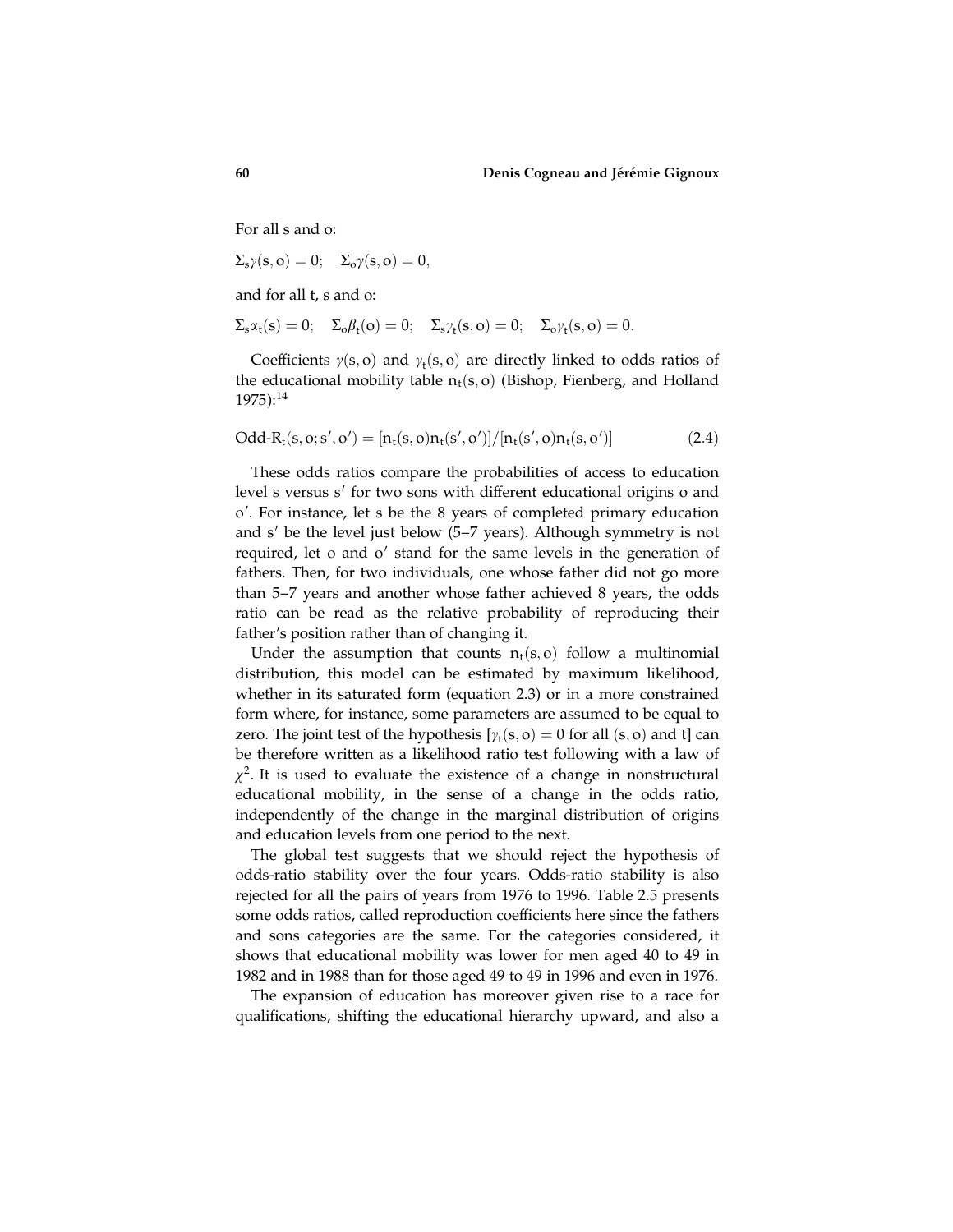For all s and o:

$$
\Sigma_s\gamma(s, o)=0;\quad \Sigma_o\gamma(s, o)=0,
$$

and for all t, s and o:

$$
\Sigma_s \alpha_t(s) = 0; \quad \Sigma_o \beta_t(o) = 0; \quad \Sigma_s \gamma_t(s, o) = 0; \quad \Sigma_o \gamma_t(s, o) = 0.
$$

Coefficients  $\gamma(s, o)$  and  $\gamma_t(s, o)$  are directly linked to odds ratios of the educational mobility table  $n_t(s, o)$  (Bishop, Fienberg, and Holland 1975):<sup>14</sup>

$$
Odd-R_t(s, o; s', o') = [n_t(s, o)n_t(s', o')]/[n_t(s', o)n_t(s, o')]
$$
(2.4)

These odds ratios compare the probabilities of access to education level s versus s' for two sons with different educational origins o and o'. For instance, let s be the 8 years of completed primary education and  $s'$  be the level just below (5–7 years). Although symmetry is not required, let o and o' stand for the same levels in the generation of fathers. Then, for two individuals, one whose father did not go more than 5–7 years and another whose father achieved 8 years, the odds ratio can be read as the relative probability of reproducing their father's position rather than of changing it.

Under the assumption that counts  $n_t(s, o)$  follow a multinomial distribution, this model can be estimated by maximum likelihood, whether in its saturated form (equation 2.3) or in a more constrained form where, for instance, some parameters are assumed to be equal to zero. The joint test of the hypothesis  $[\gamma_t(s, o) = 0$  for all  $(s, o)$  and t] can be therefore written as a likelihood ratio test following with a law of  $\chi^2$ . It is used to evaluate the existence of a change in nonstructural educational mobility, in the sense of a change in the odds ratio, independently of the change in the marginal distribution of origins and education levels from one period to the next.

The global test suggests that we should reject the hypothesis of odds-ratio stability over the four years. Odds-ratio stability is also rejected for all the pairs of years from 1976 to 1996. Table 2.5 presents some odds ratios, called reproduction coefficients here since the fathers and sons categories are the same. For the categories considered, it shows that educational mobility was lower for men aged 40 to 49 in 1982 and in 1988 than for those aged 49 to 49 in 1996 and even in 1976.

The expansion of education has moreover given rise to a race for qualifications, shifting the educational hierarchy upward, and also a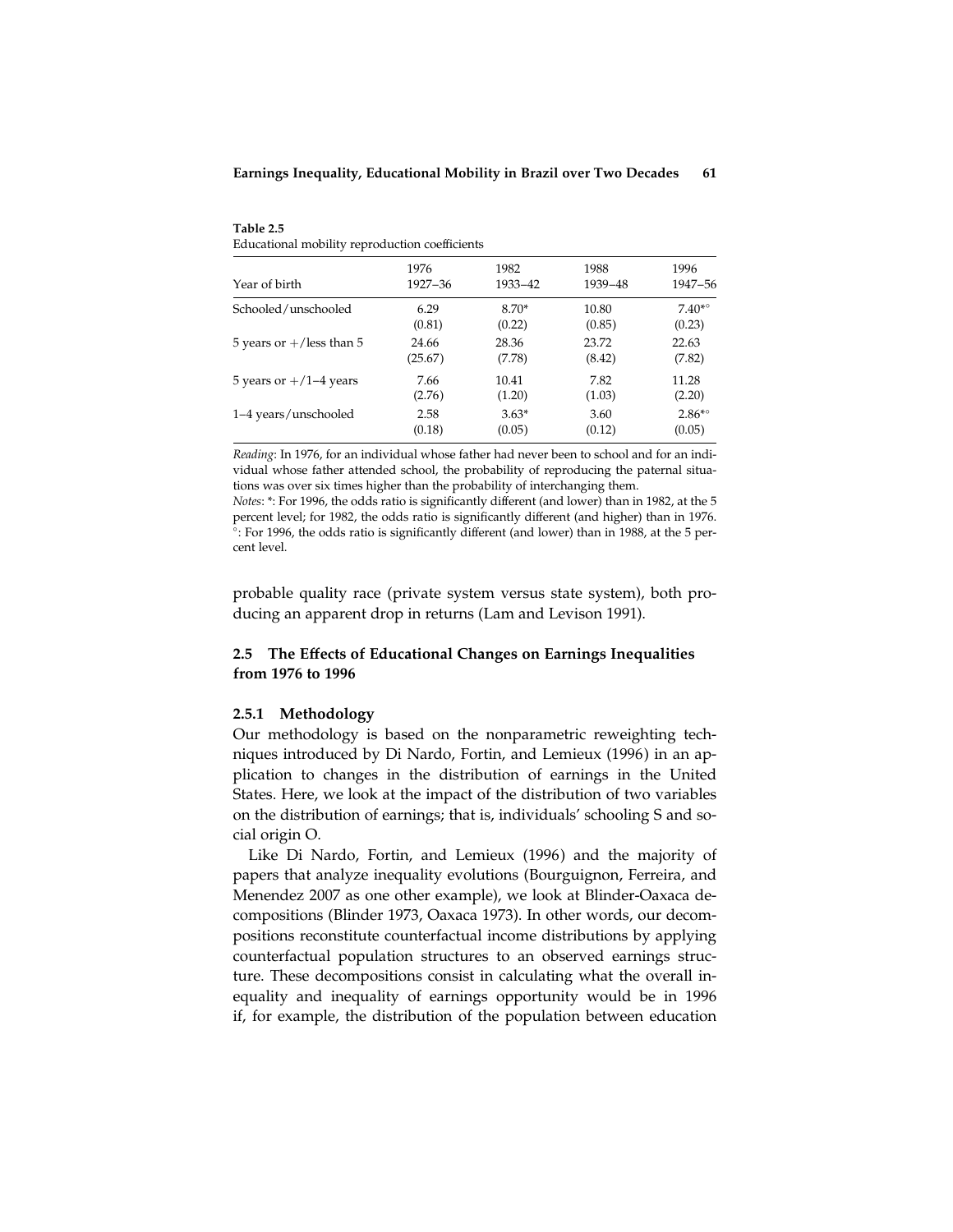Table 2.5 Educational mobility reproduction coefficients

| Year of birth               | 1976    | 1982    | 1988    | 1996              |
|-----------------------------|---------|---------|---------|-------------------|
|                             | 1927–36 | 1933-42 | 1939-48 | 1947-56           |
| Schooled/unschooled         | 6.29    | $8.70*$ | 10.80   | $7.40^{* \circ}$  |
|                             | (0.81)  | (0.22)  | (0.85)  | (0.23)            |
| 5 years or $+/$ less than 5 | 24.66   | 28.36   | 23.72   | 22.63             |
|                             | (25.67) | (7.78)  | (8.42)  | (7.82)            |
| 5 years or $+/1-4$ years    | 7.66    | 10.41   | 7.82    | 11.28             |
|                             | (2.76)  | (1.20)  | (1.03)  | (2.20)            |
| 1–4 years/unschooled        | 2.58    | $3.63*$ | 3.60    | $2.86^{*{\circ}}$ |
|                             | (0.18)  | (0.05)  | (0.12)  | (0.05)            |

Reading: In 1976, for an individual whose father had never been to school and for an individual whose father attended school, the probability of reproducing the paternal situations was over six times higher than the probability of interchanging them.

Notes: \*: For 1996, the odds ratio is significantly different (and lower) than in 1982, at the 5 percent level; for 1982, the odds ratio is significantly different (and higher) than in 1976. : For 1996, the odds ratio is significantly different (and lower) than in 1988, at the 5 percent level.

probable quality race (private system versus state system), both producing an apparent drop in returns (Lam and Levison 1991).

# 2.5 The Effects of Educational Changes on Earnings Inequalities from 1976 to 1996

## 2.5.1 Methodology

Our methodology is based on the nonparametric reweighting techniques introduced by Di Nardo, Fortin, and Lemieux (1996) in an application to changes in the distribution of earnings in the United States. Here, we look at the impact of the distribution of two variables on the distribution of earnings; that is, individuals' schooling S and social origin O.

Like Di Nardo, Fortin, and Lemieux (1996) and the majority of papers that analyze inequality evolutions (Bourguignon, Ferreira, and Menendez 2007 as one other example), we look at Blinder-Oaxaca decompositions (Blinder 1973, Oaxaca 1973). In other words, our decompositions reconstitute counterfactual income distributions by applying counterfactual population structures to an observed earnings structure. These decompositions consist in calculating what the overall inequality and inequality of earnings opportunity would be in 1996 if, for example, the distribution of the population between education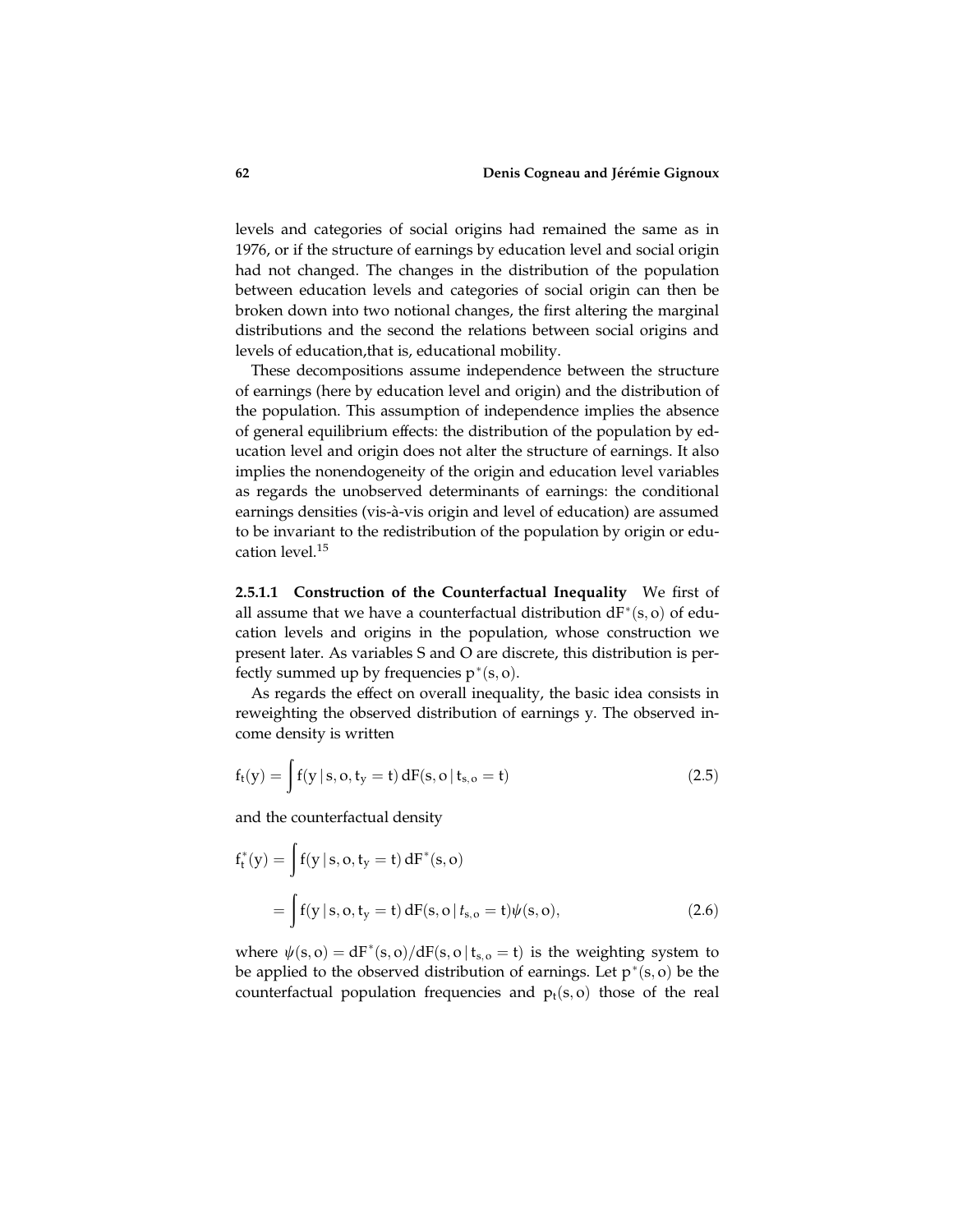levels and categories of social origins had remained the same as in 1976, or if the structure of earnings by education level and social origin had not changed. The changes in the distribution of the population between education levels and categories of social origin can then be broken down into two notional changes, the first altering the marginal distributions and the second the relations between social origins and levels of education,that is, educational mobility.

These decompositions assume independence between the structure of earnings (here by education level and origin) and the distribution of the population. This assumption of independence implies the absence of general equilibrium effects: the distribution of the population by education level and origin does not alter the structure of earnings. It also implies the nonendogeneity of the origin and education level variables as regards the unobserved determinants of earnings: the conditional earnings densities (vis-à-vis origin and level of education) are assumed to be invariant to the redistribution of the population by origin or education level.<sup>15</sup>

2.5.1.1 Construction of the Counterfactual Inequality We first of all assume that we have a counterfactual distribution  $dF^*(s, o)$  of education levels and origins in the population, whose construction we present later. As variables S and O are discrete, this distribution is perfectly summed up by frequencies  $p^*(s, o)$ .

As regards the effect on overall inequality, the basic idea consists in reweighting the observed distribution of earnings y. The observed income density is written

$$
f_t(y) = \int f(y \, | \, s, o, t_y = t) \, dF(s, o \, | \, t_{s, o} = t)
$$
\n(2.5)

and the counterfactual density

$$
f_{t}^{*}(y) = \int f(y \mid s, o, t_{y} = t) dF^{*}(s, o)
$$
  
= 
$$
\int f(y \mid s, o, t_{y} = t) dF(s, o \mid t_{s, o} = t) \psi(s, o),
$$
 (2.6)

where  $\psi(s, o) = dF^*(s, o)/dF(s, o | t_{s, o} = t)$  is the weighting system to be applied to the observed distribution of earnings. Let  $p^*(s, o)$  be the counterfactual population frequencies and  $p_t(s, o)$  those of the real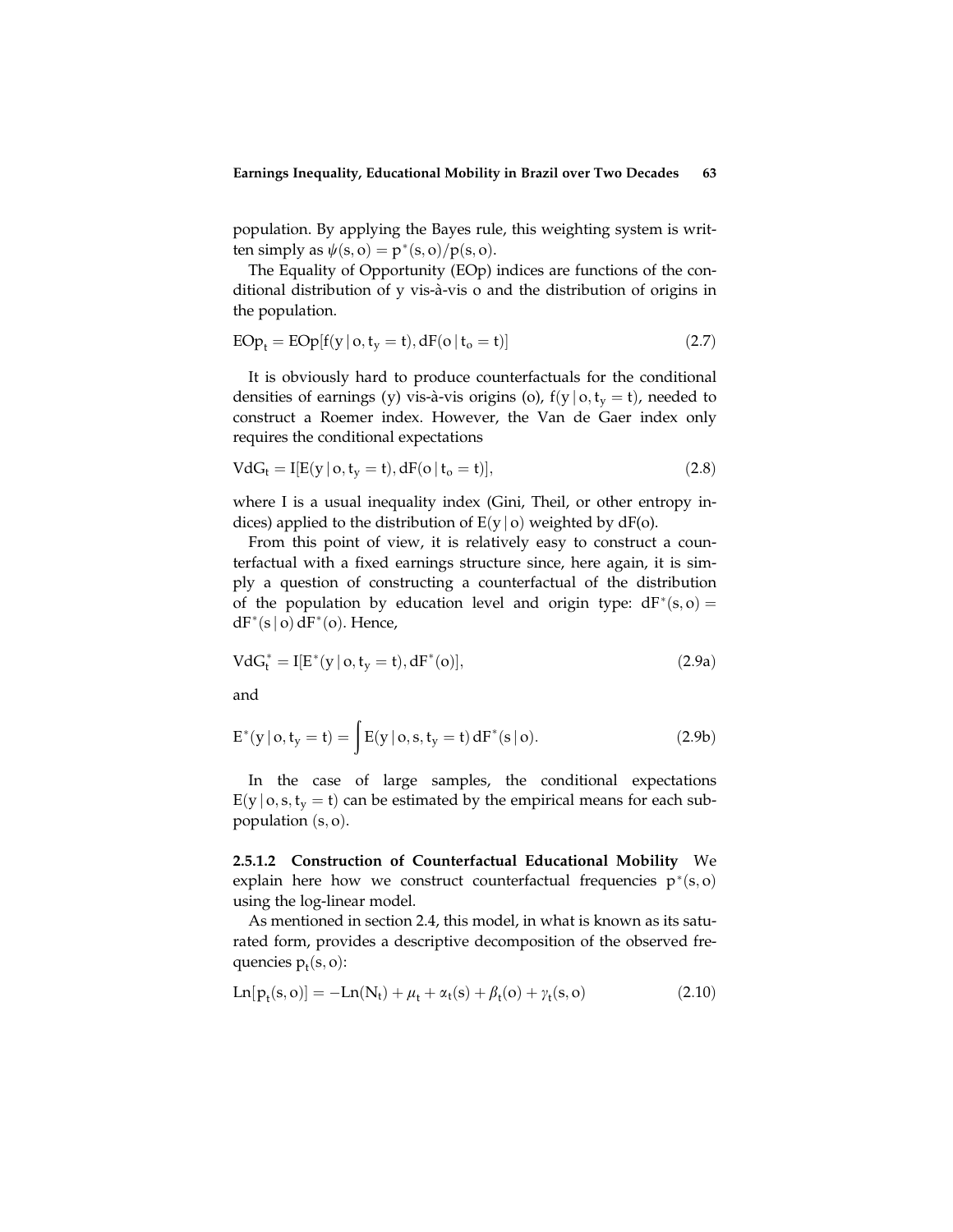population. By applying the Bayes rule, this weighting system is written simply as  $\psi(s, o) = p^*(s, o)/p(s, o)$ .

The Equality of Opportunity (EOp) indices are functions of the conditional distribution of y vis-à-vis o and the distribution of origins in the population.

$$
EOp_t = EOp[f(y | o, t_y = t), dF(o | t_o = t)]
$$
\n(2.7)

It is obviously hard to produce counterfactuals for the conditional densities of earnings (y) vis-à-vis origins (o),  $f(y | o, t_y = t)$ , needed to construct a Roemer index. However, the Van de Gaer index only requires the conditional expectations

$$
VdG_t = I[E(y | o, t_y = t), dF(o | t_o = t)],
$$
\n
$$
(2.8)
$$

where I is a usual inequality index (Gini, Theil, or other entropy indices) applied to the distribution of  $E(y | o)$  weighted by dF(o).

From this point of view, it is relatively easy to construct a counterfactual with a fixed earnings structure since, here again, it is simply a question of constructing a counterfactual of the distribution of the population by education level and origin type:  $dF^*(s, o) =$  $dF^*(s \mid o) dF^*(o)$ . Hence,

$$
VdG_t^* = I[E^*(y | o, t_y = t), dF^*(o)], \qquad (2.9a)
$$

and

$$
E^*(y | o, t_y = t) = \int E(y | o, s, t_y = t) dF^*(s | o).
$$
 (2.9b)

In the case of large samples, the conditional expectations  $E(y \mid o, s, t_v = t)$  can be estimated by the empirical means for each subpopulation  $(s, o)$ .

2.5.1.2 Construction of Counterfactual Educational Mobility We explain here how we construct counterfactual frequencies  $p^*(s, o)$ using the log-linear model.

As mentioned in section 2.4, this model, in what is known as its saturated form, provides a descriptive decomposition of the observed frequencies  $p_t(s, o)$ :

$$
Ln[p_t(s, o)] = -Ln(N_t) + \mu_t + \alpha_t(s) + \beta_t(o) + \gamma_t(s, o)
$$
\n(2.10)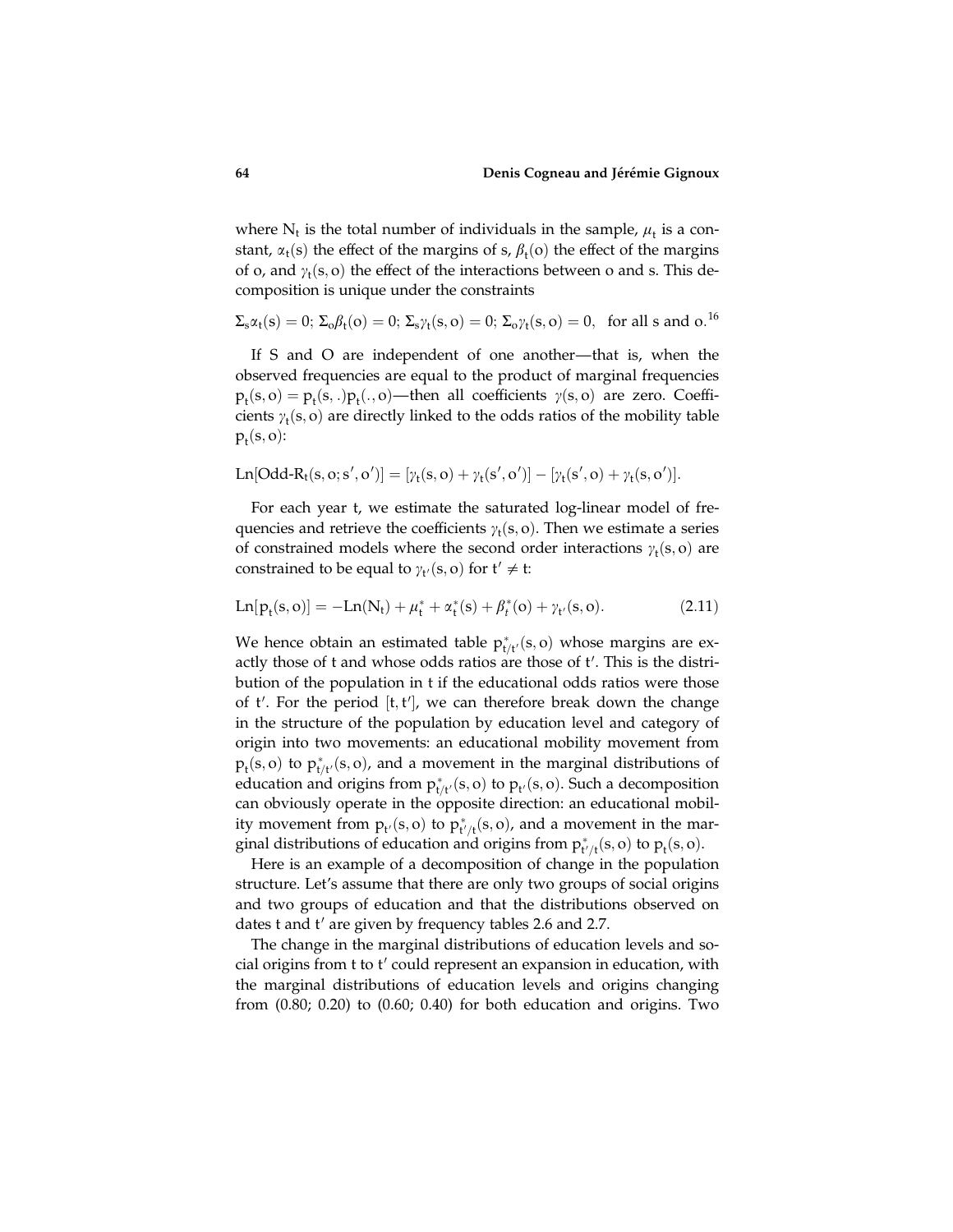where  $N_t$  is the total number of individuals in the sample,  $\mu_t$  is a constant,  $\alpha_t(s)$  the effect of the margins of s,  $\beta_t(o)$  the effect of the margins of o, and  $\gamma_t(s, o)$  the effect of the interactions between o and s. This decomposition is unique under the constraints

$$
\Sigma_s \alpha_t(s) = 0; \, \Sigma_o \beta_t(o) = 0; \, \Sigma_s \gamma_t(s, o) = 0; \, \Sigma_o \gamma_t(s, o) = 0, \, \text{ for all } s \text{ and } o. \,^{16}
$$

If S and O are independent of one another—that is, when the observed frequencies are equal to the product of marginal frequencies  $p_t(s, o) = p_t(s, .) p_t(., o)$ —then all coefficients  $\gamma(s, o)$  are zero. Coefficients  $\gamma_t(s, o)$  are directly linked to the odds ratios of the mobility table  $p_t(s, o)$ :

$$
Ln[Odd-R_t(s, o; s', o')] = [\gamma_t(s, o) + \gamma_t(s', o')] - [\gamma_t(s', o) + \gamma_t(s, o')].
$$

For each year t, we estimate the saturated log-linear model of frequencies and retrieve the coefficients  $\gamma_t(s, o)$ . Then we estimate a series of constrained models where the second order interactions  $\gamma_t(s, o)$  are constrained to be equal to  $\gamma_{t}(s, o)$  for  $t' \neq t$ :

$$
Ln[p_t(s, o)] = -Ln(N_t) + \mu_t^* + \alpha_t^*(s) + \beta_t^*(o) + \gamma_{t'}(s, o). \hspace{2cm} (2.11)
$$

We hence obtain an estimated table  $p_{t/t'}^*(s, o)$  whose margins are exactly those of t and whose odds ratios are those of t'. This is the distribution of the population in t if the educational odds ratios were those of  $t'$ . For the period  $[t, t']$ , we can therefore break down the change in the structure of the population by education level and category of origin into two movements: an educational mobility movement from  $p_t(s, o)$  to  $p_{t/t'}^*(s, o)$ , and a movement in the marginal distributions of education and origins from  $p_{t/t'}^*(s, o)$  to  $p_{t'}(s, o)$ . Such a decomposition can obviously operate in the opposite direction: an educational mobility movement from  $p_{t'}(s, o)$  to  $p_{t'/t}^*(s, o)$ , and a movement in the marginal distributions of education and origins from  $p_{t'/t}^*(s, o)$  to  $p_t(s, o)$ .

Here is an example of a decomposition of change in the population structure. Let's assume that there are only two groups of social origins and two groups of education and that the distributions observed on dates t and t' are given by frequency tables 2.6 and 2.7.

The change in the marginal distributions of education levels and social origins from  $t$  to  $t'$  could represent an expansion in education, with the marginal distributions of education levels and origins changing from (0.80; 0.20) to (0.60; 0.40) for both education and origins. Two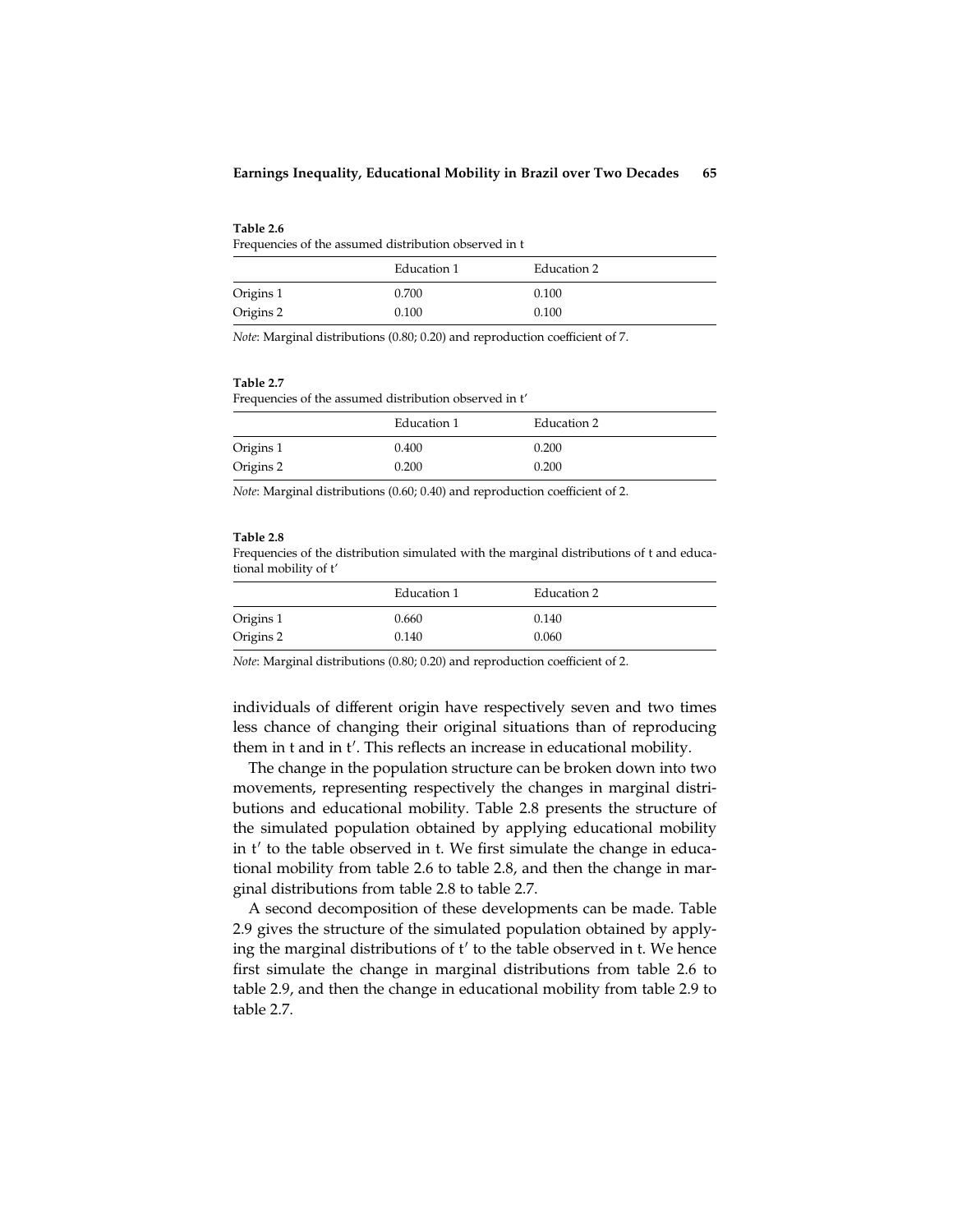| Table 2.6                                             |  |  |
|-------------------------------------------------------|--|--|
| Frequencies of the assumed distribution observed in t |  |  |

|           | Education 1 | Education 2 |
|-----------|-------------|-------------|
| Origins 1 | 0.700       | 0.100       |
| Origins 2 | 0.100       | 0.100       |

Note: Marginal distributions (0.80; 0.20) and reproduction coefficient of 7.

### Table 2.7

Frequencies of the assumed distribution observed in t'

|           | Education 1 | Education 2 |
|-----------|-------------|-------------|
| Origins 1 | 0.400       | 0.200       |
| Origins 2 | 0.200       | 0.200       |

Note: Marginal distributions (0.60; 0.40) and reproduction coefficient of 2.

### Table 2.8

Frequencies of the distribution simulated with the marginal distributions of t and educational mobility of t'

|           | Education 1 | Education 2 |
|-----------|-------------|-------------|
| Origins 1 | 0.660       | 0.140       |
| Origins 2 | 0.140       | 0.060       |

Note: Marginal distributions (0.80; 0.20) and reproduction coefficient of 2.

individuals of different origin have respectively seven and two times less chance of changing their original situations than of reproducing them in t and in t'. This reflects an increase in educational mobility.

The change in the population structure can be broken down into two movements, representing respectively the changes in marginal distributions and educational mobility. Table 2.8 presents the structure of the simulated population obtained by applying educational mobility in  $t'$  to the table observed in t. We first simulate the change in educational mobility from table 2.6 to table 2.8, and then the change in marginal distributions from table 2.8 to table 2.7.

A second decomposition of these developments can be made. Table 2.9 gives the structure of the simulated population obtained by applying the marginal distributions of  $t'$  to the table observed in t. We hence first simulate the change in marginal distributions from table 2.6 to table 2.9, and then the change in educational mobility from table 2.9 to table 2.7.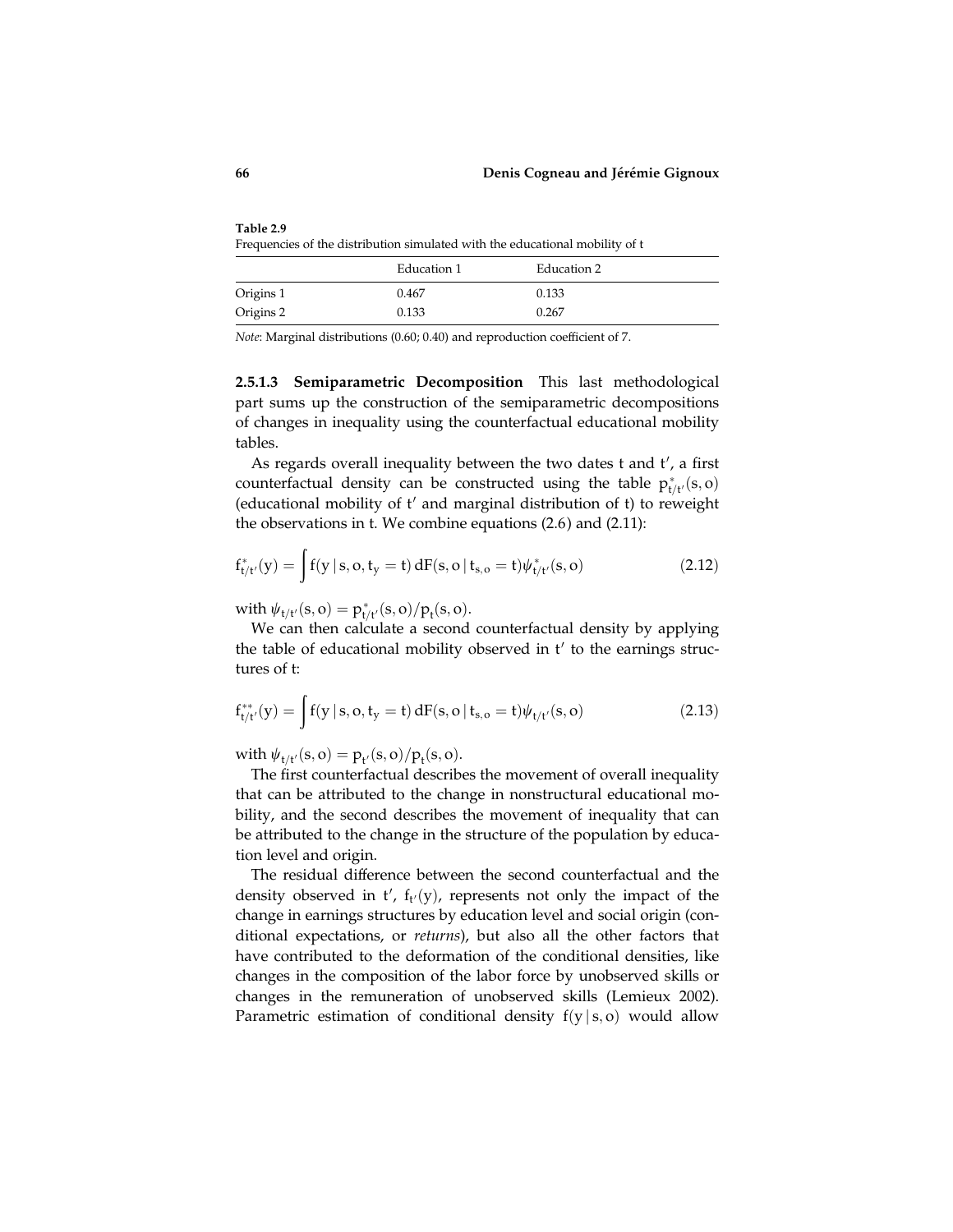Table 2.9 Frequencies of the distribution simulated with the educational mobility of t

|           | Education 1 | Education 2 |
|-----------|-------------|-------------|
| Origins 1 | 0.467       | 0.133       |
| Origins 2 | 0.133       | 0.267       |

Note: Marginal distributions (0.60; 0.40) and reproduction coefficient of 7.

2.5.1.3 Semiparametric Decomposition This last methodological part sums up the construction of the semiparametric decompositions of changes in inequality using the counterfactual educational mobility tables.

As regards overall inequality between the two dates t and t', a first counterfactual density can be constructed using the table  $p_{t/t'}^*(s, o)$ (educational mobility of  $t'$  and marginal distribution of  $t$ ) to reweight the observations in t. We combine equations (2.6) and (2.11):

$$
f_{t/t'}^*(y) = \int\! f(y\,|\,s,o,t_y=t)\,dF(s,o\,|\,t_{s,o}=t)\psi_{t/t'}^*(s,o) \tag{2.12}
$$

with  $\psi_{t/t'}(s, o) = p_{t/t'}^*(s, o) / p_t(s, o).$ 

We can then calculate a second counterfactual density by applying the table of educational mobility observed in  $t'$  to the earnings structures of t:

$$
f_{t/t'}^{**}(y) = \int f(y \, | \, s, o, t_y = t) \, dF(s, o \, | \, t_{s, o} = t) \psi_{t/t'}(s, o) \tag{2.13}
$$

with  $\psi_{t/t'}(s, o) = p_{t'}(s, o) / p_t(s, o)$ .

The first counterfactual describes the movement of overall inequality that can be attributed to the change in nonstructural educational mobility, and the second describes the movement of inequality that can be attributed to the change in the structure of the population by education level and origin.

The residual difference between the second counterfactual and the density observed in  $t'$ ,  $f_{t'}(y)$ , represents not only the impact of the change in earnings structures by education level and social origin (conditional expectations, or returns), but also all the other factors that have contributed to the deformation of the conditional densities, like changes in the composition of the labor force by unobserved skills or changes in the remuneration of unobserved skills (Lemieux 2002). Parametric estimation of conditional density  $f(y | s, o)$  would allow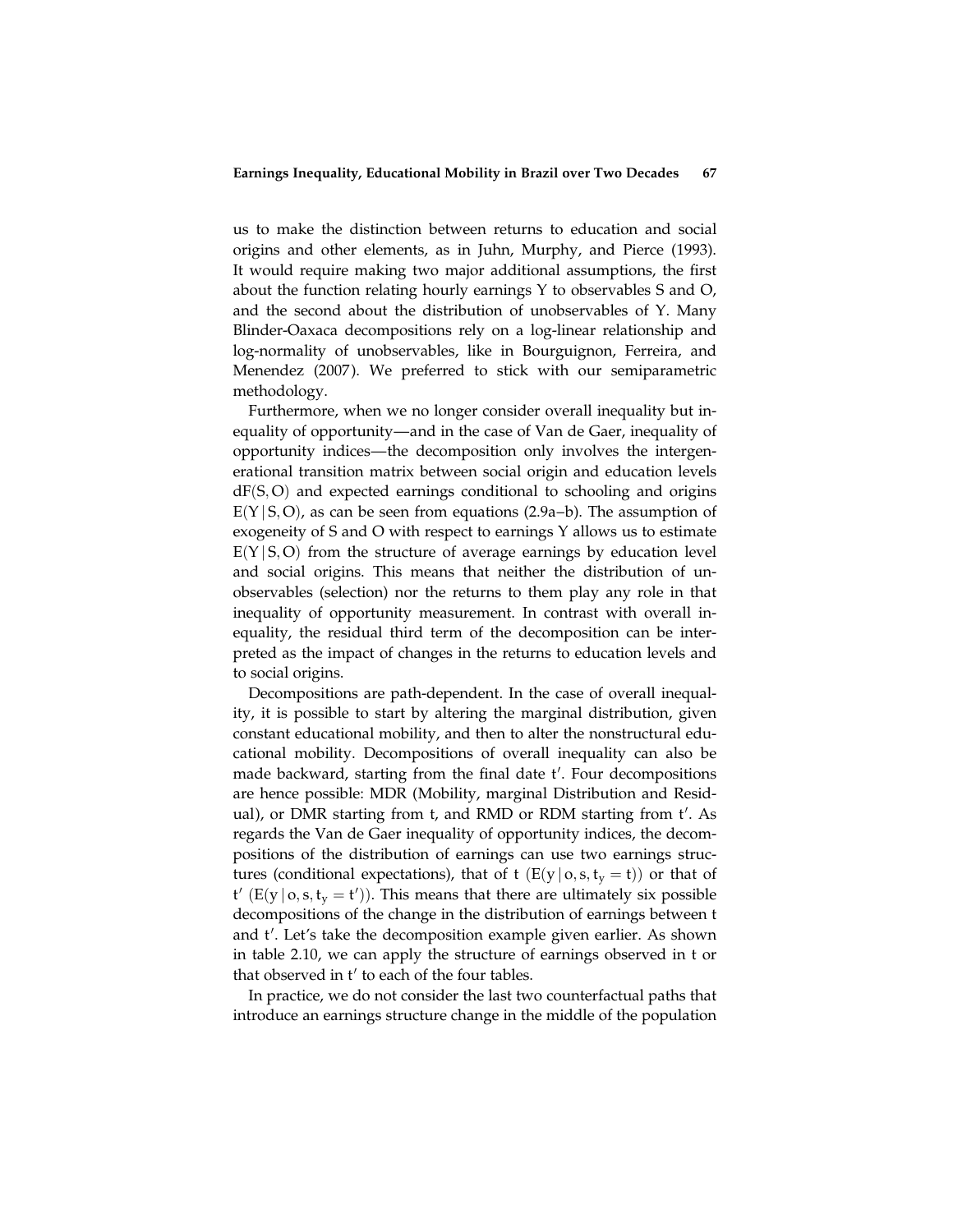us to make the distinction between returns to education and social origins and other elements, as in Juhn, Murphy, and Pierce (1993). It would require making two major additional assumptions, the first about the function relating hourly earnings Y to observables S and O, and the second about the distribution of unobservables of Y. Many Blinder-Oaxaca decompositions rely on a log-linear relationship and log-normality of unobservables, like in Bourguignon, Ferreira, and Menendez (2007). We preferred to stick with our semiparametric methodology.

Furthermore, when we no longer consider overall inequality but inequality of opportunity—and in the case of Van de Gaer, inequality of opportunity indices—the decomposition only involves the intergenerational transition matrix between social origin and education levels  $dF(S, O)$  and expected earnings conditional to schooling and origins  $E(Y|S, O)$ , as can be seen from equations (2.9a–b). The assumption of exogeneity of S and O with respect to earnings Y allows us to estimate  $E(Y|S, O)$  from the structure of average earnings by education level and social origins. This means that neither the distribution of unobservables (selection) nor the returns to them play any role in that inequality of opportunity measurement. In contrast with overall inequality, the residual third term of the decomposition can be interpreted as the impact of changes in the returns to education levels and to social origins.

Decompositions are path-dependent. In the case of overall inequality, it is possible to start by altering the marginal distribution, given constant educational mobility, and then to alter the nonstructural educational mobility. Decompositions of overall inequality can also be made backward, starting from the final date t'. Four decompositions are hence possible: MDR (Mobility, marginal Distribution and Residual), or DMR starting from t, and RMD or RDM starting from t'. As regards the Van de Gaer inequality of opportunity indices, the decompositions of the distribution of earnings can use two earnings structures (conditional expectations), that of t  $(E(y | o, s, t_v = t))$  or that of  $t'$  (E(y | o, s,  $t_y = t'$ )). This means that there are ultimately six possible decompositions of the change in the distribution of earnings between t and t'. Let's take the decomposition example given earlier. As shown in table 2.10, we can apply the structure of earnings observed in t or that observed in t' to each of the four tables.

In practice, we do not consider the last two counterfactual paths that introduce an earnings structure change in the middle of the population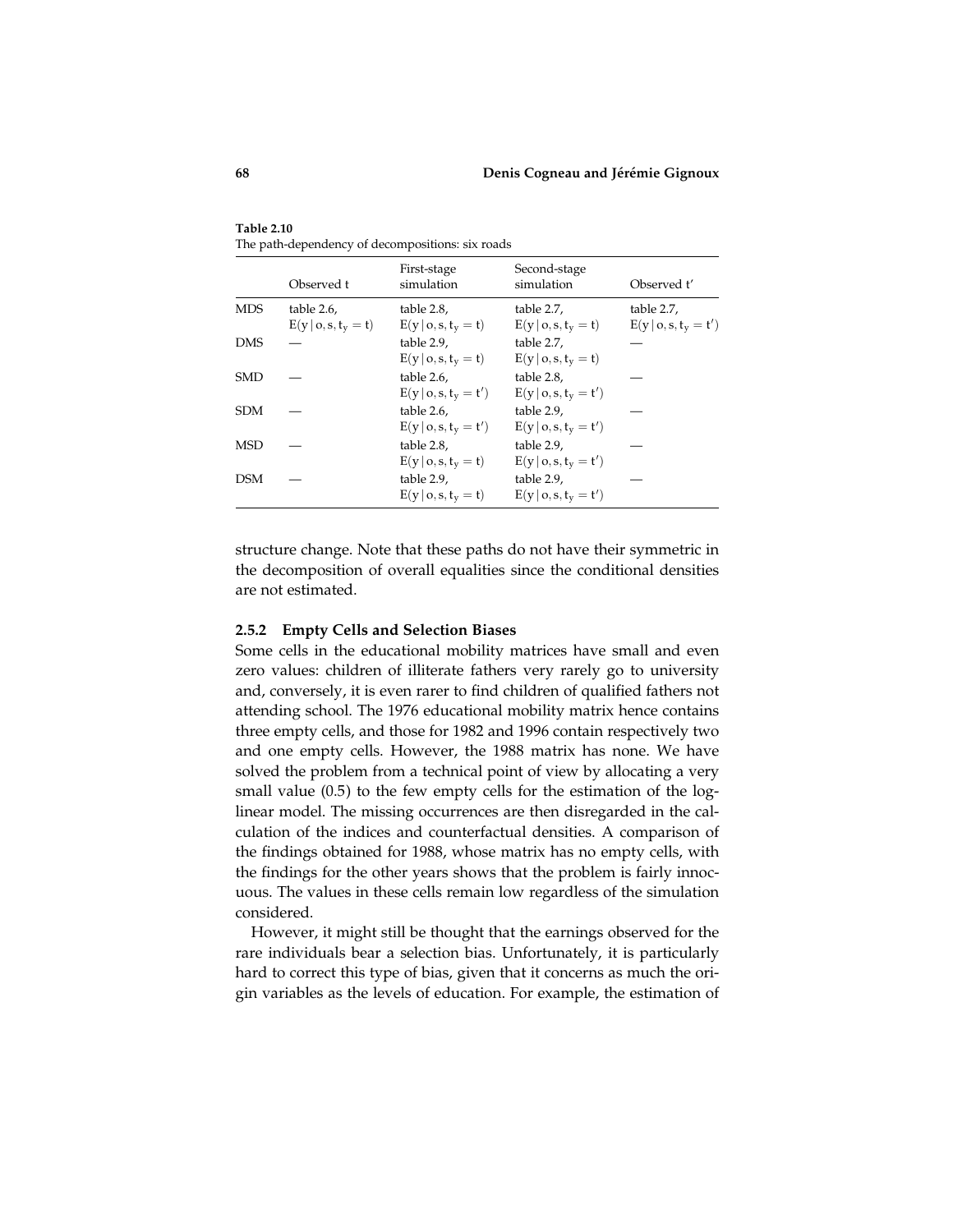|            | Observed t                          | First-stage<br>simulation               | Second-stage<br>simulation              | Observed t'                           |
|------------|-------------------------------------|-----------------------------------------|-----------------------------------------|---------------------------------------|
| <b>MDS</b> | table 2.6,<br>$E(y   o, s, ty = t)$ | table 2.8,<br>$E(y o, s, t_v = t)$      | table 2.7,<br>$E(y o, s, t_v = t)$      | table 2.7,<br>$E(y   o, s, t_v = t')$ |
| <b>DMS</b> |                                     | table 2.9,<br>$E(y o, s, t_v = t)$      | table 2.7,<br>$E(y o,s,t_v=t)$          |                                       |
| SMD        |                                     | table 2.6,<br>$E(y   o, s, t_{y} = t')$ | table 2.8.<br>$E(y o, s, t_v = t')$     |                                       |
| <b>SDM</b> |                                     | table 2.6,<br>$E(y   o, s, t_{y} = t')$ | table 2.9,<br>$E(y   o, s, ty = t')$    |                                       |
| MSD        |                                     | table 2.8,<br>$E(y   o, s, t_v = t)$    | table 2.9,<br>$E(y   o, s, t_{y} = t')$ |                                       |
| <b>DSM</b> |                                     | table 2.9,<br>$E(y o, s, t_v = t)$      | table 2.9,<br>$E(y   o, s, t_y = t')$   |                                       |

Table 2.10 The path-dependency of decompositions: six roads

structure change. Note that these paths do not have their symmetric in the decomposition of overall equalities since the conditional densities are not estimated.

# 2.5.2 Empty Cells and Selection Biases

Some cells in the educational mobility matrices have small and even zero values: children of illiterate fathers very rarely go to university and, conversely, it is even rarer to find children of qualified fathers not attending school. The 1976 educational mobility matrix hence contains three empty cells, and those for 1982 and 1996 contain respectively two and one empty cells. However, the 1988 matrix has none. We have solved the problem from a technical point of view by allocating a very small value (0.5) to the few empty cells for the estimation of the loglinear model. The missing occurrences are then disregarded in the calculation of the indices and counterfactual densities. A comparison of the findings obtained for 1988, whose matrix has no empty cells, with the findings for the other years shows that the problem is fairly innocuous. The values in these cells remain low regardless of the simulation considered.

However, it might still be thought that the earnings observed for the rare individuals bear a selection bias. Unfortunately, it is particularly hard to correct this type of bias, given that it concerns as much the origin variables as the levels of education. For example, the estimation of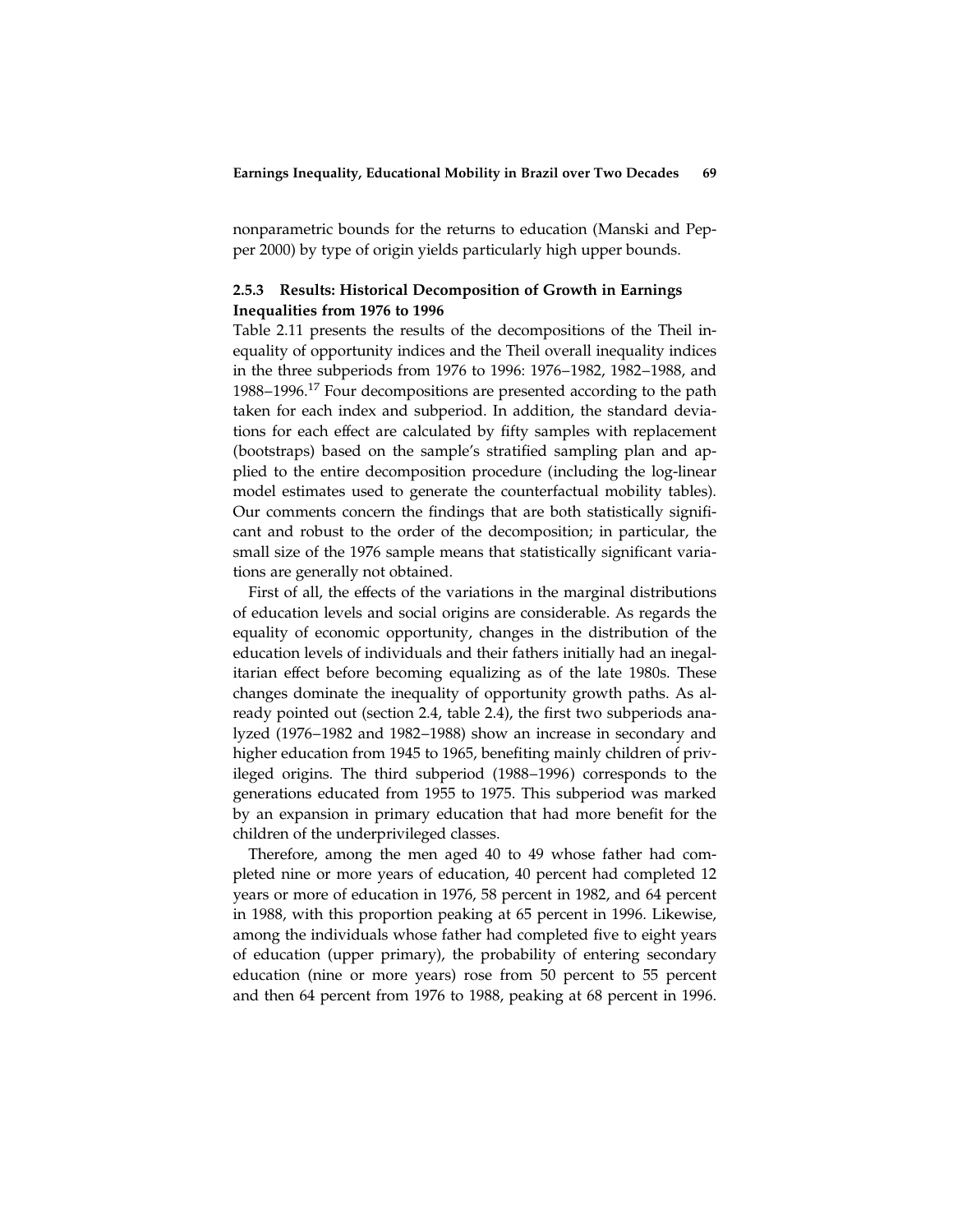nonparametric bounds for the returns to education (Manski and Pepper 2000) by type of origin yields particularly high upper bounds.

# 2.5.3 Results: Historical Decomposition of Growth in Earnings Inequalities from 1976 to 1996

Table 2.11 presents the results of the decompositions of the Theil inequality of opportunity indices and the Theil overall inequality indices in the three subperiods from 1976 to 1996: 1976–1982, 1982–1988, and 1988–1996.<sup>17</sup> Four decompositions are presented according to the path taken for each index and subperiod. In addition, the standard deviations for each effect are calculated by fifty samples with replacement (bootstraps) based on the sample's stratified sampling plan and applied to the entire decomposition procedure (including the log-linear model estimates used to generate the counterfactual mobility tables). Our comments concern the findings that are both statistically significant and robust to the order of the decomposition; in particular, the small size of the 1976 sample means that statistically significant variations are generally not obtained.

First of all, the effects of the variations in the marginal distributions of education levels and social origins are considerable. As regards the equality of economic opportunity, changes in the distribution of the education levels of individuals and their fathers initially had an inegalitarian effect before becoming equalizing as of the late 1980s. These changes dominate the inequality of opportunity growth paths. As already pointed out (section 2.4, table 2.4), the first two subperiods analyzed (1976–1982 and 1982–1988) show an increase in secondary and higher education from 1945 to 1965, benefiting mainly children of privileged origins. The third subperiod (1988–1996) corresponds to the generations educated from 1955 to 1975. This subperiod was marked by an expansion in primary education that had more benefit for the children of the underprivileged classes.

Therefore, among the men aged 40 to 49 whose father had completed nine or more years of education, 40 percent had completed 12 years or more of education in 1976, 58 percent in 1982, and 64 percent in 1988, with this proportion peaking at 65 percent in 1996. Likewise, among the individuals whose father had completed five to eight years of education (upper primary), the probability of entering secondary education (nine or more years) rose from 50 percent to 55 percent and then 64 percent from 1976 to 1988, peaking at 68 percent in 1996.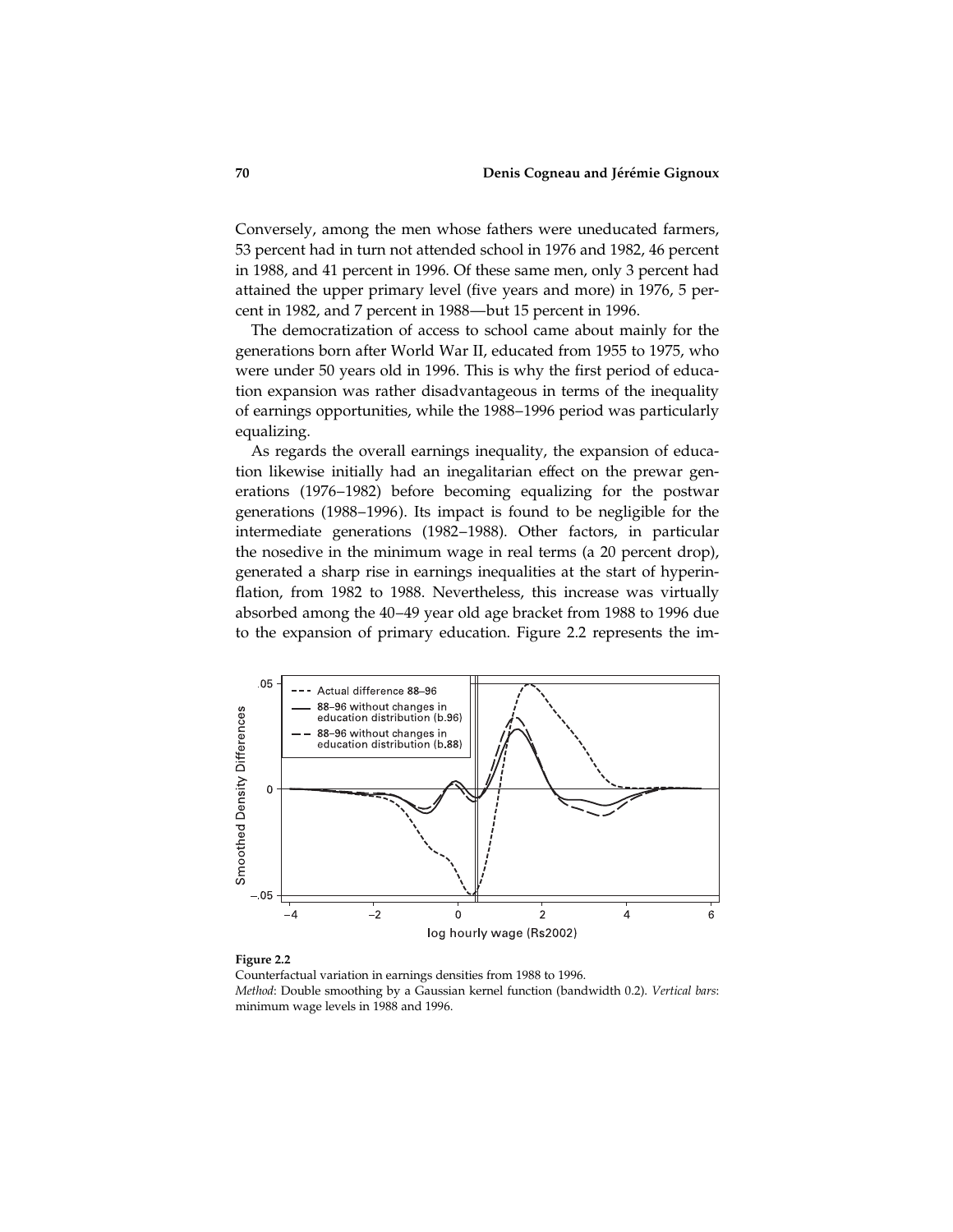Conversely, among the men whose fathers were uneducated farmers, 53 percent had in turn not attended school in 1976 and 1982, 46 percent in 1988, and 41 percent in 1996. Of these same men, only 3 percent had attained the upper primary level (five years and more) in 1976, 5 percent in 1982, and 7 percent in 1988—but 15 percent in 1996.

The democratization of access to school came about mainly for the generations born after World War II, educated from 1955 to 1975, who were under 50 years old in 1996. This is why the first period of education expansion was rather disadvantageous in terms of the inequality of earnings opportunities, while the 1988–1996 period was particularly equalizing.

As regards the overall earnings inequality, the expansion of education likewise initially had an inegalitarian effect on the prewar generations (1976–1982) before becoming equalizing for the postwar generations (1988–1996). Its impact is found to be negligible for the intermediate generations (1982–1988). Other factors, in particular the nosedive in the minimum wage in real terms (a 20 percent drop), generated a sharp rise in earnings inequalities at the start of hyperinflation, from 1982 to 1988. Nevertheless, this increase was virtually absorbed among the 40–49 year old age bracket from 1988 to 1996 due to the expansion of primary education. Figure 2.2 represents the im-



#### Figure 2.2

Counterfactual variation in earnings densities from 1988 to 1996. Method: Double smoothing by a Gaussian kernel function (bandwidth 0.2). Vertical bars: minimum wage levels in 1988 and 1996.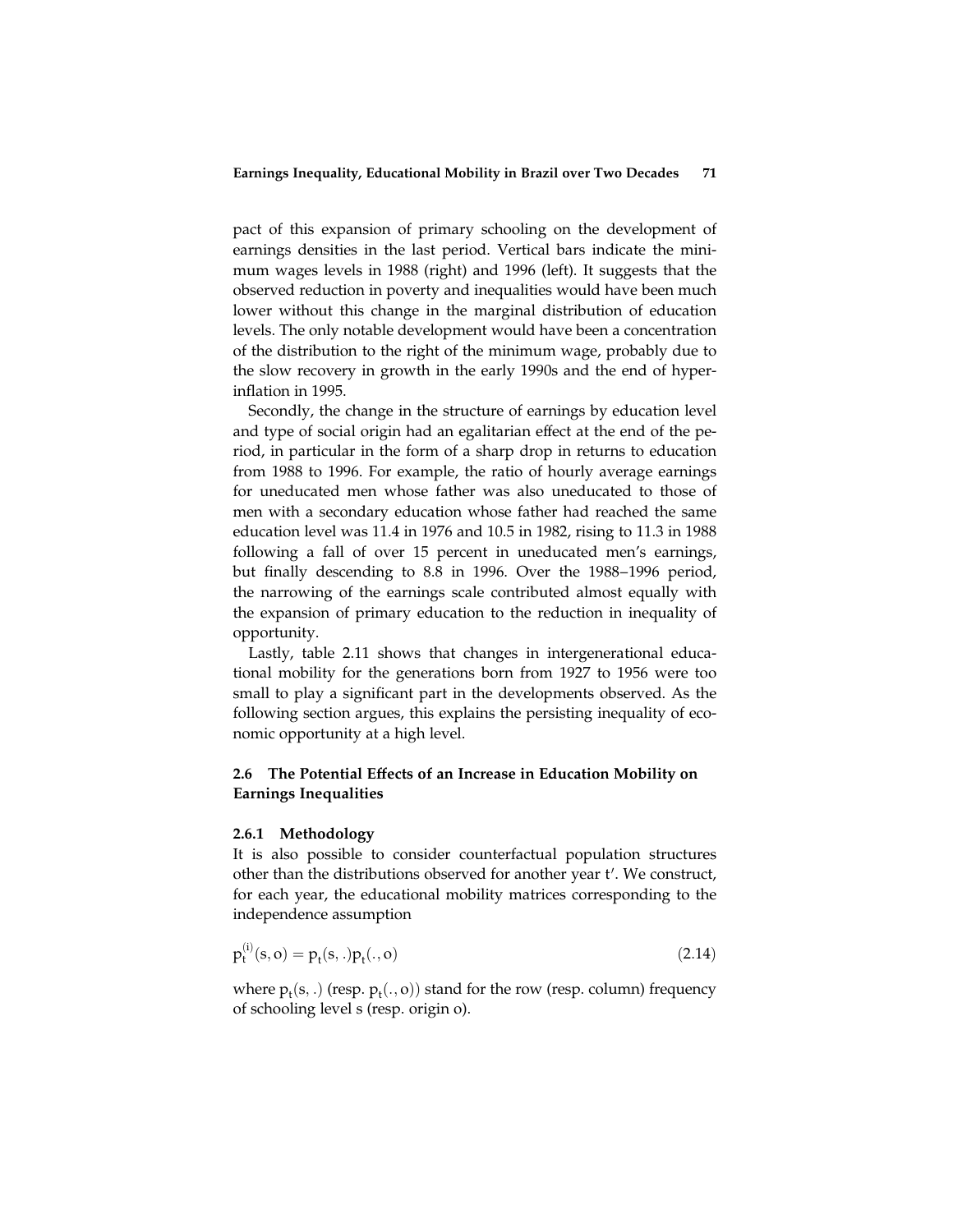pact of this expansion of primary schooling on the development of earnings densities in the last period. Vertical bars indicate the minimum wages levels in 1988 (right) and 1996 (left). It suggests that the observed reduction in poverty and inequalities would have been much lower without this change in the marginal distribution of education levels. The only notable development would have been a concentration of the distribution to the right of the minimum wage, probably due to the slow recovery in growth in the early 1990s and the end of hyperinflation in 1995.

Secondly, the change in the structure of earnings by education level and type of social origin had an egalitarian effect at the end of the period, in particular in the form of a sharp drop in returns to education from 1988 to 1996. For example, the ratio of hourly average earnings for uneducated men whose father was also uneducated to those of men with a secondary education whose father had reached the same education level was 11.4 in 1976 and 10.5 in 1982, rising to 11.3 in 1988 following a fall of over 15 percent in uneducated men's earnings, but finally descending to 8.8 in 1996. Over the 1988–1996 period, the narrowing of the earnings scale contributed almost equally with the expansion of primary education to the reduction in inequality of opportunity.

Lastly, table 2.11 shows that changes in intergenerational educational mobility for the generations born from 1927 to 1956 were too small to play a significant part in the developments observed. As the following section argues, this explains the persisting inequality of economic opportunity at a high level.

# 2.6 The Potential Effects of an Increase in Education Mobility on Earnings Inequalities

## 2.6.1 Methodology

It is also possible to consider counterfactual population structures other than the distributions observed for another year t'. We construct, for each year, the educational mobility matrices corresponding to the independence assumption

$$
p_t^{(i)}(s, o) = p_t(s, .) p_t(., o)
$$
\n(2.14)

where  $p_t(s,.)$  (resp.  $p_t(., o)$ ) stand for the row (resp. column) frequency of schooling level s (resp. origin o).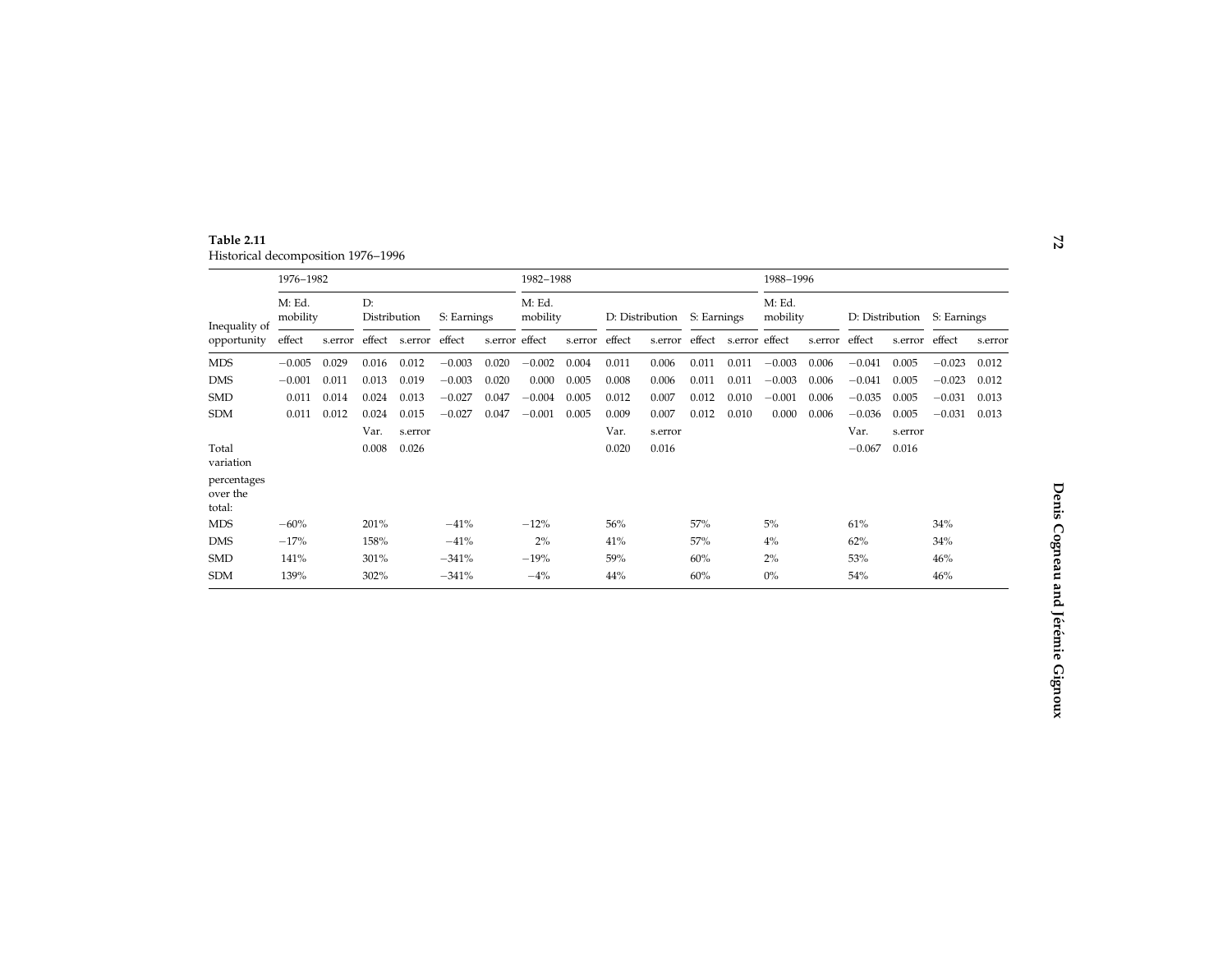Table 2.11 Historical decomposition 1976–1996

|                                   | 1976-1982          |         |                    |                |             |                | 1982-1988          |         |                 |         |             | 1988-1996      |                    |         |                 |         |             |         |
|-----------------------------------|--------------------|---------|--------------------|----------------|-------------|----------------|--------------------|---------|-----------------|---------|-------------|----------------|--------------------|---------|-----------------|---------|-------------|---------|
| Inequality of<br>opportunity      | M: Ed.<br>mobility |         | D:<br>Distribution |                | S: Earnings |                | M: Ed.<br>mobility |         | D: Distribution |         | S: Earnings |                | M: Ed.<br>mobility |         | D: Distribution |         | S: Earnings |         |
|                                   | effect             | s.error | effect             | s.error effect |             | s.error effect |                    | s.error | effect          | s.error | effect      | s.error effect |                    | s.error | effect          | s.error | effect      | s.error |
| <b>MDS</b>                        | $-0.005$           | 0.029   | 0.016              | 0.012          | $-0.003$    | 0.020          | $-0.002$           | 0.004   | 0.011           | 0.006   | 0.011       | 0.011          | $-0.003$           | 0.006   | $-0.041$        | 0.005   | $-0.023$    | 0.012   |
| <b>DMS</b>                        | $-0.001$           | 0.011   | 0.013              | 0.019          | $-0.003$    | 0.020          | 0.000              | 0.005   | 0.008           | 0.006   | 0.011       | 0.011          | $-0.003$           | 0.006   | $-0.041$        | 0.005   | $-0.023$    | 0.012   |
| <b>SMD</b>                        | 0.011              | 0.014   | 0.024              | 0.013          | $-0.027$    | 0.047          | $-0.004$           | 0.005   | 0.012           | 0.007   | 0.012       | 0.010          | $-0.001$           | 0.006   | $-0.035$        | 0.005   | $-0.031$    | 0.013   |
| <b>SDM</b>                        | 0.011              | 0.012   | 0.024              | 0.015          | $-0.027$    | 0.047          | $-0.001$           | 0.005   | 0.009           | 0.007   | 0.012       | 0.010          | 0.000              | 0.006   | $-0.036$        | 0.005   | $-0.031$    | 0.013   |
|                                   |                    |         | Var.               | s.error        |             |                |                    |         | Var.            | s.error |             |                |                    |         | Var.            | s.error |             |         |
| Total<br>variation                |                    |         | 0.008              | 0.026          |             |                |                    |         | 0.020           | 0.016   |             |                |                    |         | $-0.067$        | 0.016   |             |         |
| percentages<br>over the<br>total: |                    |         |                    |                |             |                |                    |         |                 |         |             |                |                    |         |                 |         |             |         |
| <b>MDS</b>                        | $-60%$             |         | 201%               |                | $-41%$      |                | $-12%$             |         | 56%             |         | 57%         |                | 5%                 |         | 61%             |         | 34%         |         |
| <b>DMS</b>                        | $-17%$             |         | 158%               |                | $-41%$      |                | 2%                 |         | 41%             |         | 57%         |                | $4\%$              |         | 62%             |         | 34%         |         |
| <b>SMD</b>                        | 141%               |         | 301%               |                | $-341%$     |                | $-19%$             |         | 59%             |         | 60%         |                | 2%                 |         | 53%             |         | 46%         |         |
| <b>SDM</b>                        | 139%               |         | 302%               |                | $-341%$     |                | $-4%$              |         | 44%             |         | 60%         |                | $0\%$              |         | 54%             |         | 46%         |         |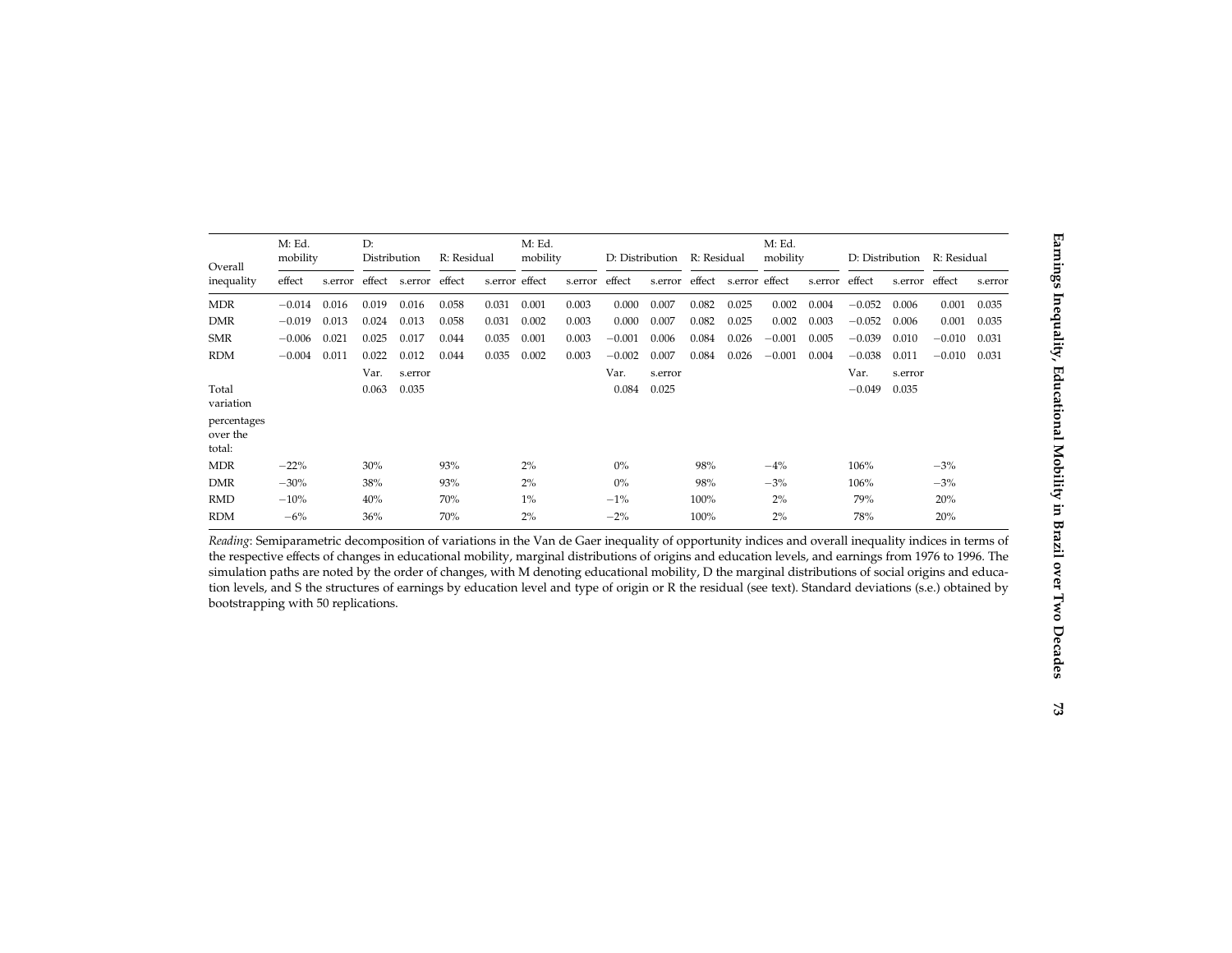| Overall                           | M: Ed.<br>mobility |         | D:<br>Distribution |         | R: Residual |                | M: Ed.<br>mobility |         | D: Distribution |         | R: Residual |                | M: Ed.<br>mobility |         | D: Distribution |         | R: Residual |         |
|-----------------------------------|--------------------|---------|--------------------|---------|-------------|----------------|--------------------|---------|-----------------|---------|-------------|----------------|--------------------|---------|-----------------|---------|-------------|---------|
| inequality                        | effect             | s.error | effect             | s.error | effect      | s.error effect |                    | s.error | effect          | s.error | effect      | s.error effect |                    | s.error | effect          | s.error | effect      | s.error |
| <b>MDR</b>                        | $-0.014$           | 0.016   | 0.019              | 0.016   | 0.058       | 0.031          | 0.001              | 0.003   | 0.000           | 0.007   | 0.082       | 0.025          | 0.002              | 0.004   | $-0.052$        | 0.006   | 0.001       | 0.035   |
| <b>DMR</b>                        | $-0.019$           | 0.013   | 0.024              | 0.013   | 0.058       | 0.031          | 0.002              | 0.003   | 0.000           | 0.007   | 0.082       | 0.025          | 0.002              | 0.003   | $-0.052$        | 0.006   | 0.001       | 0.035   |
| <b>SMR</b>                        | $-0.006$           | 0.021   | 0.025              | 0.017   | 0.044       | 0.035          | 0.001              | 0.003   | $-0.001$        | 0.006   | 0.084       | 0.026          | $-0.001$           | 0.005   | $-0.039$        | 0.010   | $-0.010$    | 0.031   |
| <b>RDM</b>                        | $-0.004$           | 0.011   | 0.022              | 0.012   | 0.044       | 0.035          | 0.002              | 0.003   | $-0.002$        | 0.007   | 0.084       | 0.026          | $-0.001$           | 0.004   | $-0.038$        | 0.011   | $-0.010$    | 0.031   |
|                                   |                    |         | Var.               | s.error |             |                |                    |         | Var.            | s.error |             |                |                    |         | Var.            | s.error |             |         |
| Total<br>variation                |                    |         | 0.063              | 0.035   |             |                |                    |         | 0.084           | 0.025   |             |                |                    |         | $-0.049$        | 0.035   |             |         |
| percentages<br>over the<br>total: |                    |         |                    |         |             |                |                    |         |                 |         |             |                |                    |         |                 |         |             |         |
| <b>MDR</b>                        | $-22%$             |         | 30%                |         | 93%         |                | 2%                 |         | $0\%$           |         | 98%         |                | $-4\%$             |         | 106%            |         | $-3%$       |         |
| <b>DMR</b>                        | $-30%$             |         | 38%                |         | 93%         |                | 2%                 |         | $0\%$           |         | 98%         |                | $-3%$              |         | 106%            |         | $-3%$       |         |
| <b>RMD</b>                        | $-10%$             |         | 40%                |         | 70%         |                | $1\%$              |         | $-1%$           |         | 100%        |                | 2%                 |         | 79%             |         | 20%         |         |
| <b>RDM</b>                        | $-6\%$             |         | 36%                |         | 70%         |                | 2%                 |         | $-2%$           |         | 100%        |                | 2%                 |         | 78%             |         | 20%         |         |

Reading: Semiparametric decomposition of variations in the Van de Gaer inequality of opportunity indices and overall inequality indices in terms of the respective effects of changes in educational mobility, marginal distributions of origins and education levels, and earnings from 1976 to 1996. The simulation paths are noted by the order of changes, with <sup>M</sup> denoting educational mobility, <sup>D</sup> the marginal distributions of social origins and education levels, and S the structures of earnings by education level and type of origin or R the residual (see text). Standard deviations (s.e.) obtained by bootstrapping with 50 replications.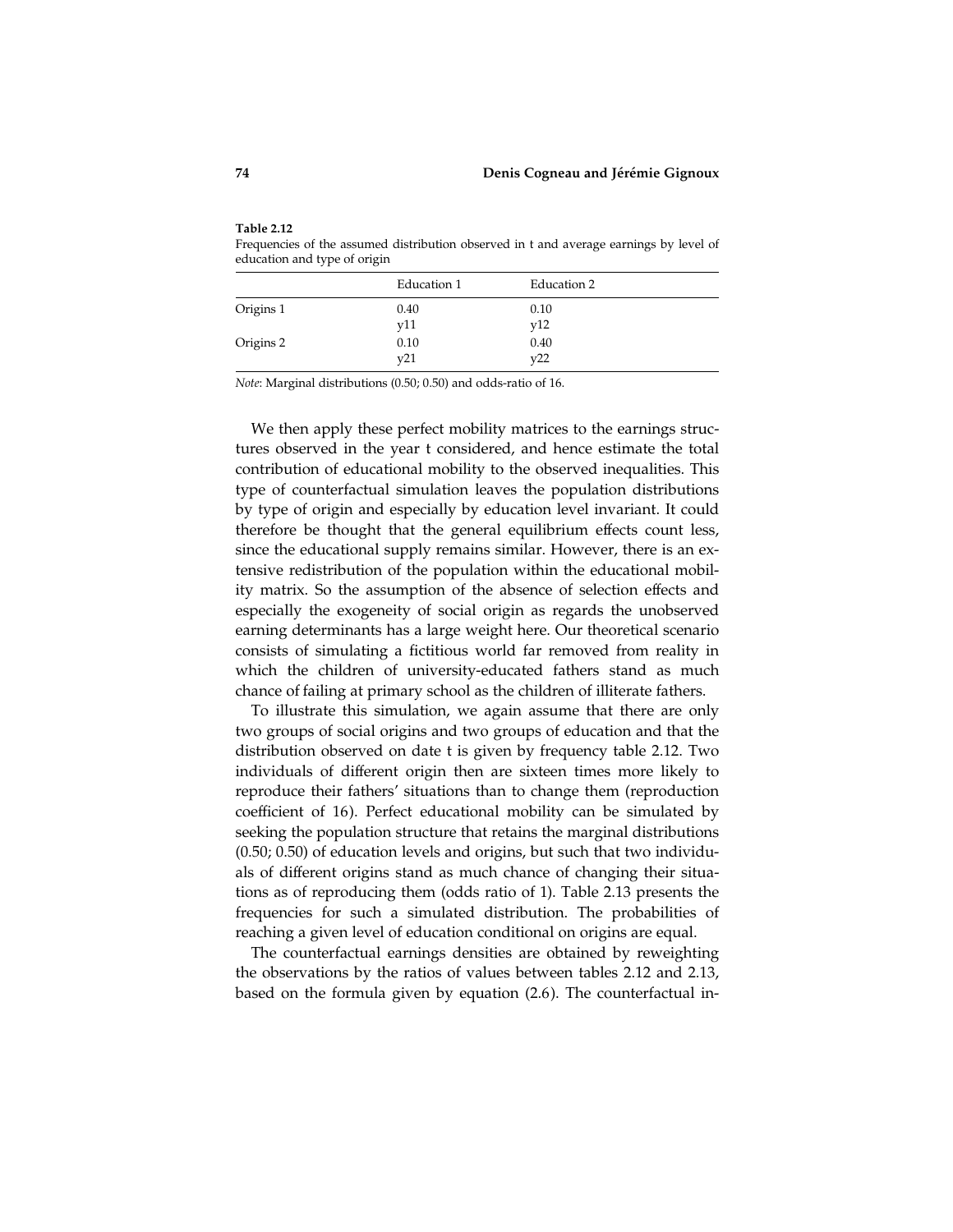| Frequencies of the assumed distribution observed in t and average earnings by level of |  |  |
|----------------------------------------------------------------------------------------|--|--|
| education and type of origin                                                           |  |  |
|                                                                                        |  |  |

|           | Education 1 | Education 2 |
|-----------|-------------|-------------|
| Origins 1 | 0.40<br>y11 | 0.10<br>v12 |
| Origins 2 | 0.10<br>v21 | 0.40<br>v22 |

Note: Marginal distributions (0.50; 0.50) and odds-ratio of 16.

We then apply these perfect mobility matrices to the earnings structures observed in the year t considered, and hence estimate the total contribution of educational mobility to the observed inequalities. This type of counterfactual simulation leaves the population distributions by type of origin and especially by education level invariant. It could therefore be thought that the general equilibrium effects count less, since the educational supply remains similar. However, there is an extensive redistribution of the population within the educational mobility matrix. So the assumption of the absence of selection effects and especially the exogeneity of social origin as regards the unobserved earning determinants has a large weight here. Our theoretical scenario consists of simulating a fictitious world far removed from reality in which the children of university-educated fathers stand as much chance of failing at primary school as the children of illiterate fathers.

To illustrate this simulation, we again assume that there are only two groups of social origins and two groups of education and that the distribution observed on date t is given by frequency table 2.12. Two individuals of different origin then are sixteen times more likely to reproduce their fathers' situations than to change them (reproduction coefficient of 16). Perfect educational mobility can be simulated by seeking the population structure that retains the marginal distributions (0.50; 0.50) of education levels and origins, but such that two individuals of different origins stand as much chance of changing their situations as of reproducing them (odds ratio of 1). Table 2.13 presents the frequencies for such a simulated distribution. The probabilities of reaching a given level of education conditional on origins are equal.

The counterfactual earnings densities are obtained by reweighting the observations by the ratios of values between tables 2.12 and 2.13, based on the formula given by equation (2.6). The counterfactual in-

Table 2.12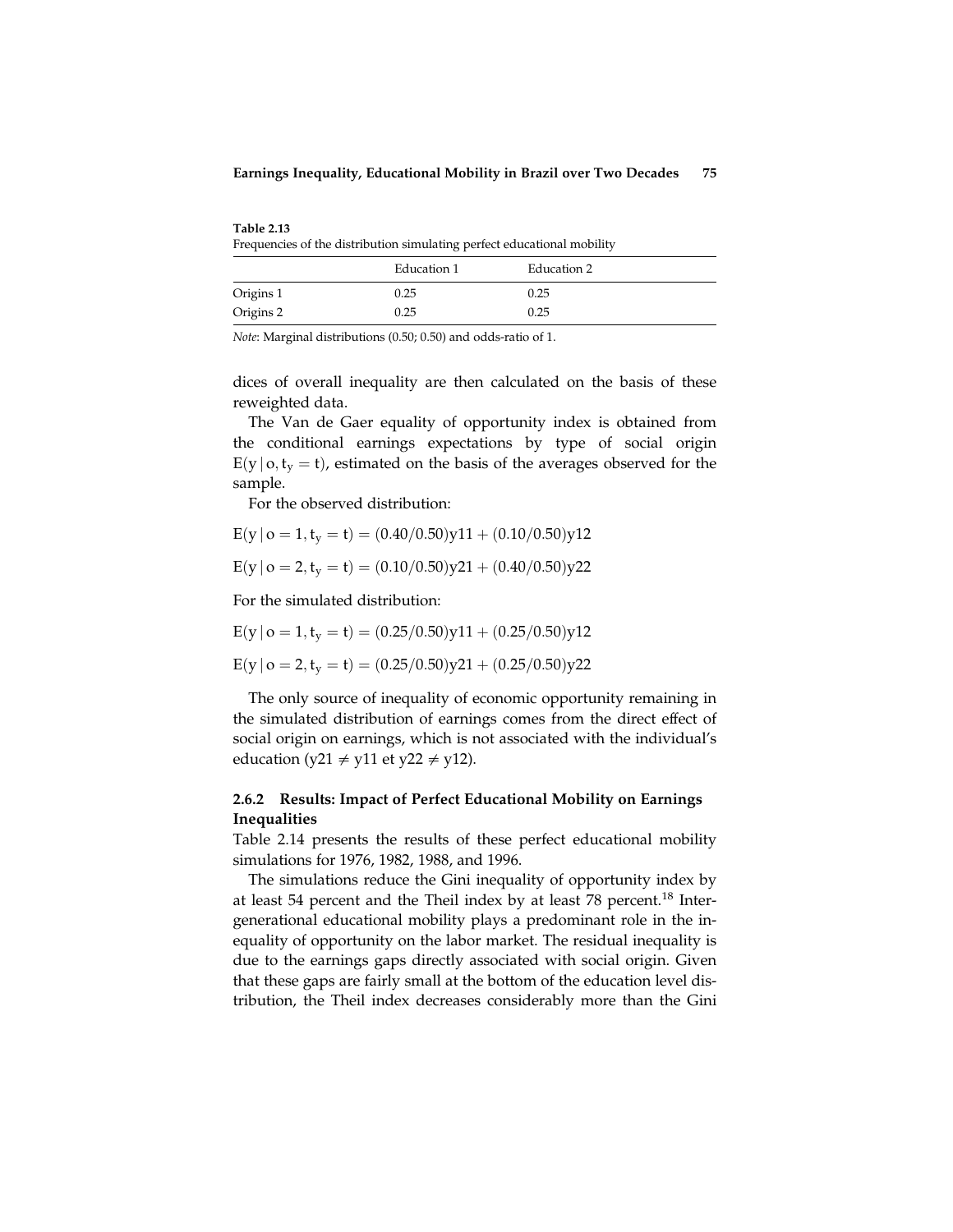Table 2.13 Frequencies of the distribution simulating perfect educational mobility

|           | Education 1 | Education 2 |
|-----------|-------------|-------------|
| Origins 1 | 0.25        | 0.25        |
| Origins 2 | 0.25        | 0.25        |

Note: Marginal distributions (0.50; 0.50) and odds-ratio of 1.

dices of overall inequality are then calculated on the basis of these reweighted data.

The Van de Gaer equality of opportunity index is obtained from the conditional earnings expectations by type of social origin  $E(y \mid o, t_v = t)$ , estimated on the basis of the averages observed for the sample.

For the observed distribution:

$$
E(y\,|\,o=1,t_y=t)=(0.40/0.50)y11+(0.10/0.50)y12
$$

$$
E(y | o = 2, t_y = t) = (0.10/0.50)y21 + (0.40/0.50)y22
$$

For the simulated distribution:

 $E(y | o = 1, t_y = t) = (0.25/0.50)y11 + (0.25/0.50)y12$ 

$$
E(y \,|\, o=2, t_y=t) = (0.25/0.50)y21 + (0.25/0.50)y22
$$

The only source of inequality of economic opportunity remaining in the simulated distribution of earnings comes from the direct effect of social origin on earnings, which is not associated with the individual's education (y21  $\neq$  y11 et y22  $\neq$  y12).

# 2.6.2 Results: Impact of Perfect Educational Mobility on Earnings Inequalities

Table 2.14 presents the results of these perfect educational mobility simulations for 1976, 1982, 1988, and 1996.

The simulations reduce the Gini inequality of opportunity index by at least 54 percent and the Theil index by at least 78 percent.<sup>18</sup> Intergenerational educational mobility plays a predominant role in the inequality of opportunity on the labor market. The residual inequality is due to the earnings gaps directly associated with social origin. Given that these gaps are fairly small at the bottom of the education level distribution, the Theil index decreases considerably more than the Gini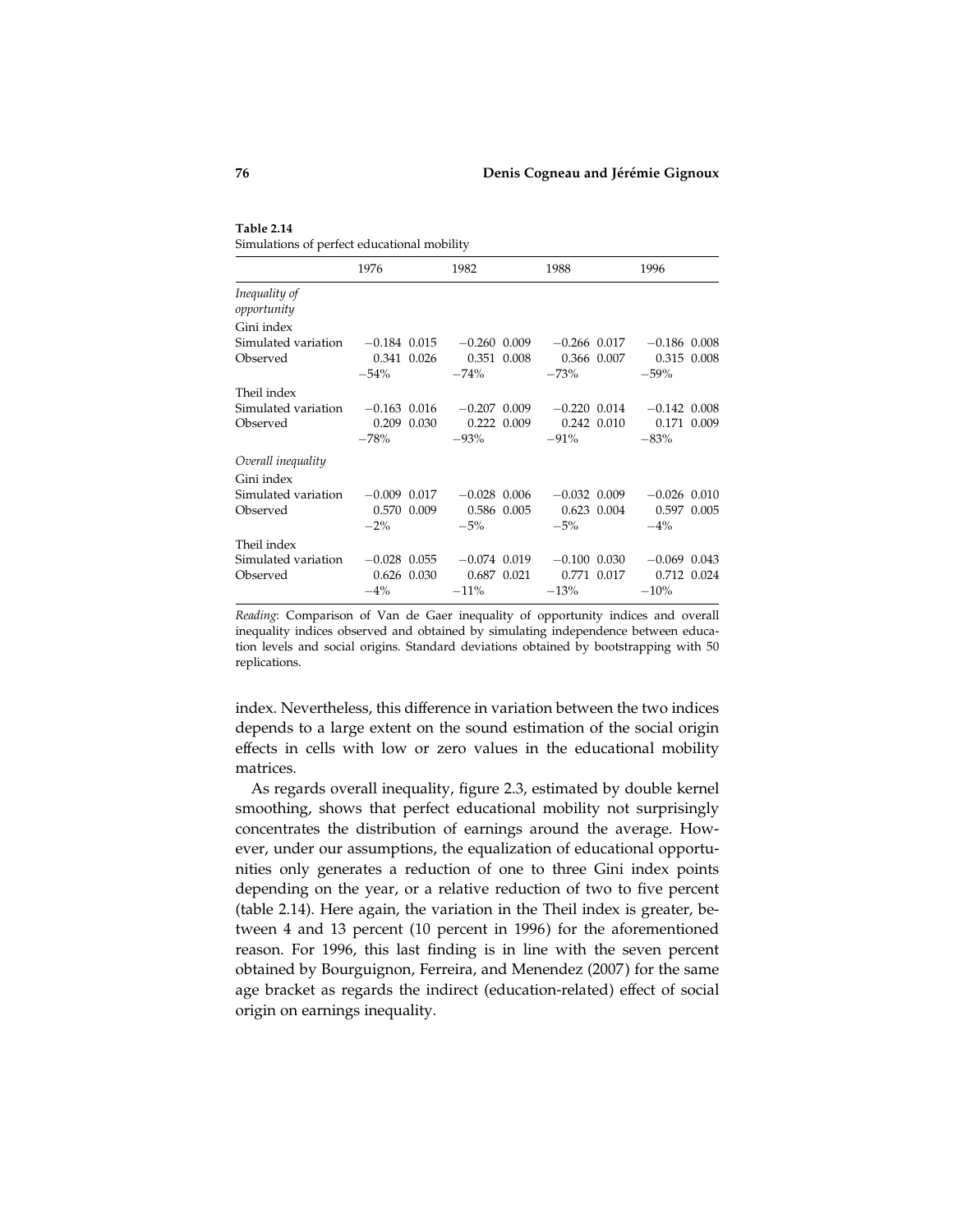Table 2.14 Simulations of perfect educational mobility

|                                                   | 1976           | 1982           | 1988           | 1996           |
|---------------------------------------------------|----------------|----------------|----------------|----------------|
| Inequality of<br>opportunity                      |                |                |                |                |
| Gini index                                        |                |                |                |                |
| Simulated variation $-0.184$ 0.015 $-0.260$ 0.009 |                |                | $-0.266$ 0.017 | $-0.186$ 0.008 |
| Observed                                          | 0.341 0.026    | 0.351 0.008    | 0.366 0.007    | 0.315 0.008    |
|                                                   | $-54\%$        | $-74%$         | $-73%$         | $-59%$         |
| Theil index                                       |                |                |                |                |
| Simulated variation                               | $-0.163$ 0.016 | $-0.207$ 0.009 | $-0.220$ 0.014 | $-0.142$ 0.008 |
| Observed                                          | 0.209 0.030    | 0.222 0.009    | 0.242 0.010    | 0.171 0.009    |
|                                                   | $-78%$         | $-93\%$        | $-91\%$        | $-83%$         |
| Overall inequality                                |                |                |                |                |
| Gini index                                        |                |                |                |                |
| Simulated variation                               | $-0.009$ 0.017 | $-0.028$ 0.006 | $-0.032$ 0.009 | $-0.026$ 0.010 |
| Observed                                          | 0.570 0.009    | 0.586 0.005    | $0.623$ 0.004  | 0.597 0.005    |
|                                                   | $-2\%$         | $-5\%$         | $-5\%$         | $-4\%$         |
| Theil index                                       |                |                |                |                |
| Simulated variation                               | $-0.028$ 0.055 | $-0.074$ 0.019 | $-0.100$ 0.030 | $-0.069$ 0.043 |
| Observed                                          | 0.626 0.030    | 0.687 0.021    | 0.771 0.017    | 0.712 0.024    |
|                                                   | $-4\%$         | $-11\%$        | $-13%$         | $-10%$         |

Reading: Comparison of Van de Gaer inequality of opportunity indices and overall inequality indices observed and obtained by simulating independence between education levels and social origins. Standard deviations obtained by bootstrapping with 50 replications.

index. Nevertheless, this difference in variation between the two indices depends to a large extent on the sound estimation of the social origin effects in cells with low or zero values in the educational mobility matrices.

As regards overall inequality, figure 2.3, estimated by double kernel smoothing, shows that perfect educational mobility not surprisingly concentrates the distribution of earnings around the average. However, under our assumptions, the equalization of educational opportunities only generates a reduction of one to three Gini index points depending on the year, or a relative reduction of two to five percent (table 2.14). Here again, the variation in the Theil index is greater, between 4 and 13 percent (10 percent in 1996) for the aforementioned reason. For 1996, this last finding is in line with the seven percent obtained by Bourguignon, Ferreira, and Menendez (2007 ) for the same age bracket as regards the indirect (education-related) effect of social origin on earnings inequality.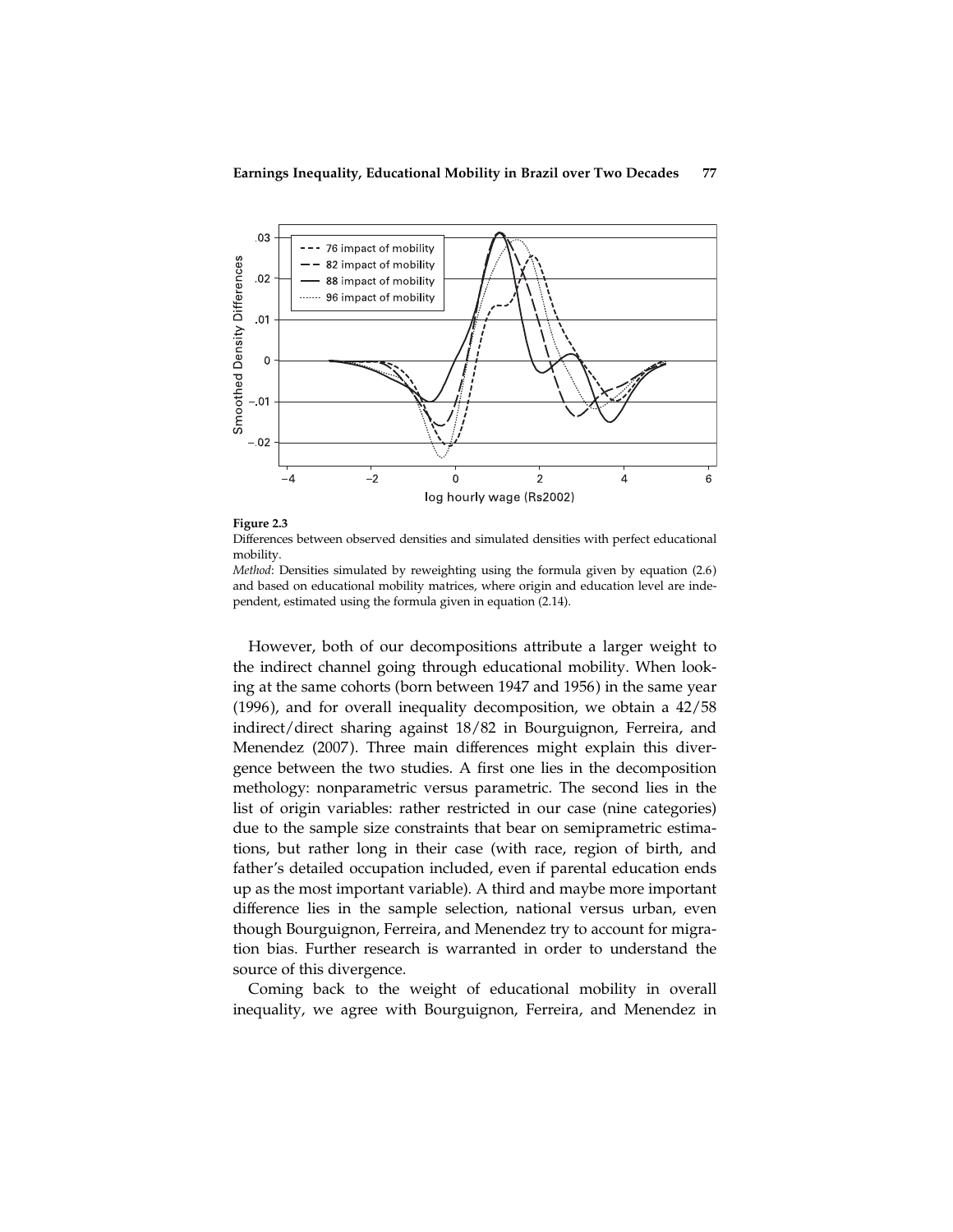

Figure 2.3 Differences between observed densities and simulated densities with perfect educational mobility.

Method: Densities simulated by reweighting using the formula given by equation (2.6) and based on educational mobility matrices, where origin and education level are independent, estimated using the formula given in equation (2.14).

However, both of our decompositions attribute a larger weight to the indirect channel going through educational mobility. When looking at the same cohorts (born between 1947 and 1956) in the same year (1996), and for overall inequality decomposition, we obtain a 42/58 indirect/direct sharing against 18/82 in Bourguignon, Ferreira, and Menendez (2007). Three main differences might explain this divergence between the two studies. A first one lies in the decomposition methology: nonparametric versus parametric. The second lies in the list of origin variables: rather restricted in our case (nine categories) due to the sample size constraints that bear on semiprametric estimations, but rather long in their case (with race, region of birth, and father's detailed occupation included, even if parental education ends up as the most important variable). A third and maybe more important difference lies in the sample selection, national versus urban, even though Bourguignon, Ferreira, and Menendez try to account for migration bias. Further research is warranted in order to understand the source of this divergence.

Coming back to the weight of educational mobility in overall inequality, we agree with Bourguignon, Ferreira, and Menendez in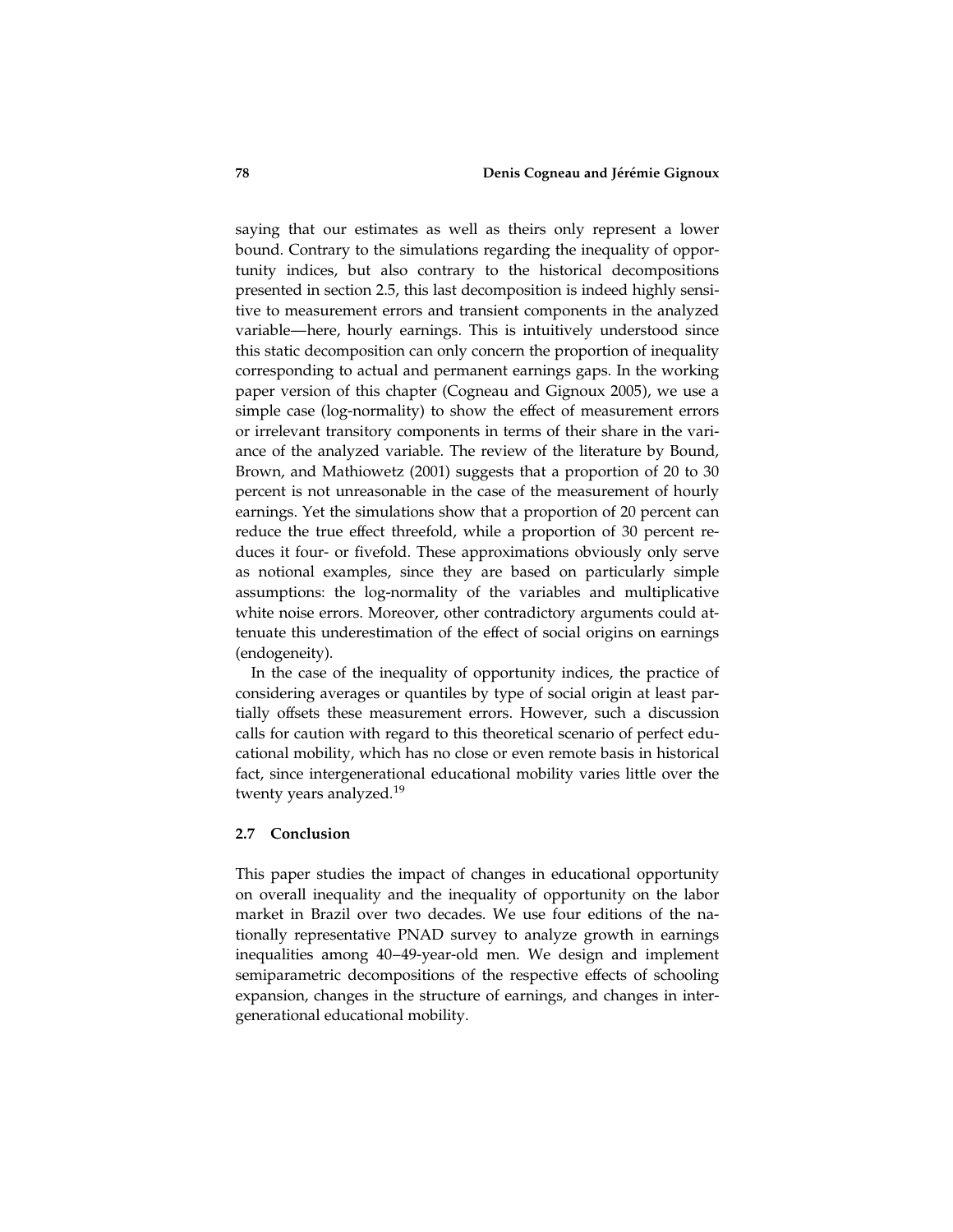saying that our estimates as well as theirs only represent a lower bound. Contrary to the simulations regarding the inequality of opportunity indices, but also contrary to the historical decompositions presented in section 2.5, this last decomposition is indeed highly sensitive to measurement errors and transient components in the analyzed variable—here, hourly earnings. This is intuitively understood since this static decomposition can only concern the proportion of inequality corresponding to actual and permanent earnings gaps. In the working paper version of this chapter (Cogneau and Gignoux 2005), we use a simple case (log-normality) to show the effect of measurement errors or irrelevant transitory components in terms of their share in the variance of the analyzed variable. The review of the literature by Bound, Brown, and Mathiowetz (2001) suggests that a proportion of 20 to 30 percent is not unreasonable in the case of the measurement of hourly earnings. Yet the simulations show that a proportion of 20 percent can reduce the true effect threefold, while a proportion of 30 percent reduces it four- or fivefold. These approximations obviously only serve as notional examples, since they are based on particularly simple assumptions: the log-normality of the variables and multiplicative white noise errors. Moreover, other contradictory arguments could attenuate this underestimation of the effect of social origins on earnings (endogeneity).

In the case of the inequality of opportunity indices, the practice of considering averages or quantiles by type of social origin at least partially offsets these measurement errors. However, such a discussion calls for caution with regard to this theoretical scenario of perfect educational mobility, which has no close or even remote basis in historical fact, since intergenerational educational mobility varies little over the twenty years analyzed.<sup>19</sup>

## 2.7 Conclusion

This paper studies the impact of changes in educational opportunity on overall inequality and the inequality of opportunity on the labor market in Brazil over two decades. We use four editions of the nationally representative PNAD survey to analyze growth in earnings inequalities among 40–49-year-old men. We design and implement semiparametric decompositions of the respective effects of schooling expansion, changes in the structure of earnings, and changes in intergenerational educational mobility.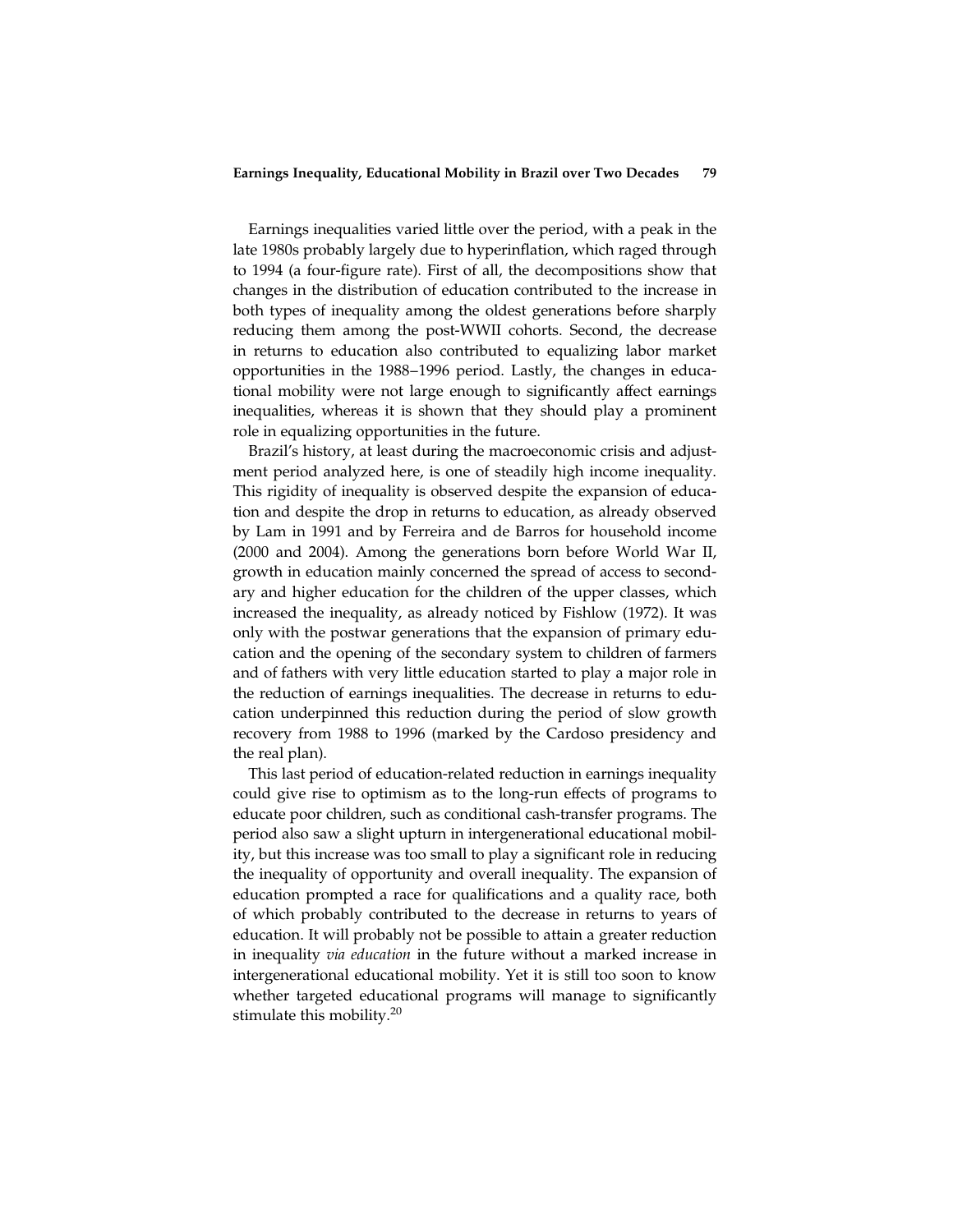Earnings inequalities varied little over the period, with a peak in the late 1980s probably largely due to hyperinflation, which raged through to 1994 (a four-figure rate). First of all, the decompositions show that changes in the distribution of education contributed to the increase in both types of inequality among the oldest generations before sharply reducing them among the post-WWII cohorts. Second, the decrease in returns to education also contributed to equalizing labor market opportunities in the 1988–1996 period. Lastly, the changes in educational mobility were not large enough to significantly affect earnings inequalities, whereas it is shown that they should play a prominent role in equalizing opportunities in the future.

Brazil's history, at least during the macroeconomic crisis and adjustment period analyzed here, is one of steadily high income inequality. This rigidity of inequality is observed despite the expansion of education and despite the drop in returns to education, as already observed by Lam in 1991 and by Ferreira and de Barros for household income (2000 and 2004). Among the generations born before World War II, growth in education mainly concerned the spread of access to secondary and higher education for the children of the upper classes, which increased the inequality, as already noticed by Fishlow (1972). It was only with the postwar generations that the expansion of primary education and the opening of the secondary system to children of farmers and of fathers with very little education started to play a major role in the reduction of earnings inequalities. The decrease in returns to education underpinned this reduction during the period of slow growth recovery from 1988 to 1996 (marked by the Cardoso presidency and the real plan).

This last period of education-related reduction in earnings inequality could give rise to optimism as to the long-run effects of programs to educate poor children, such as conditional cash-transfer programs. The period also saw a slight upturn in intergenerational educational mobility, but this increase was too small to play a significant role in reducing the inequality of opportunity and overall inequality. The expansion of education prompted a race for qualifications and a quality race, both of which probably contributed to the decrease in returns to years of education. It will probably not be possible to attain a greater reduction in inequality via education in the future without a marked increase in intergenerational educational mobility. Yet it is still too soon to know whether targeted educational programs will manage to significantly stimulate this mobility.<sup>20</sup>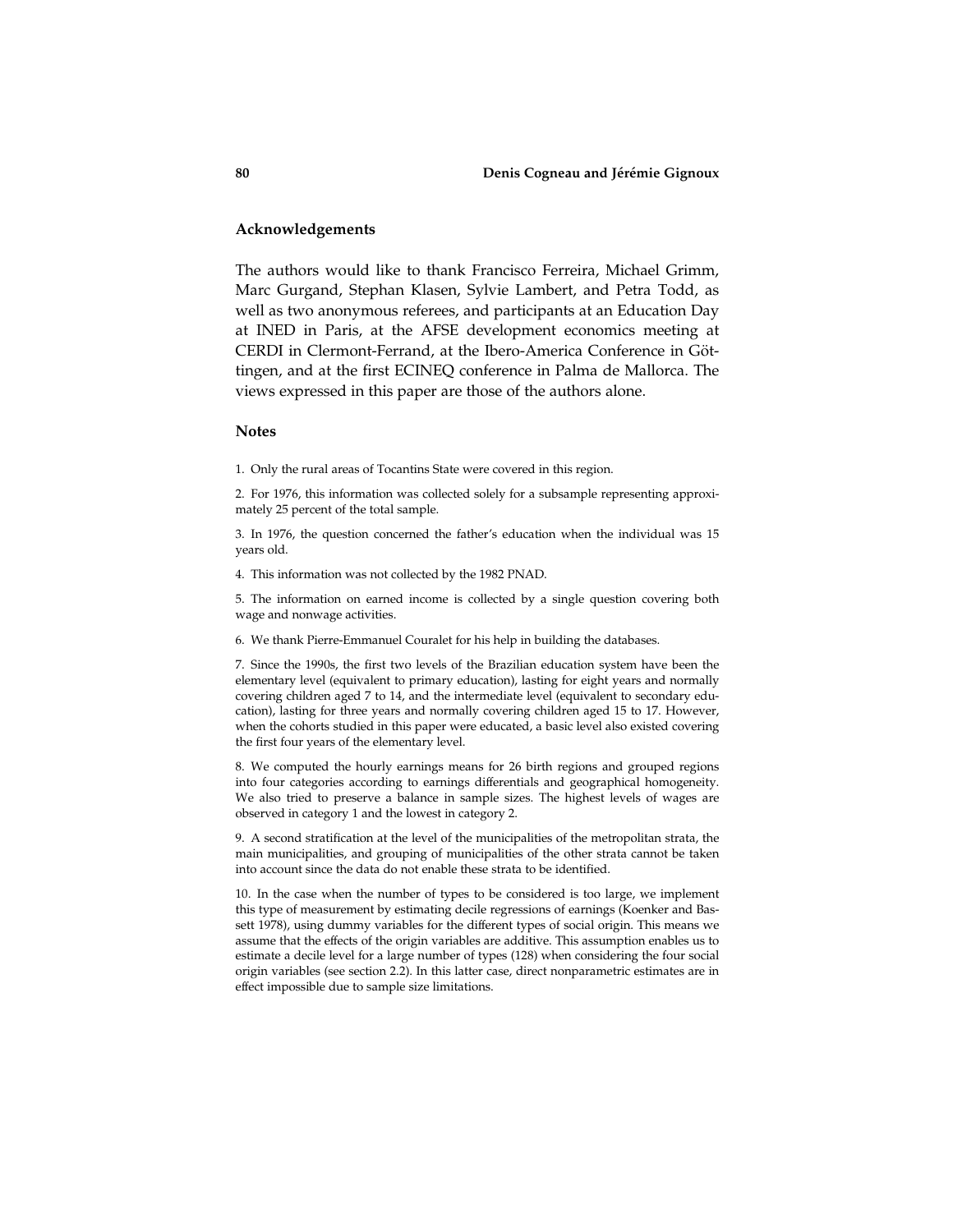# Acknowledgements

The authors would like to thank Francisco Ferreira, Michael Grimm, Marc Gurgand, Stephan Klasen, Sylvie Lambert, and Petra Todd, as well as two anonymous referees, and participants at an Education Day at INED in Paris, at the AFSE development economics meeting at CERDI in Clermont-Ferrand, at the Ibero-America Conference in Göttingen, and at the first ECINEQ conference in Palma de Mallorca. The views expressed in this paper are those of the authors alone.

### **Notes**

1. Only the rural areas of Tocantins State were covered in this region.

2. For 1976, this information was collected solely for a subsample representing approximately 25 percent of the total sample.

3. In 1976, the question concerned the father's education when the individual was 15 years old.

4. This information was not collected by the 1982 PNAD.

5. The information on earned income is collected by a single question covering both wage and nonwage activities.

6. We thank Pierre-Emmanuel Couralet for his help in building the databases.

7. Since the 1990s, the first two levels of the Brazilian education system have been the elementary level (equivalent to primary education), lasting for eight years and normally covering children aged 7 to 14, and the intermediate level (equivalent to secondary education), lasting for three years and normally covering children aged 15 to 17. However, when the cohorts studied in this paper were educated, a basic level also existed covering the first four years of the elementary level.

8. We computed the hourly earnings means for 26 birth regions and grouped regions into four categories according to earnings differentials and geographical homogeneity. We also tried to preserve a balance in sample sizes. The highest levels of wages are observed in category 1 and the lowest in category 2.

9. A second stratification at the level of the municipalities of the metropolitan strata, the main municipalities, and grouping of municipalities of the other strata cannot be taken into account since the data do not enable these strata to be identified.

10. In the case when the number of types to be considered is too large, we implement this type of measurement by estimating decile regressions of earnings (Koenker and Bassett 1978), using dummy variables for the different types of social origin. This means we assume that the effects of the origin variables are additive. This assumption enables us to estimate a decile level for a large number of types (128) when considering the four social origin variables (see section 2.2). In this latter case, direct nonparametric estimates are in effect impossible due to sample size limitations.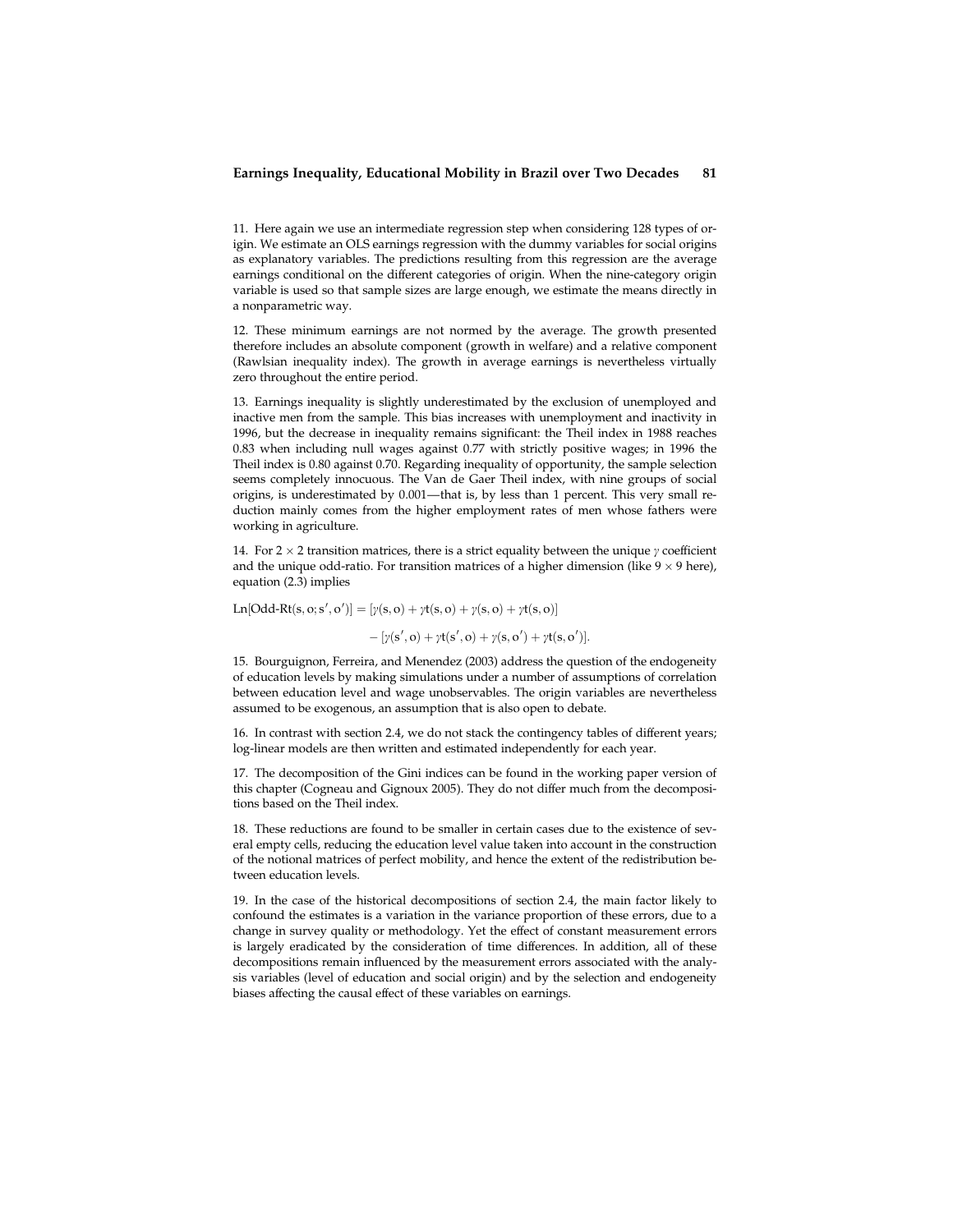11. Here again we use an intermediate regression step when considering 128 types of origin. We estimate an OLS earnings regression with the dummy variables for social origins as explanatory variables. The predictions resulting from this regression are the average earnings conditional on the different categories of origin. When the nine-category origin variable is used so that sample sizes are large enough, we estimate the means directly in a nonparametric way.

12. These minimum earnings are not normed by the average. The growth presented therefore includes an absolute component (growth in welfare) and a relative component (Rawlsian inequality index). The growth in average earnings is nevertheless virtually zero throughout the entire period.

13. Earnings inequality is slightly underestimated by the exclusion of unemployed and inactive men from the sample. This bias increases with unemployment and inactivity in 1996, but the decrease in inequality remains significant: the Theil index in 1988 reaches 0.83 when including null wages against 0.77 with strictly positive wages; in 1996 the Theil index is 0.80 against 0.70. Regarding inequality of opportunity, the sample selection seems completely innocuous. The Van de Gaer Theil index, with nine groups of social origins, is underestimated by 0.001—that is, by less than 1 percent. This very small reduction mainly comes from the higher employment rates of men whose fathers were working in agriculture.

14. For 2  $\times$  2 transition matrices, there is a strict equality between the unique  $\gamma$  coefficient and the unique odd-ratio. For transition matrices of a higher dimension (like  $9 \times 9$  here), equation (2.3) implies

Ln[Odd-Rt(s, o; s', o')] = [ $\gamma$ (s, o) +  $\gamma$ t(s, o) +  $\gamma$ (s, o) +  $\gamma$ t(s, o)]

 $-[ \gamma(s', o) + \gamma t(s', o) + \gamma(s, o') + \gamma t(s, o')].$ 

15. Bourguignon, Ferreira, and Menendez (2003) address the question of the endogeneity of education levels by making simulations under a number of assumptions of correlation between education level and wage unobservables. The origin variables are nevertheless assumed to be exogenous, an assumption that is also open to debate.

16. In contrast with section 2.4, we do not stack the contingency tables of different years; log-linear models are then written and estimated independently for each year.

17. The decomposition of the Gini indices can be found in the working paper version of this chapter (Cogneau and Gignoux 2005). They do not differ much from the decompositions based on the Theil index.

18. These reductions are found to be smaller in certain cases due to the existence of several empty cells, reducing the education level value taken into account in the construction of the notional matrices of perfect mobility, and hence the extent of the redistribution between education levels.

19. In the case of the historical decompositions of section 2.4, the main factor likely to confound the estimates is a variation in the variance proportion of these errors, due to a change in survey quality or methodology. Yet the effect of constant measurement errors is largely eradicated by the consideration of time differences. In addition, all of these decompositions remain influenced by the measurement errors associated with the analysis variables (level of education and social origin) and by the selection and endogeneity biases affecting the causal effect of these variables on earnings.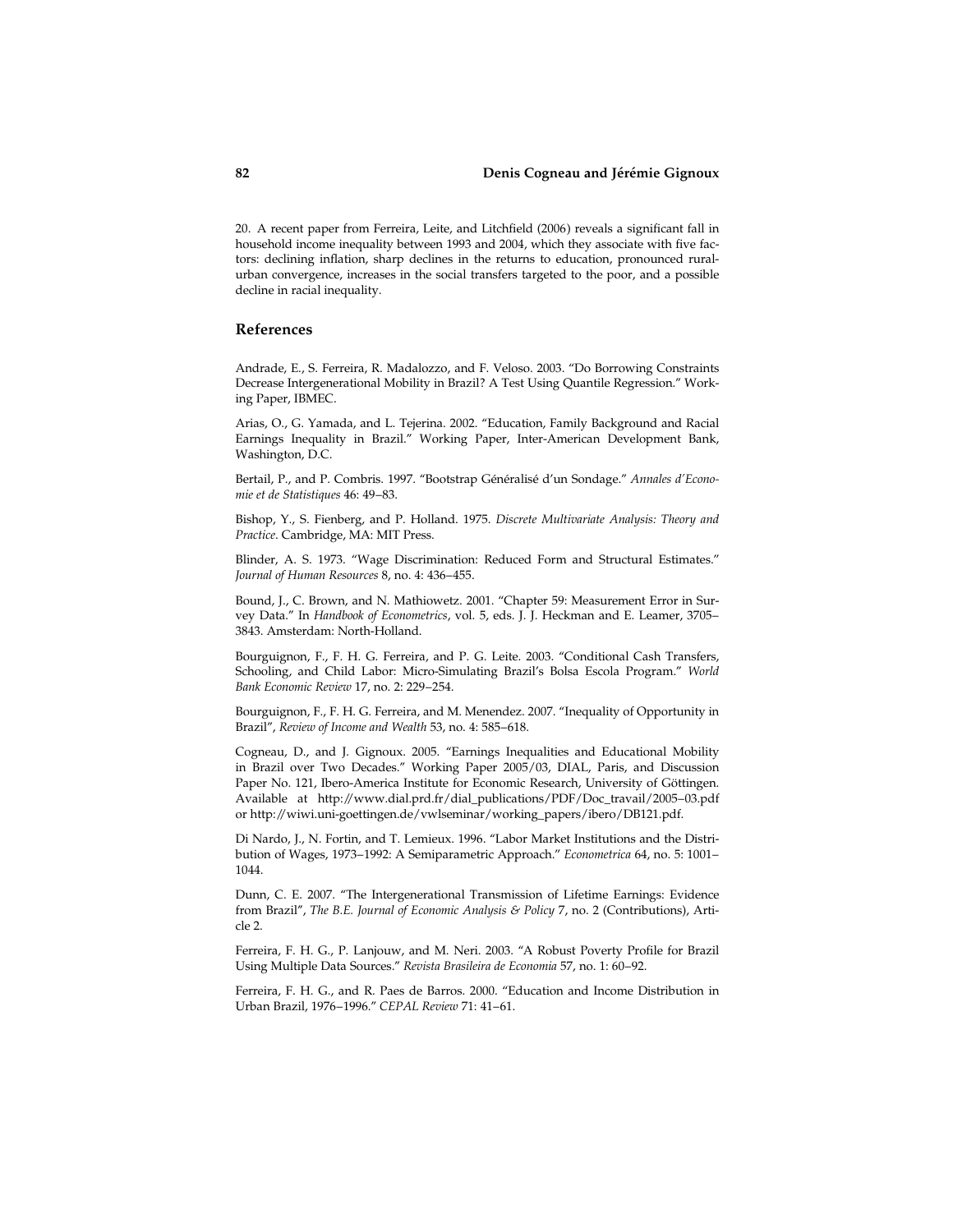# 82 Denis Cogneau and Jérémie Gignoux

20. A recent paper from Ferreira, Leite, and Litchfield (2006) reveals a significant fall in household income inequality between 1993 and 2004, which they associate with five factors: declining inflation, sharp declines in the returns to education, pronounced ruralurban convergence, increases in the social transfers targeted to the poor, and a possible decline in racial inequality.

## References

Andrade, E., S. Ferreira, R. Madalozzo, and F. Veloso. 2003. ''Do Borrowing Constraints Decrease Intergenerational Mobility in Brazil? A Test Using Quantile Regression.'' Working Paper, IBMEC.

Arias, O., G. Yamada, and L. Tejerina. 2002. ''Education, Family Background and Racial Earnings Inequality in Brazil.'' Working Paper, Inter-American Development Bank, Washington, D.C.

Bertail, P., and P. Combris. 1997. "Bootstrap Généralisé d'un Sondage." Annales d'Economie et de Statistiques 46: 49–83.

Bishop, Y., S. Fienberg, and P. Holland. 1975. Discrete Multivariate Analysis: Theory and Practice. Cambridge, MA: MIT Press.

Blinder, A. S. 1973. ''Wage Discrimination: Reduced Form and Structural Estimates.'' Journal of Human Resources 8, no. 4: 436–455.

Bound, J., C. Brown, and N. Mathiowetz. 2001. ''Chapter 59: Measurement Error in Survey Data.'' In Handbook of Econometrics, vol. 5, eds. J. J. Heckman and E. Leamer, 3705– 3843. Amsterdam: North-Holland.

Bourguignon, F., F. H. G. Ferreira, and P. G. Leite. 2003. ''Conditional Cash Transfers, Schooling, and Child Labor: Micro-Simulating Brazil's Bolsa Escola Program.'' World Bank Economic Review 17, no. 2: 229–254.

Bourguignon, F., F. H. G. Ferreira, and M. Menendez. 2007. ''Inequality of Opportunity in Brazil'', Review of Income and Wealth 53, no. 4: 585–618.

Cogneau, D., and J. Gignoux. 2005. ''Earnings Inequalities and Educational Mobility in Brazil over Two Decades.'' Working Paper 2005/03, DIAL, Paris, and Discussion Paper No. 121, Ibero-America Institute for Economic Research, University of Göttingen. Available at http://www.dial.prd.fr/dial\_publications/PDF/Doc\_travail/2005–03.pdf or http://wiwi.uni-goettingen.de/vwlseminar/working\_papers/ibero/DB121.pdf.

Di Nardo, J., N. Fortin, and T. Lemieux. 1996. ''Labor Market Institutions and the Distribution of Wages, 1973–1992: A Semiparametric Approach.'' Econometrica 64, no. 5: 1001– 1044.

Dunn, C. E. 2007. ''The Intergenerational Transmission of Lifetime Earnings: Evidence from Brazil'', The B.E. Journal of Economic Analysis & Policy 7, no. 2 (Contributions), Article 2.

Ferreira, F. H. G., P. Lanjouw, and M. Neri. 2003. ''A Robust Poverty Profile for Brazil Using Multiple Data Sources.'' Revista Brasileira de Economia 57, no. 1: 60–92.

Ferreira, F. H. G., and R. Paes de Barros. 2000. ''Education and Income Distribution in Urban Brazil, 1976–1996.'' CEPAL Review 71: 41–61.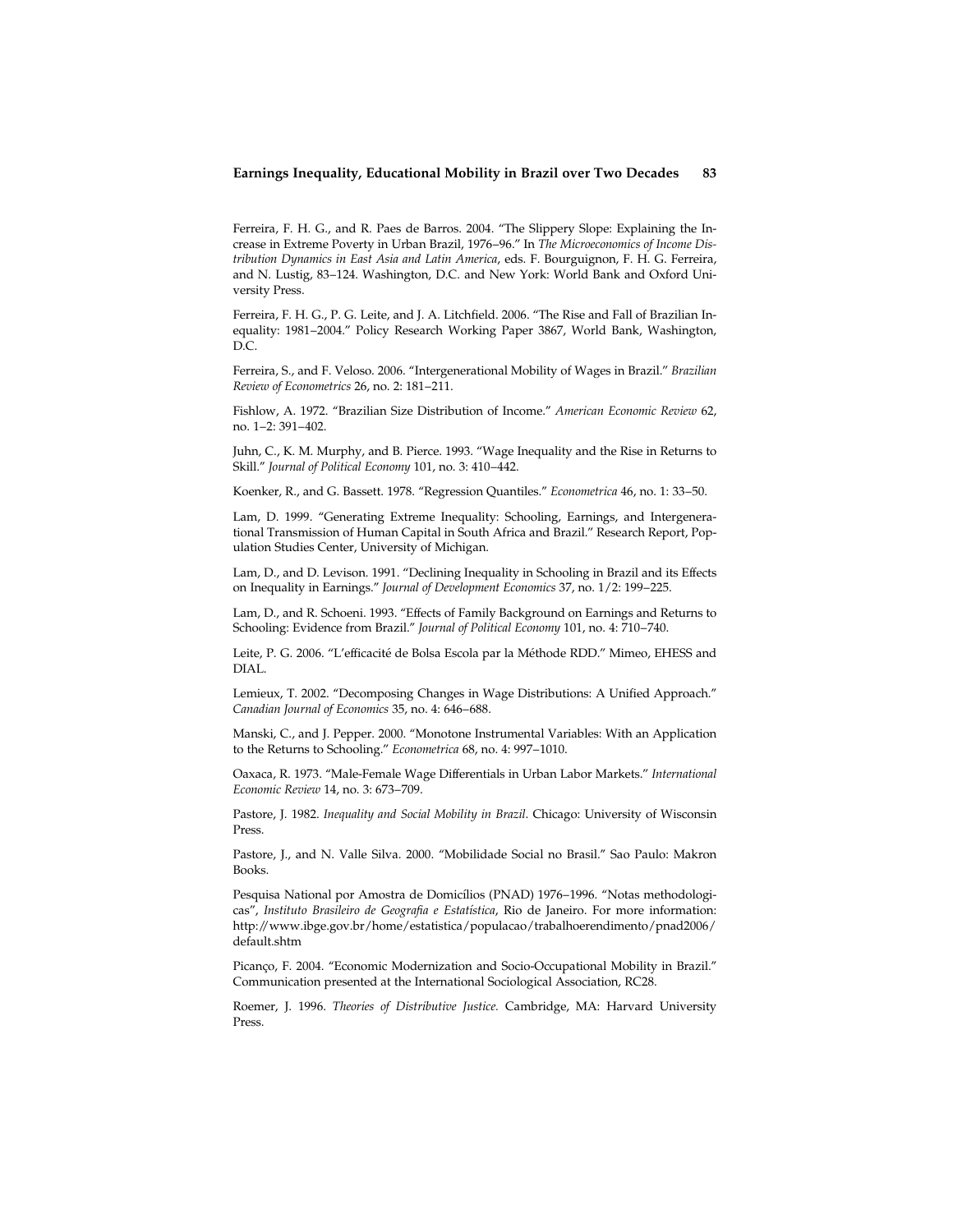Ferreira, F. H. G., and R. Paes de Barros. 2004. ''The Slippery Slope: Explaining the Increase in Extreme Poverty in Urban Brazil, 1976–96.'' In The Microeconomics of Income Distribution Dynamics in East Asia and Latin America, eds. F. Bourguignon, F. H. G. Ferreira, and N. Lustig, 83–124. Washington, D.C. and New York: World Bank and Oxford University Press.

Ferreira, F. H. G., P. G. Leite, and J. A. Litchfield. 2006. ''The Rise and Fall of Brazilian Inequality: 1981–2004.'' Policy Research Working Paper 3867, World Bank, Washington, D.C.

Ferreira, S., and F. Veloso. 2006. ''Intergenerational Mobility of Wages in Brazil.'' Brazilian Review of Econometrics 26, no. 2: 181–211.

Fishlow, A. 1972. ''Brazilian Size Distribution of Income.'' American Economic Review 62, no. 1–2: 391–402.

Juhn, C., K. M. Murphy, and B. Pierce. 1993. ''Wage Inequality and the Rise in Returns to Skill.'' Journal of Political Economy 101, no. 3: 410–442.

Koenker, R., and G. Bassett. 1978. ''Regression Quantiles.'' Econometrica 46, no. 1: 33–50.

Lam, D. 1999. ''Generating Extreme Inequality: Schooling, Earnings, and Intergenerational Transmission of Human Capital in South Africa and Brazil.'' Research Report, Population Studies Center, University of Michigan.

Lam, D., and D. Levison. 1991. ''Declining Inequality in Schooling in Brazil and its Effects on Inequality in Earnings.'' Journal of Development Economics 37, no. 1/2: 199–225.

Lam, D., and R. Schoeni. 1993. ''Effects of Family Background on Earnings and Returns to Schooling: Evidence from Brazil.'' Journal of Political Economy 101, no. 4: 710–740.

Leite, P. G. 2006. "L'efficacité de Bolsa Escola par la Méthode RDD." Mimeo, EHESS and DIAL.

Lemieux, T. 2002. ''Decomposing Changes in Wage Distributions: A Unified Approach.'' Canadian Journal of Economics 35, no. 4: 646–688.

Manski, C., and J. Pepper. 2000. ''Monotone Instrumental Variables: With an Application to the Returns to Schooling.'' Econometrica 68, no. 4: 997–1010.

Oaxaca, R. 1973. ''Male-Female Wage Differentials in Urban Labor Markets.'' International Economic Review 14, no. 3: 673–709.

Pastore, J. 1982. Inequality and Social Mobility in Brazil. Chicago: University of Wisconsin Press.

Pastore, J., and N. Valle Silva. 2000. ''Mobilidade Social no Brasil.'' Sao Paulo: Makron Books.

Pesquisa National por Amostra de Domicílios (PNAD) 1976–1996. "Notas methodologicas", Instituto Brasileiro de Geografia e Estatística, Rio de Janeiro. For more information: http://www.ibge.gov.br/home/estatistica/populacao/trabalhoerendimento/pnad2006/ default.shtm

Picanço, F. 2004. "Economic Modernization and Socio-Occupational Mobility in Brazil." Communication presented at the International Sociological Association, RC28.

Roemer, J. 1996. Theories of Distributive Justice. Cambridge, MA: Harvard University Press.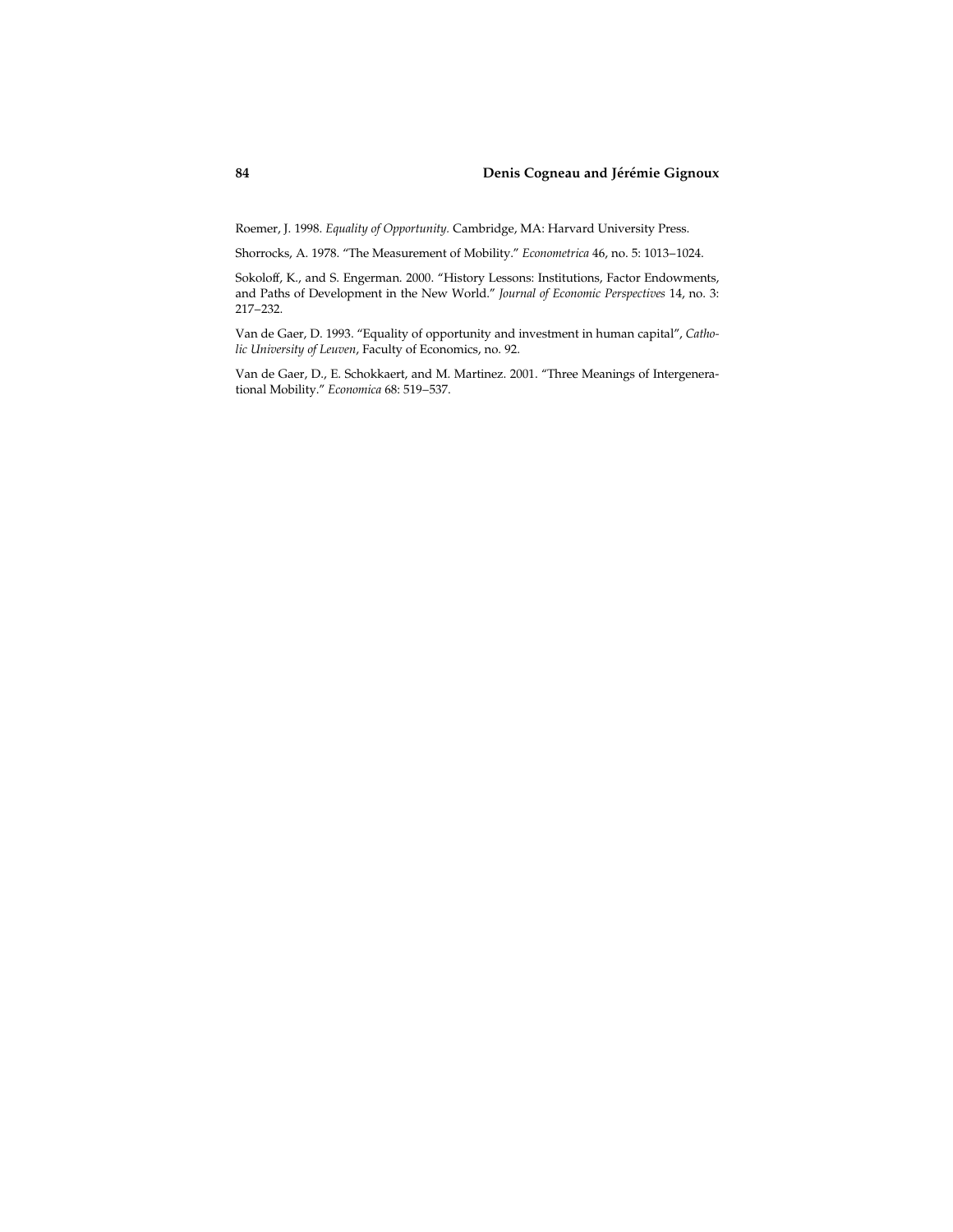# 84 Denis Cogneau and Jérémie Gignoux

Roemer, J. 1998. Equality of Opportunity. Cambridge, MA: Harvard University Press.

Shorrocks, A. 1978. ''The Measurement of Mobility.'' Econometrica 46, no. 5: 1013–1024.

Sokoloff, K., and S. Engerman. 2000. ''History Lessons: Institutions, Factor Endowments, and Paths of Development in the New World.'' Journal of Economic Perspectives 14, no. 3: 217–232.

Van de Gaer, D. 1993. ''Equality of opportunity and investment in human capital'', Catholic University of Leuven, Faculty of Economics, no. 92.

Van de Gaer, D., E. Schokkaert, and M. Martinez. 2001. ''Three Meanings of Intergenerational Mobility.'' Economica 68: 519–537.